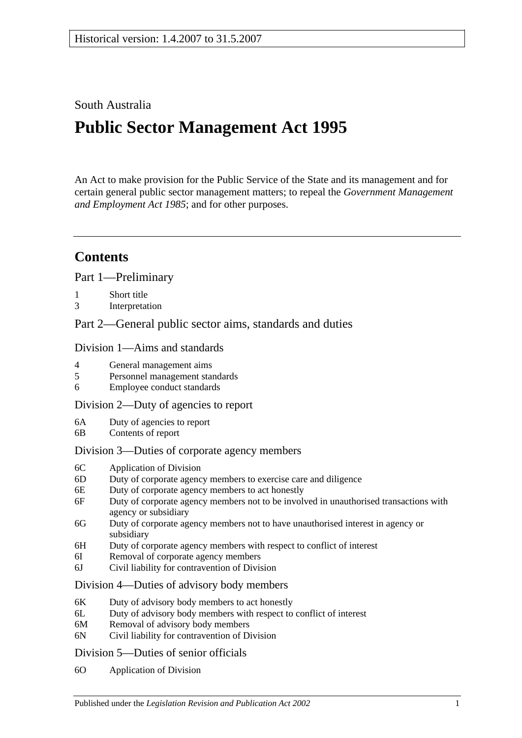## South Australia

# **Public Sector Management Act 1995**

An Act to make provision for the Public Service of the State and its management and for certain general public sector management matters; to repeal the *[Government Management](http://www.legislation.sa.gov.au/index.aspx?action=legref&type=act&legtitle=Government%20Management%20and%20Employment%20Act%201985)  [and Employment Act](http://www.legislation.sa.gov.au/index.aspx?action=legref&type=act&legtitle=Government%20Management%20and%20Employment%20Act%201985) 1985*; and for other purposes.

## **Contents**

[Part 1—Preliminary](#page-5-0)

- 1 [Short title](#page-5-1)
- 3 [Interpretation](#page-5-2)

[Part 2—General public sector aims, standards and duties](#page-9-0)

#### [Division 1—Aims and standards](#page-9-1)

- 4 [General management aims](#page-9-2)
- 5 [Personnel management standards](#page-10-0)
- 6 [Employee conduct standards](#page-10-1)

#### [Division 2—Duty of agencies to report](#page-11-0)

- 6A [Duty of agencies to report](#page-11-1)
- 6B [Contents of report](#page-11-2)

#### [Division 3—Duties of corporate agency members](#page-11-3)

- 6C [Application of Division](#page-11-4)
- 6D [Duty of corporate agency members to exercise care and diligence](#page-11-5)
- 6E [Duty of corporate agency members to act honestly](#page-12-0)
- 6F [Duty of corporate agency members not to be involved in unauthorised transactions with](#page-12-1)  [agency or subsidiary](#page-12-1)
- 6G [Duty of corporate agency members not to have unauthorised interest in agency or](#page-13-0)  [subsidiary](#page-13-0)
- 6H [Duty of corporate agency members with respect to conflict of interest](#page-13-1)
- 6I [Removal of corporate agency members](#page-14-0)
- 6J [Civil liability for contravention of Division](#page-14-1)

#### [Division 4—Duties of advisory body members](#page-15-0)

- 6K [Duty of advisory body members to act honestly](#page-15-1)
- 6L [Duty of advisory body members with respect to conflict of interest](#page-15-2)
- 6M [Removal of advisory body members](#page-15-3)
- 6N [Civil liability for contravention of Division](#page-16-0)

#### [Division 5—Duties of senior officials](#page-16-1)

6O [Application of Division](#page-16-2)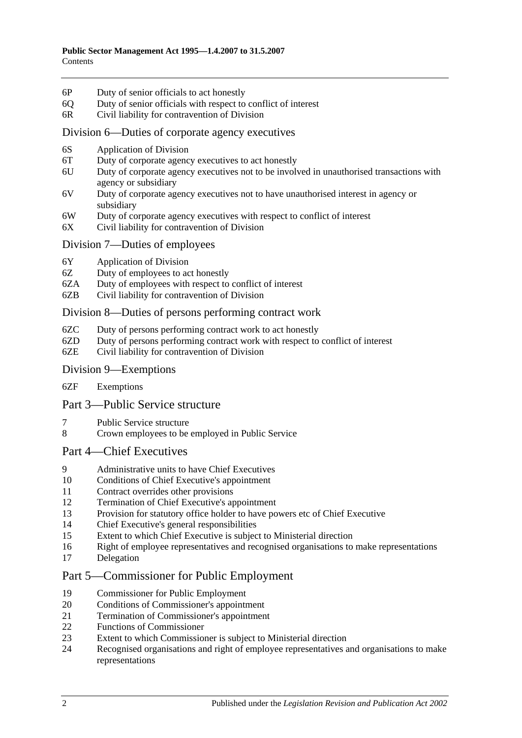- 6P [Duty of senior officials to act honestly](#page-16-3)
- 6Q [Duty of senior officials with respect to conflict of interest](#page-16-4)
- 6R [Civil liability for contravention of Division](#page-17-0)

#### [Division 6—Duties of corporate agency executives](#page-18-0)

- 6S [Application of Division](#page-18-1)
- 6T [Duty of corporate agency executives to act honestly](#page-18-2)
- 6U [Duty of corporate agency executives not to be involved in unauthorised transactions with](#page-18-3)  [agency or subsidiary](#page-18-3)
- 6V [Duty of corporate agency executives not to have unauthorised interest in agency or](#page-19-0)  [subsidiary](#page-19-0)
- 6W [Duty of corporate agency executives with respect to conflict of interest](#page-19-1)
- 6X [Civil liability for contravention of Division](#page-20-0)

#### [Division 7—Duties of employees](#page-20-1)

- 6Y [Application of Division](#page-20-2)
- 6Z [Duty of employees to act honestly](#page-20-3)
- 6ZA [Duty of employees with respect to conflict of interest](#page-21-0)
- 6ZB [Civil liability for contravention of Division](#page-21-1)

#### [Division 8—Duties of persons performing contract work](#page-22-0)

- 6ZC [Duty of persons performing contract work to act honestly](#page-22-1)
- 6ZD [Duty of persons performing contract work with respect to conflict of interest](#page-22-2)
- 6ZE [Civil liability for contravention of Division](#page-23-0)

#### [Division 9—Exemptions](#page-23-1)

6ZF [Exemptions](#page-23-2)

#### [Part 3—Public Service structure](#page-23-3)

- 7 [Public Service structure](#page-23-4)
- 8 [Crown employees to be employed in Public Service](#page-24-0)

#### [Part 4—Chief Executives](#page-24-1)

- 9 [Administrative units to have Chief Executives](#page-24-2)
- 10 [Conditions of Chief Executive's appointment](#page-25-0)
- 11 [Contract overrides other provisions](#page-25-1)
- 12 [Termination of Chief Executive's appointment](#page-25-2)
- 13 [Provision for statutory office holder to have powers etc of Chief Executive](#page-26-0)
- 14 [Chief Executive's general responsibilities](#page-27-0)
- 15 [Extent to which Chief Executive is subject to Ministerial direction](#page-27-1)
- 16 [Right of employee representatives and recognised organisations to make representations](#page-27-2)
- 17 [Delegation](#page-28-0)

## [Part 5—Commissioner for Public Employment](#page-28-1)

- 19 [Commissioner for Public Employment](#page-28-2)
- 20 [Conditions of Commissioner's appointment](#page-28-3)
- 21 [Termination of Commissioner's appointment](#page-28-4)
- 22 Functions [of Commissioner](#page-29-0)
- 23 [Extent to which Commissioner is subject to Ministerial direction](#page-30-0)<br>24 Recognised organisations and right of employee representatives a
- 24 [Recognised organisations and right of employee representatives and organisations to make](#page-30-1)  [representations](#page-30-1)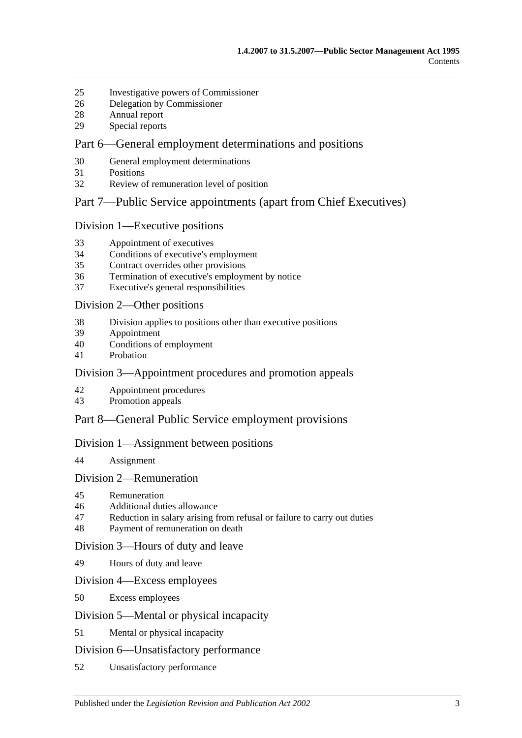- [Investigative powers of Commissioner](#page-31-0)
- [Delegation by Commissioner](#page-31-1)
- [Annual report](#page-32-0)
- [Special reports](#page-32-1)

#### [Part 6—General employment determinations and positions](#page-33-0)

- [General employment determinations](#page-33-1)
- [Positions](#page-33-2)
- [Review of remuneration level of position](#page-34-0)

#### [Part 7—Public Service appointments \(apart from Chief Executives\)](#page-35-0)

#### [Division 1—Executive positions](#page-35-1)

- [Appointment of executives](#page-35-2)
- [Conditions of executive's employment](#page-35-3)
- [Contract overrides other provisions](#page-36-0)
- [Termination of executive's employment by notice](#page-37-0)
- [Executive's general responsibilities](#page-38-0)

#### [Division 2—Other positions](#page-38-1)

- [Division applies to positions other than executive positions](#page-38-2)
- [Appointment](#page-38-3)
- [Conditions of employment](#page-38-4)
- [Probation](#page-39-0)

#### [Division 3—Appointment procedures and promotion appeals](#page-39-1)

- [Appointment procedures](#page-39-2)
- [Promotion appeals](#page-40-0)

## [Part 8—General Public Service employment provisions](#page-41-0)

#### [Division 1—Assignment between positions](#page-41-1)

[Assignment](#page-41-2)

#### [Division 2—Remuneration](#page-42-0)

- [Remuneration](#page-42-1)
- [Additional duties allowance](#page-42-2)
- [Reduction in salary arising from refusal or failure to carry out duties](#page-42-3)
- [Payment of remuneration on death](#page-42-4)

#### [Division 3—Hours of duty and leave](#page-43-0)

[Hours of duty and leave](#page-43-1)

#### [Division 4—Excess employees](#page-43-2)

[Excess employees](#page-43-3)

#### [Division 5—Mental or physical incapacity](#page-44-0)

[Mental or physical incapacity](#page-44-1)

#### [Division 6—Unsatisfactory performance](#page-45-0)

[Unsatisfactory performance](#page-45-1)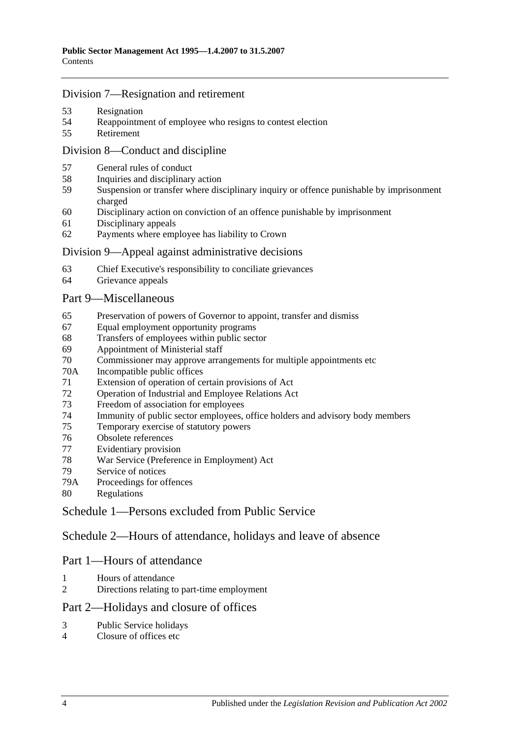#### [Division 7—Resignation and retirement](#page-46-0)

- [Resignation](#page-46-1)
- [Reappointment of employee who resigns to contest election](#page-47-0)
- [Retirement](#page-47-1)

## [Division 8—Conduct and discipline](#page-47-2)

- [General rules of conduct](#page-47-3)
- [Inquiries and disciplinary action](#page-48-0)
- [Suspension or transfer where disciplinary inquiry or offence punishable by imprisonment](#page-49-0)  [charged](#page-49-0)
- [Disciplinary action on conviction of an offence punishable by imprisonment](#page-50-0)
- [Disciplinary appeals](#page-51-0)
- [Payments where employee has liability to Crown](#page-51-1)

#### [Division 9—Appeal against administrative decisions](#page-51-2)

- [Chief Executive's responsibility to conciliate grievances](#page-51-3)
- [Grievance appeals](#page-51-4)

#### [Part 9—Miscellaneous](#page-52-0)

- [Preservation of powers of Governor to appoint, transfer and dismiss](#page-52-1)
- [Equal employment opportunity programs](#page-52-2)
- [Transfers of employees within public sector](#page-53-0)
- [Appointment of Ministerial staff](#page-53-1)
- [Commissioner may approve arrangements for multiple appointments etc](#page-54-0)
- 70A [Incompatible public offices](#page-54-1)
- [Extension of operation of certain provisions of Act](#page-54-2)
- [Operation of Industrial and Employee Relations Act](#page-55-0)
- [Freedom of association for employees](#page-55-1)
- [Immunity of public sector employees, office holders and advisory body members](#page-55-2)
- [Temporary exercise of statutory powers](#page-55-3)
- [Obsolete references](#page-56-0)
- [Evidentiary provision](#page-56-1)
- [War Service \(Preference in Employment\) Act](#page-56-2)
- [Service of notices](#page-57-0)
- 79A [Proceedings for offences](#page-57-1)
- [Regulations](#page-57-2)

[Schedule 1—Persons excluded from Public Service](#page-57-3)

[Schedule 2—Hours of attendance, holidays and leave of absence](#page-58-0)

## Part 1—Hours of attendance

- [Hours of attendance](#page-58-1)
- [Directions relating to part-time employment](#page-58-2)

## Part 2—Holidays and closure of offices

- [Public Service holidays](#page-59-0)
- [Closure of offices etc](#page-59-1)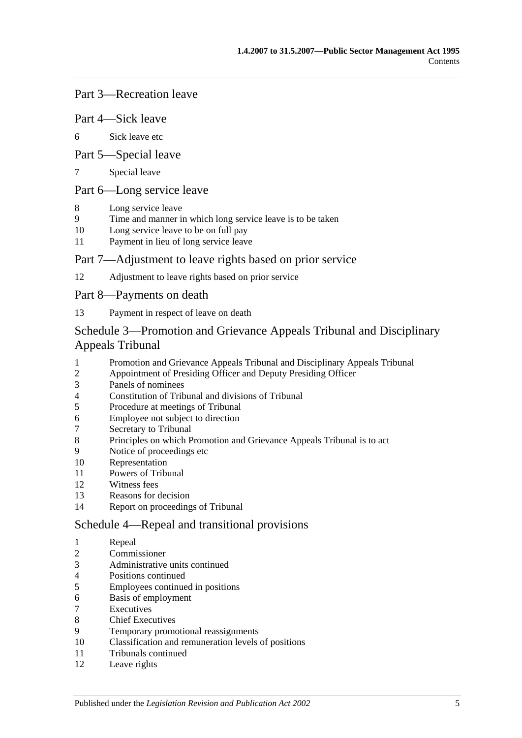#### Part 3—Recreation leave

#### Part 4—Sick leave

[Sick leave etc](#page-60-0)

#### Part 5—Special leave

[Special leave](#page-61-0)

## Part 6—Long service leave

- [Long service leave](#page-61-1)
- [Time and manner in which long service leave is to be taken](#page-62-0)
- [Long service leave to be on full pay](#page-62-1)
- [Payment in lieu of long service leave](#page-62-2)

#### Part 7—Adjustment to leave rights based on prior service

[Adjustment to leave rights based on prior service](#page-63-0)

#### Part 8—Payments on death

[Payment in respect of leave on death](#page-63-1)

## [Schedule 3—Promotion and Grievance Appeals Tribunal and Disciplinary](#page-64-0)  [Appeals Tribunal](#page-64-0)

- [Promotion and Grievance Appeals Tribunal and Disciplinary Appeals Tribunal](#page-64-1)<br>2 Appointment of Presiding Officer and Deputy Presiding Officer
- [Appointment of Presiding Officer and Deputy Presiding Officer](#page-64-2)
- [Panels of nominees](#page-65-0)
- [Constitution of Tribunal and divisions of Tribunal](#page-66-0)
- [Procedure at meetings of Tribunal](#page-66-1)
- [Employee not subject to direction](#page-66-2)
- [Secretary to Tribunal](#page-66-3)
- [Principles on which Promotion and Grievance Appeals Tribunal is to](#page-67-0) act
- [Notice of proceedings etc](#page-67-1)
- [Representation](#page-67-2)
- [Powers of Tribunal](#page-67-3)
- [Witness fees](#page-68-0)
- [Reasons for decision](#page-68-1)
- [Report on proceedings of Tribunal](#page-68-2)

#### [Schedule 4—Repeal and transitional provisions](#page-68-3)

- [Repeal](#page-68-4)
- [Commissioner](#page-68-5)
- [Administrative units continued](#page-69-0)
- [Positions continued](#page-69-1)
- [Employees continued in positions](#page-69-2)
- [Basis of employment](#page-69-3)
- **[Executives](#page-70-0)**
- [Chief Executives](#page-70-1)
- [Temporary promotional reassignments](#page-71-0)
- [Classification and remuneration levels of positions](#page-71-1)
- [Tribunals continued](#page-72-0)
- [Leave rights](#page-72-1)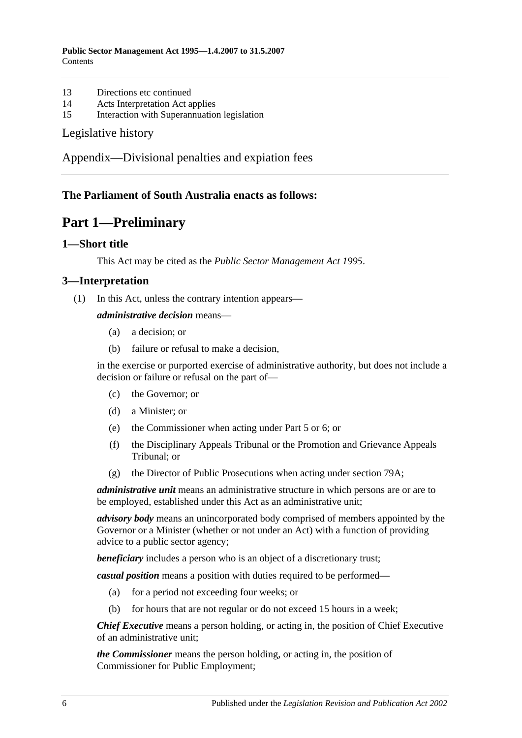- 13 [Directions etc continued](#page-72-2)
- 14 [Acts Interpretation Act applies](#page-72-3)
- 15 [Interaction with Superannuation legislation](#page-72-4)

#### [Legislative history](#page-73-0)

[Appendix—Divisional penalties and expiation fees](#page-76-0)

## <span id="page-5-0"></span>**The Parliament of South Australia enacts as follows:**

## **Part 1—Preliminary**

#### <span id="page-5-1"></span>**1—Short title**

This Act may be cited as the *Public Sector Management Act 1995*.

#### <span id="page-5-2"></span>**3—Interpretation**

(1) In this Act, unless the contrary intention appears—

#### *administrative decision* means—

- (a) a decision; or
- (b) failure or refusal to make a decision,

in the exercise or purported exercise of administrative authority, but does not include a decision or failure or refusal on the part of—

- (c) the Governor; or
- (d) a Minister; or
- (e) the Commissioner when acting under [Part 5](#page-28-1) or [6;](#page-33-0) or
- (f) the Disciplinary Appeals Tribunal or the Promotion and Grievance Appeals Tribunal; or
- (g) the Director of Public Prosecutions when acting under [section](#page-57-1) 79A;

*administrative unit* means an administrative structure in which persons are or are to be employed, established under this Act as an administrative unit;

*advisory body* means an unincorporated body comprised of members appointed by the Governor or a Minister (whether or not under an Act) with a function of providing advice to a public sector agency;

**beneficiary** includes a person who is an object of a discretionary trust;

*casual position* means a position with duties required to be performed—

- (a) for a period not exceeding four weeks; or
- (b) for hours that are not regular or do not exceed 15 hours in a week;

*Chief Executive* means a person holding, or acting in, the position of Chief Executive of an administrative unit;

*the Commissioner* means the person holding, or acting in, the position of Commissioner for Public Employment;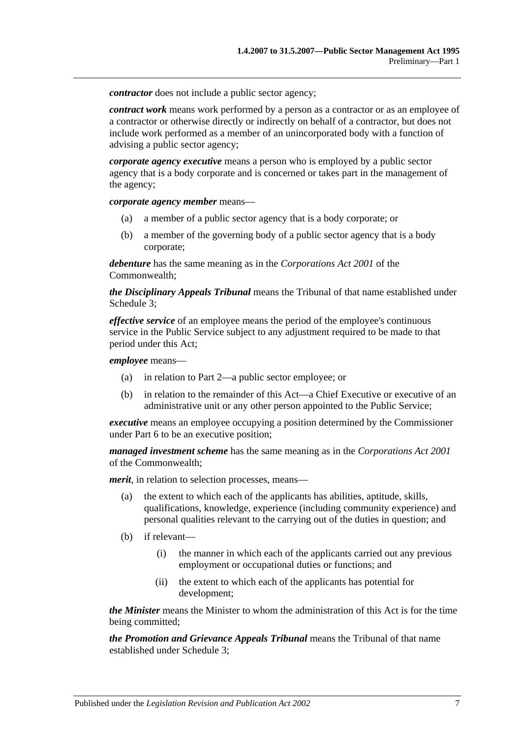*contractor* does not include a public sector agency:

*contract work* means work performed by a person as a contractor or as an employee of a contractor or otherwise directly or indirectly on behalf of a contractor, but does not include work performed as a member of an unincorporated body with a function of advising a public sector agency;

*corporate agency executive* means a person who is employed by a public sector agency that is a body corporate and is concerned or takes part in the management of the agency;

*corporate agency member* means—

- (a) a member of a public sector agency that is a body corporate; or
- (b) a member of the governing body of a public sector agency that is a body corporate;

*debenture* has the same meaning as in the *Corporations Act 2001* of the Commonwealth;

*the Disciplinary Appeals Tribunal* means the Tribunal of that name established under [Schedule 3;](#page-64-0)

*effective service* of an employee means the period of the employee's continuous service in the Public Service subject to any adjustment required to be made to that period under this Act;

*employee* means—

- (a) in relation to [Part 2—](#page-9-0)a public sector employee; or
- (b) in relation to the remainder of this Act—a Chief Executive or executive of an administrative unit or any other person appointed to the Public Service;

*executive* means an employee occupying a position determined by the Commissioner under [Part 6](#page-33-0) to be an executive position;

*managed investment scheme* has the same meaning as in the *Corporations Act 2001* of the Commonwealth;

*merit*, in relation to selection processes, means—

- (a) the extent to which each of the applicants has abilities, aptitude, skills, qualifications, knowledge, experience (including community experience) and personal qualities relevant to the carrying out of the duties in question; and
- (b) if relevant—
	- (i) the manner in which each of the applicants carried out any previous employment or occupational duties or functions; and
	- (ii) the extent to which each of the applicants has potential for development;

*the Minister* means the Minister to whom the administration of this Act is for the time being committed;

*the Promotion and Grievance Appeals Tribunal* means the Tribunal of that name established under [Schedule 3;](#page-64-0)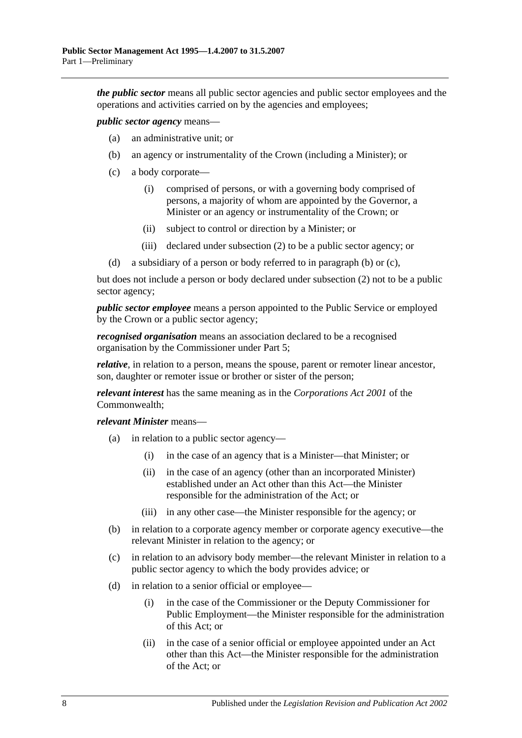*the public sector* means all public sector agencies and public sector employees and the operations and activities carried on by the agencies and employees;

<span id="page-7-0"></span>*public sector agency* means—

- (a) an administrative unit; or
- (b) an agency or instrumentality of the Crown (including a Minister); or
- <span id="page-7-1"></span>(c) a body corporate—
	- (i) comprised of persons, or with a governing body comprised of persons, a majority of whom are appointed by the Governor, a Minister or an agency or instrumentality of the Crown; or
	- (ii) subject to control or direction by a Minister; or
	- (iii) declared under [subsection](#page-9-3) (2) to be a public sector agency; or
- (d) a subsidiary of a person or body referred to in [paragraph](#page-7-0) (b) or [\(c\),](#page-7-1)

but does not include a person or body declared under [subsection](#page-9-3) (2) not to be a public sector agency;

*public sector employee* means a person appointed to the Public Service or employed by the Crown or a public sector agency;

*recognised organisation* means an association declared to be a recognised organisation by the Commissioner under [Part 5;](#page-28-1)

*relative*, in relation to a person, means the spouse, parent or remoter linear ancestor, son, daughter or remoter issue or brother or sister of the person;

*relevant interest* has the same meaning as in the *Corporations Act 2001* of the Commonwealth;

*relevant Minister* means—

- (a) in relation to a public sector agency—
	- (i) in the case of an agency that is a Minister—that Minister; or
	- (ii) in the case of an agency (other than an incorporated Minister) established under an Act other than this Act—the Minister responsible for the administration of the Act; or
	- (iii) in any other case—the Minister responsible for the agency; or
- (b) in relation to a corporate agency member or corporate agency executive—the relevant Minister in relation to the agency; or
- (c) in relation to an advisory body member—the relevant Minister in relation to a public sector agency to which the body provides advice; or
- (d) in relation to a senior official or employee—
	- (i) in the case of the Commissioner or the Deputy Commissioner for Public Employment—the Minister responsible for the administration of this Act; or
	- (ii) in the case of a senior official or employee appointed under an Act other than this Act—the Minister responsible for the administration of the Act; or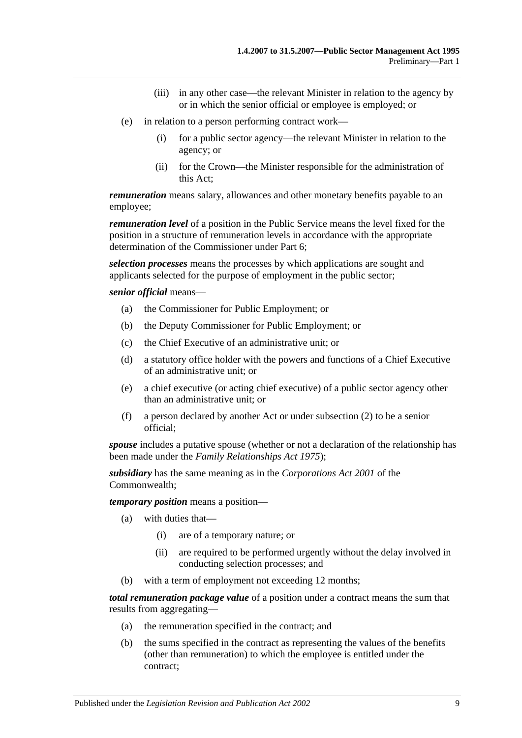- (iii) in any other case—the relevant Minister in relation to the agency by or in which the senior official or employee is employed; or
- (e) in relation to a person performing contract work—
	- (i) for a public sector agency—the relevant Minister in relation to the agency; or
	- (ii) for the Crown—the Minister responsible for the administration of this Act;

*remuneration* means salary, allowances and other monetary benefits payable to an employee;

*remuneration level* of a position in the Public Service means the level fixed for the position in a structure of remuneration levels in accordance with the appropriate determination of the Commissioner under [Part 6;](#page-33-0)

*selection processes* means the processes by which applications are sought and applicants selected for the purpose of employment in the public sector;

*senior official* means—

- (a) the Commissioner for Public Employment; or
- (b) the Deputy Commissioner for Public Employment; or
- (c) the Chief Executive of an administrative unit; or
- (d) a statutory office holder with the powers and functions of a Chief Executive of an administrative unit; or
- (e) a chief executive (or acting chief executive) of a public sector agency other than an administrative unit; or
- (f) a person declared by another Act or under [subsection](#page-9-3) (2) to be a senior official;

*spouse* includes a putative spouse (whether or not a declaration of the relationship has been made under the *[Family Relationships Act](http://www.legislation.sa.gov.au/index.aspx?action=legref&type=act&legtitle=Family%20Relationships%20Act%201975) 1975*);

*subsidiary* has the same meaning as in the *Corporations Act 2001* of the Commonwealth;

*temporary position* means a position—

- (a) with duties that—
	- (i) are of a temporary nature; or
	- (ii) are required to be performed urgently without the delay involved in conducting selection processes; and
- (b) with a term of employment not exceeding 12 months;

*total remuneration package value* of a position under a contract means the sum that results from aggregating—

- (a) the remuneration specified in the contract; and
- (b) the sums specified in the contract as representing the values of the benefits (other than remuneration) to which the employee is entitled under the contract;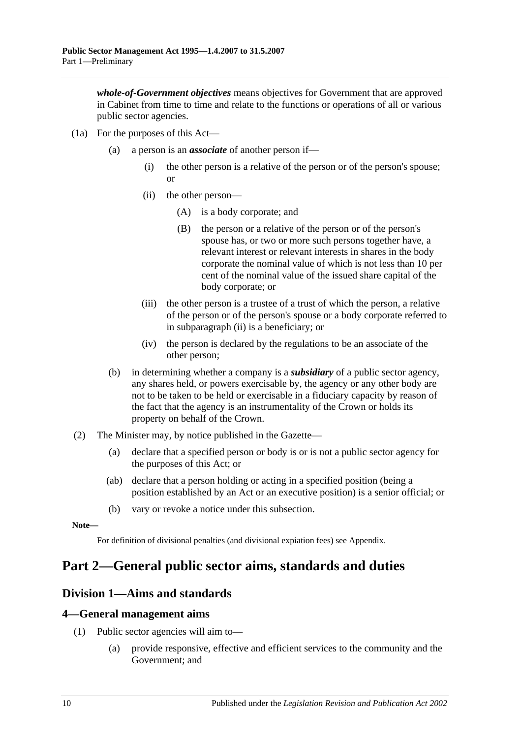*whole-of-Government objectives* means objectives for Government that are approved in Cabinet from time to time and relate to the functions or operations of all or various public sector agencies.

- <span id="page-9-4"></span>(1a) For the purposes of this Act—
	- (a) a person is an *associate* of another person if—
		- (i) the other person is a relative of the person or of the person's spouse; or
		- (ii) the other person—
			- (A) is a body corporate; and
			- (B) the person or a relative of the person or of the person's spouse has, or two or more such persons together have, a relevant interest or relevant interests in shares in the body corporate the nominal value of which is not less than 10 per cent of the nominal value of the issued share capital of the body corporate; or
		- (iii) the other person is a trustee of a trust of which the person, a relative of the person or of the person's spouse or a body corporate referred to in [subparagraph](#page-9-4) (ii) is a beneficiary; or
		- (iv) the person is declared by the regulations to be an associate of the other person;
	- (b) in determining whether a company is a *subsidiary* of a public sector agency, any shares held, or powers exercisable by, the agency or any other body are not to be taken to be held or exercisable in a fiduciary capacity by reason of the fact that the agency is an instrumentality of the Crown or holds its property on behalf of the Crown.
- <span id="page-9-3"></span>(2) The Minister may, by notice published in the Gazette—
	- (a) declare that a specified person or body is or is not a public sector agency for the purposes of this Act; or
	- (ab) declare that a person holding or acting in a specified position (being a position established by an Act or an executive position) is a senior official; or
	- (b) vary or revoke a notice under this subsection.

**Note—**

For definition of divisional penalties (and divisional expiation fees) see Appendix.

## <span id="page-9-0"></span>**Part 2—General public sector aims, standards and duties**

## <span id="page-9-1"></span>**Division 1—Aims and standards**

#### <span id="page-9-2"></span>**4—General management aims**

- (1) Public sector agencies will aim to—
	- (a) provide responsive, effective and efficient services to the community and the Government; and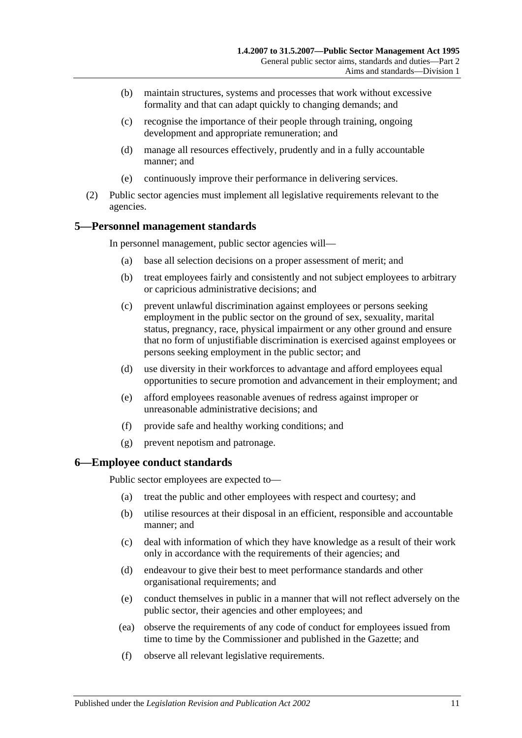- (b) maintain structures, systems and processes that work without excessive formality and that can adapt quickly to changing demands; and
- (c) recognise the importance of their people through training, ongoing development and appropriate remuneration; and
- (d) manage all resources effectively, prudently and in a fully accountable manner; and
- (e) continuously improve their performance in delivering services.
- (2) Public sector agencies must implement all legislative requirements relevant to the agencies.

## <span id="page-10-0"></span>**5—Personnel management standards**

In personnel management, public sector agencies will—

- (a) base all selection decisions on a proper assessment of merit; and
- (b) treat employees fairly and consistently and not subject employees to arbitrary or capricious administrative decisions; and
- (c) prevent unlawful discrimination against employees or persons seeking employment in the public sector on the ground of sex, sexuality, marital status, pregnancy, race, physical impairment or any other ground and ensure that no form of unjustifiable discrimination is exercised against employees or persons seeking employment in the public sector; and
- (d) use diversity in their workforces to advantage and afford employees equal opportunities to secure promotion and advancement in their employment; and
- (e) afford employees reasonable avenues of redress against improper or unreasonable administrative decisions; and
- (f) provide safe and healthy working conditions; and
- (g) prevent nepotism and patronage.

## <span id="page-10-1"></span>**6—Employee conduct standards**

Public sector employees are expected to—

- (a) treat the public and other employees with respect and courtesy; and
- (b) utilise resources at their disposal in an efficient, responsible and accountable manner; and
- (c) deal with information of which they have knowledge as a result of their work only in accordance with the requirements of their agencies; and
- (d) endeavour to give their best to meet performance standards and other organisational requirements; and
- (e) conduct themselves in public in a manner that will not reflect adversely on the public sector, their agencies and other employees; and
- (ea) observe the requirements of any code of conduct for employees issued from time to time by the Commissioner and published in the Gazette; and
- (f) observe all relevant legislative requirements.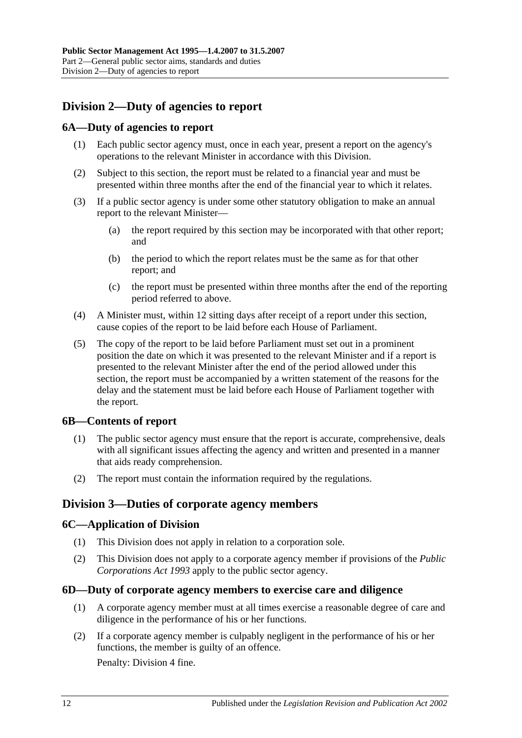## <span id="page-11-0"></span>**Division 2—Duty of agencies to report**

## <span id="page-11-1"></span>**6A—Duty of agencies to report**

- (1) Each public sector agency must, once in each year, present a report on the agency's operations to the relevant Minister in accordance with this Division.
- (2) Subject to this section, the report must be related to a financial year and must be presented within three months after the end of the financial year to which it relates.
- (3) If a public sector agency is under some other statutory obligation to make an annual report to the relevant Minister—
	- (a) the report required by this section may be incorporated with that other report; and
	- (b) the period to which the report relates must be the same as for that other report; and
	- (c) the report must be presented within three months after the end of the reporting period referred to above.
- (4) A Minister must, within 12 sitting days after receipt of a report under this section, cause copies of the report to be laid before each House of Parliament.
- (5) The copy of the report to be laid before Parliament must set out in a prominent position the date on which it was presented to the relevant Minister and if a report is presented to the relevant Minister after the end of the period allowed under this section, the report must be accompanied by a written statement of the reasons for the delay and the statement must be laid before each House of Parliament together with the report.

## <span id="page-11-2"></span>**6B—Contents of report**

- (1) The public sector agency must ensure that the report is accurate, comprehensive, deals with all significant issues affecting the agency and written and presented in a manner that aids ready comprehension.
- (2) The report must contain the information required by the regulations.

## <span id="page-11-3"></span>**Division 3—Duties of corporate agency members**

#### <span id="page-11-4"></span>**6C—Application of Division**

- (1) This Division does not apply in relation to a corporation sole.
- (2) This Division does not apply to a corporate agency member if provisions of the *[Public](http://www.legislation.sa.gov.au/index.aspx?action=legref&type=act&legtitle=Public%20Corporations%20Act%201993)  [Corporations Act](http://www.legislation.sa.gov.au/index.aspx?action=legref&type=act&legtitle=Public%20Corporations%20Act%201993) 1993* apply to the public sector agency.

#### <span id="page-11-5"></span>**6D—Duty of corporate agency members to exercise care and diligence**

- (1) A corporate agency member must at all times exercise a reasonable degree of care and diligence in the performance of his or her functions.
- <span id="page-11-6"></span>(2) If a corporate agency member is culpably negligent in the performance of his or her functions, the member is guilty of an offence.

Penalty: Division 4 fine.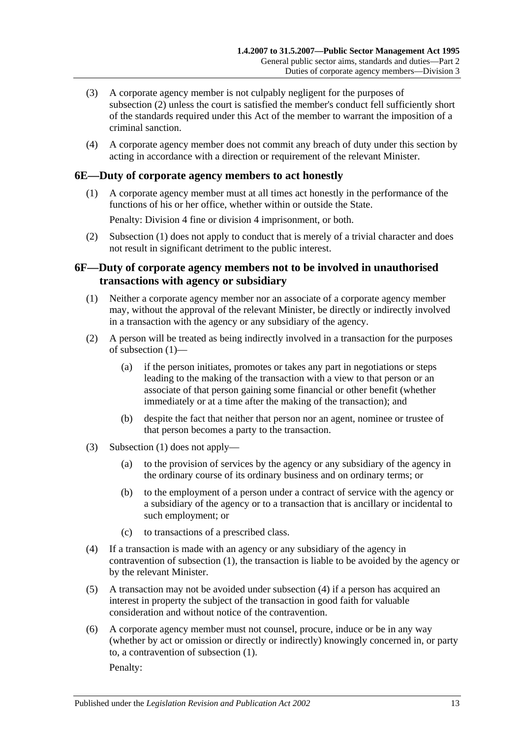- (3) A corporate agency member is not culpably negligent for the purposes of [subsection](#page-11-6) (2) unless the court is satisfied the member's conduct fell sufficiently short of the standards required under this Act of the member to warrant the imposition of a criminal sanction.
- (4) A corporate agency member does not commit any breach of duty under this section by acting in accordance with a direction or requirement of the relevant Minister.

#### <span id="page-12-2"></span><span id="page-12-0"></span>**6E—Duty of corporate agency members to act honestly**

(1) A corporate agency member must at all times act honestly in the performance of the functions of his or her office, whether within or outside the State.

Penalty: Division 4 fine or division 4 imprisonment, or both.

(2) [Subsection](#page-12-2) (1) does not apply to conduct that is merely of a trivial character and does not result in significant detriment to the public interest.

## <span id="page-12-1"></span>**6F—Duty of corporate agency members not to be involved in unauthorised transactions with agency or subsidiary**

- <span id="page-12-3"></span>(1) Neither a corporate agency member nor an associate of a corporate agency member may, without the approval of the relevant Minister, be directly or indirectly involved in a transaction with the agency or any subsidiary of the agency.
- (2) A person will be treated as being indirectly involved in a transaction for the purposes of [subsection](#page-12-3) (1)—
	- (a) if the person initiates, promotes or takes any part in negotiations or steps leading to the making of the transaction with a view to that person or an associate of that person gaining some financial or other benefit (whether immediately or at a time after the making of the transaction); and
	- (b) despite the fact that neither that person nor an agent, nominee or trustee of that person becomes a party to the transaction.
- (3) [Subsection](#page-12-3) (1) does not apply—
	- (a) to the provision of services by the agency or any subsidiary of the agency in the ordinary course of its ordinary business and on ordinary terms; or
	- (b) to the employment of a person under a contract of service with the agency or a subsidiary of the agency or to a transaction that is ancillary or incidental to such employment; or
	- (c) to transactions of a prescribed class.
- <span id="page-12-4"></span>(4) If a transaction is made with an agency or any subsidiary of the agency in contravention of [subsection](#page-12-3) (1), the transaction is liable to be avoided by the agency or by the relevant Minister.
- (5) A transaction may not be avoided under [subsection](#page-12-4) (4) if a person has acquired an interest in property the subject of the transaction in good faith for valuable consideration and without notice of the contravention.
- (6) A corporate agency member must not counsel, procure, induce or be in any way (whether by act or omission or directly or indirectly) knowingly concerned in, or party to, a contravention of [subsection](#page-12-3) (1). Penalty: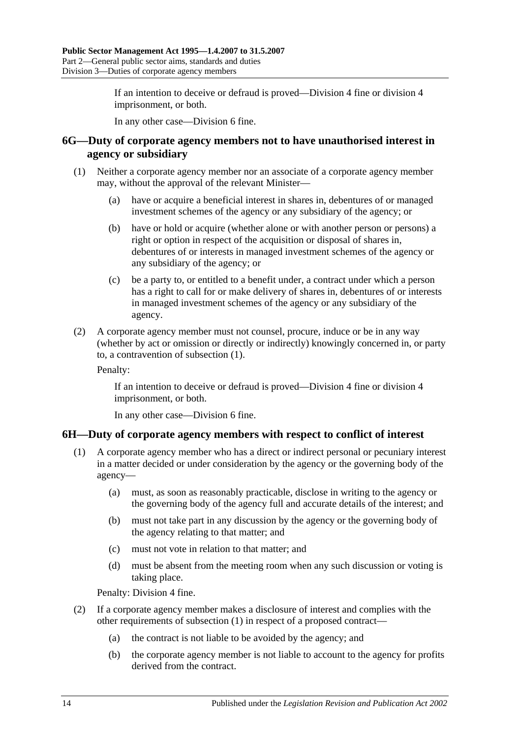If an intention to deceive or defraud is proved—Division 4 fine or division 4 imprisonment, or both.

In any other case—Division 6 fine.

#### <span id="page-13-0"></span>**6G—Duty of corporate agency members not to have unauthorised interest in agency or subsidiary**

- <span id="page-13-2"></span>(1) Neither a corporate agency member nor an associate of a corporate agency member may, without the approval of the relevant Minister—
	- (a) have or acquire a beneficial interest in shares in, debentures of or managed investment schemes of the agency or any subsidiary of the agency; or
	- (b) have or hold or acquire (whether alone or with another person or persons) a right or option in respect of the acquisition or disposal of shares in, debentures of or interests in managed investment schemes of the agency or any subsidiary of the agency; or
	- (c) be a party to, or entitled to a benefit under, a contract under which a person has a right to call for or make delivery of shares in, debentures of or interests in managed investment schemes of the agency or any subsidiary of the agency.
- (2) A corporate agency member must not counsel, procure, induce or be in any way (whether by act or omission or directly or indirectly) knowingly concerned in, or party to, a contravention of [subsection](#page-13-2) (1).

Penalty:

If an intention to deceive or defraud is proved—Division 4 fine or division 4 imprisonment, or both.

In any other case—Division 6 fine.

## <span id="page-13-3"></span><span id="page-13-1"></span>**6H—Duty of corporate agency members with respect to conflict of interest**

- (1) A corporate agency member who has a direct or indirect personal or pecuniary interest in a matter decided or under consideration by the agency or the governing body of the agency—
	- (a) must, as soon as reasonably practicable, disclose in writing to the agency or the governing body of the agency full and accurate details of the interest; and
	- (b) must not take part in any discussion by the agency or the governing body of the agency relating to that matter; and
	- (c) must not vote in relation to that matter; and
	- (d) must be absent from the meeting room when any such discussion or voting is taking place.

Penalty: Division 4 fine.

- (2) If a corporate agency member makes a disclosure of interest and complies with the other requirements of [subsection](#page-13-3) (1) in respect of a proposed contract—
	- (a) the contract is not liable to be avoided by the agency; and
	- (b) the corporate agency member is not liable to account to the agency for profits derived from the contract.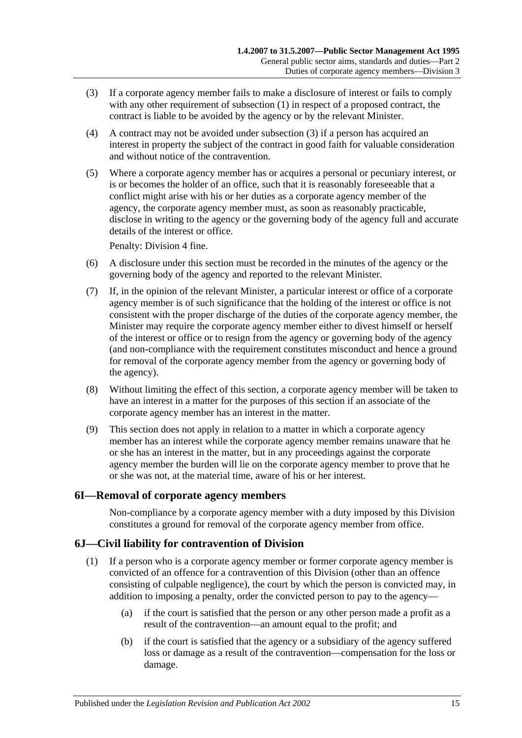- <span id="page-14-2"></span>(3) If a corporate agency member fails to make a disclosure of interest or fails to comply with any other requirement of [subsection](#page-13-3) (1) in respect of a proposed contract, the contract is liable to be avoided by the agency or by the relevant Minister.
- (4) A contract may not be avoided under [subsection](#page-14-2) (3) if a person has acquired an interest in property the subject of the contract in good faith for valuable consideration and without notice of the contravention.
- (5) Where a corporate agency member has or acquires a personal or pecuniary interest, or is or becomes the holder of an office, such that it is reasonably foreseeable that a conflict might arise with his or her duties as a corporate agency member of the agency, the corporate agency member must, as soon as reasonably practicable, disclose in writing to the agency or the governing body of the agency full and accurate details of the interest or office.

Penalty: Division 4 fine.

- (6) A disclosure under this section must be recorded in the minutes of the agency or the governing body of the agency and reported to the relevant Minister.
- (7) If, in the opinion of the relevant Minister, a particular interest or office of a corporate agency member is of such significance that the holding of the interest or office is not consistent with the proper discharge of the duties of the corporate agency member, the Minister may require the corporate agency member either to divest himself or herself of the interest or office or to resign from the agency or governing body of the agency (and non-compliance with the requirement constitutes misconduct and hence a ground for removal of the corporate agency member from the agency or governing body of the agency).
- (8) Without limiting the effect of this section, a corporate agency member will be taken to have an interest in a matter for the purposes of this section if an associate of the corporate agency member has an interest in the matter.
- (9) This section does not apply in relation to a matter in which a corporate agency member has an interest while the corporate agency member remains unaware that he or she has an interest in the matter, but in any proceedings against the corporate agency member the burden will lie on the corporate agency member to prove that he or she was not, at the material time, aware of his or her interest.

## <span id="page-14-0"></span>**6I—Removal of corporate agency members**

Non-compliance by a corporate agency member with a duty imposed by this Division constitutes a ground for removal of the corporate agency member from office.

## <span id="page-14-1"></span>**6J—Civil liability for contravention of Division**

- (1) If a person who is a corporate agency member or former corporate agency member is convicted of an offence for a contravention of this Division (other than an offence consisting of culpable negligence), the court by which the person is convicted may, in addition to imposing a penalty, order the convicted person to pay to the agency—
	- (a) if the court is satisfied that the person or any other person made a profit as a result of the contravention—an amount equal to the profit; and
	- (b) if the court is satisfied that the agency or a subsidiary of the agency suffered loss or damage as a result of the contravention—compensation for the loss or damage.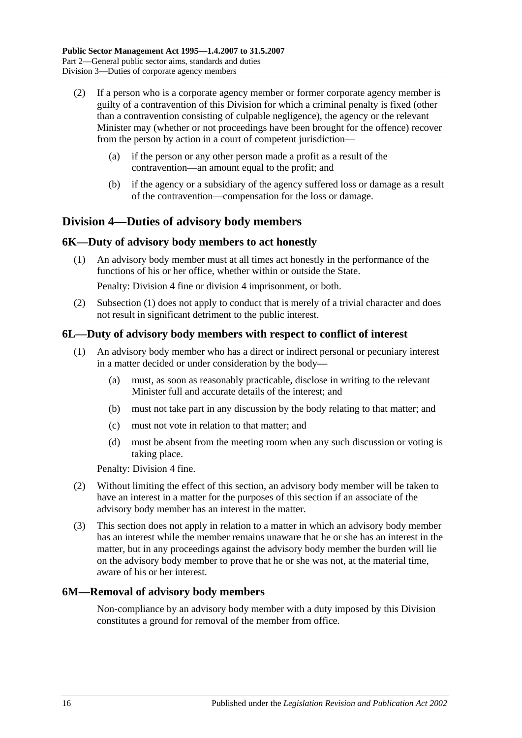- (2) If a person who is a corporate agency member or former corporate agency member is guilty of a contravention of this Division for which a criminal penalty is fixed (other than a contravention consisting of culpable negligence), the agency or the relevant Minister may (whether or not proceedings have been brought for the offence) recover from the person by action in a court of competent jurisdiction—
	- (a) if the person or any other person made a profit as a result of the contravention—an amount equal to the profit; and
	- (b) if the agency or a subsidiary of the agency suffered loss or damage as a result of the contravention—compensation for the loss or damage.

## <span id="page-15-0"></span>**Division 4—Duties of advisory body members**

## <span id="page-15-4"></span><span id="page-15-1"></span>**6K—Duty of advisory body members to act honestly**

(1) An advisory body member must at all times act honestly in the performance of the functions of his or her office, whether within or outside the State.

Penalty: Division 4 fine or division 4 imprisonment, or both.

(2) [Subsection](#page-15-4) (1) does not apply to conduct that is merely of a trivial character and does not result in significant detriment to the public interest.

#### <span id="page-15-2"></span>**6L—Duty of advisory body members with respect to conflict of interest**

- (1) An advisory body member who has a direct or indirect personal or pecuniary interest in a matter decided or under consideration by the body—
	- (a) must, as soon as reasonably practicable, disclose in writing to the relevant Minister full and accurate details of the interest; and
	- (b) must not take part in any discussion by the body relating to that matter; and
	- (c) must not vote in relation to that matter; and
	- (d) must be absent from the meeting room when any such discussion or voting is taking place.

Penalty: Division 4 fine.

- (2) Without limiting the effect of this section, an advisory body member will be taken to have an interest in a matter for the purposes of this section if an associate of the advisory body member has an interest in the matter.
- (3) This section does not apply in relation to a matter in which an advisory body member has an interest while the member remains unaware that he or she has an interest in the matter, but in any proceedings against the advisory body member the burden will lie on the advisory body member to prove that he or she was not, at the material time, aware of his or her interest.

#### <span id="page-15-3"></span>**6M—Removal of advisory body members**

Non-compliance by an advisory body member with a duty imposed by this Division constitutes a ground for removal of the member from office.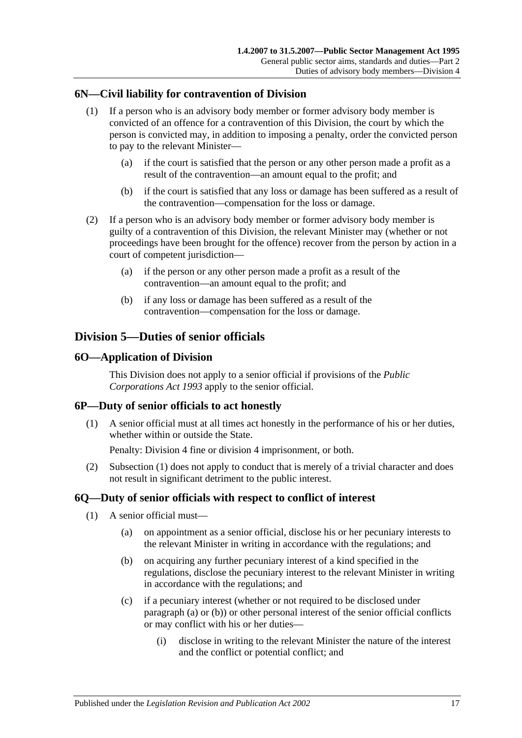## <span id="page-16-0"></span>**6N—Civil liability for contravention of Division**

- (1) If a person who is an advisory body member or former advisory body member is convicted of an offence for a contravention of this Division, the court by which the person is convicted may, in addition to imposing a penalty, order the convicted person to pay to the relevant Minister—
	- (a) if the court is satisfied that the person or any other person made a profit as a result of the contravention—an amount equal to the profit; and
	- (b) if the court is satisfied that any loss or damage has been suffered as a result of the contravention—compensation for the loss or damage.
- (2) If a person who is an advisory body member or former advisory body member is guilty of a contravention of this Division, the relevant Minister may (whether or not proceedings have been brought for the offence) recover from the person by action in a court of competent jurisdiction—
	- (a) if the person or any other person made a profit as a result of the contravention—an amount equal to the profit; and
	- (b) if any loss or damage has been suffered as a result of the contravention—compensation for the loss or damage.

## <span id="page-16-1"></span>**Division 5—Duties of senior officials**

#### <span id="page-16-2"></span>**6O—Application of Division**

This Division does not apply to a senior official if provisions of the *[Public](http://www.legislation.sa.gov.au/index.aspx?action=legref&type=act&legtitle=Public%20Corporations%20Act%201993)  [Corporations Act](http://www.legislation.sa.gov.au/index.aspx?action=legref&type=act&legtitle=Public%20Corporations%20Act%201993) 1993* apply to the senior official.

#### <span id="page-16-5"></span><span id="page-16-3"></span>**6P—Duty of senior officials to act honestly**

(1) A senior official must at all times act honestly in the performance of his or her duties, whether within or outside the State.

Penalty: Division 4 fine or division 4 imprisonment, or both.

(2) [Subsection](#page-16-5) (1) does not apply to conduct that is merely of a trivial character and does not result in significant detriment to the public interest.

#### <span id="page-16-8"></span><span id="page-16-4"></span>**6Q—Duty of senior officials with respect to conflict of interest**

- <span id="page-16-7"></span><span id="page-16-6"></span>(1) A senior official must—
	- (a) on appointment as a senior official, disclose his or her pecuniary interests to the relevant Minister in writing in accordance with the regulations; and
	- (b) on acquiring any further pecuniary interest of a kind specified in the regulations, disclose the pecuniary interest to the relevant Minister in writing in accordance with the regulations; and
	- (c) if a pecuniary interest (whether or not required to be disclosed under [paragraph](#page-16-6) (a) or [\(b\)\)](#page-16-7) or other personal interest of the senior official conflicts or may conflict with his or her duties—
		- (i) disclose in writing to the relevant Minister the nature of the interest and the conflict or potential conflict; and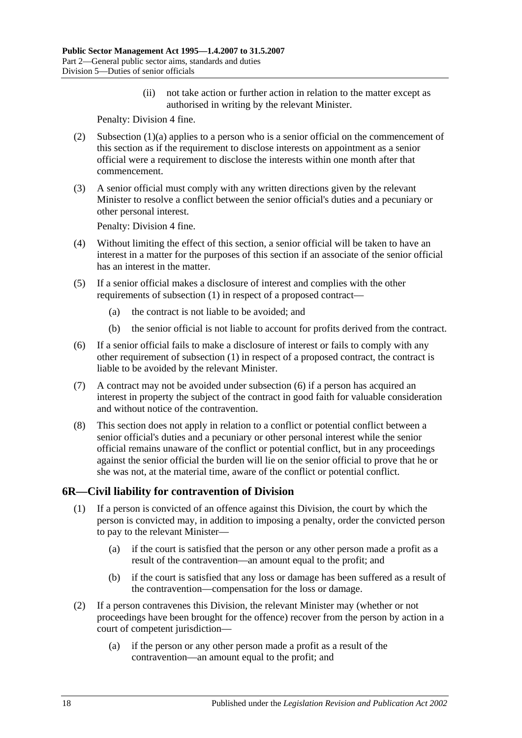(ii) not take action or further action in relation to the matter except as authorised in writing by the relevant Minister.

Penalty: Division 4 fine.

- (2) [Subsection](#page-16-6) (1)(a) applies to a person who is a senior official on the commencement of this section as if the requirement to disclose interests on appointment as a senior official were a requirement to disclose the interests within one month after that commencement.
- (3) A senior official must comply with any written directions given by the relevant Minister to resolve a conflict between the senior official's duties and a pecuniary or other personal interest.

Penalty: Division 4 fine.

- (4) Without limiting the effect of this section, a senior official will be taken to have an interest in a matter for the purposes of this section if an associate of the senior official has an interest in the matter.
- (5) If a senior official makes a disclosure of interest and complies with the other requirements of [subsection](#page-16-8) (1) in respect of a proposed contract—
	- (a) the contract is not liable to be avoided; and
	- (b) the senior official is not liable to account for profits derived from the contract.
- <span id="page-17-1"></span>(6) If a senior official fails to make a disclosure of interest or fails to comply with any other requirement of [subsection](#page-16-8) (1) in respect of a proposed contract, the contract is liable to be avoided by the relevant Minister.
- (7) A contract may not be avoided under [subsection](#page-17-1) (6) if a person has acquired an interest in property the subject of the contract in good faith for valuable consideration and without notice of the contravention.
- (8) This section does not apply in relation to a conflict or potential conflict between a senior official's duties and a pecuniary or other personal interest while the senior official remains unaware of the conflict or potential conflict, but in any proceedings against the senior official the burden will lie on the senior official to prove that he or she was not, at the material time, aware of the conflict or potential conflict.

## <span id="page-17-0"></span>**6R—Civil liability for contravention of Division**

- (1) If a person is convicted of an offence against this Division, the court by which the person is convicted may, in addition to imposing a penalty, order the convicted person to pay to the relevant Minister—
	- (a) if the court is satisfied that the person or any other person made a profit as a result of the contravention—an amount equal to the profit; and
	- (b) if the court is satisfied that any loss or damage has been suffered as a result of the contravention—compensation for the loss or damage.
- (2) If a person contravenes this Division, the relevant Minister may (whether or not proceedings have been brought for the offence) recover from the person by action in a court of competent jurisdiction—
	- (a) if the person or any other person made a profit as a result of the contravention—an amount equal to the profit; and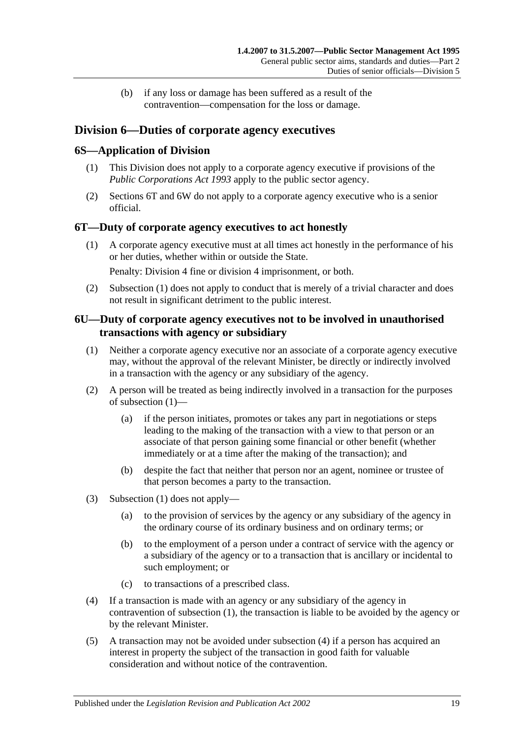(b) if any loss or damage has been suffered as a result of the contravention—compensation for the loss or damage.

## <span id="page-18-0"></span>**Division 6—Duties of corporate agency executives**

## <span id="page-18-1"></span>**6S—Application of Division**

- (1) This Division does not apply to a corporate agency executive if provisions of the *[Public Corporations Act](http://www.legislation.sa.gov.au/index.aspx?action=legref&type=act&legtitle=Public%20Corporations%20Act%201993) 1993* apply to the public sector agency.
- (2) [Sections](#page-18-2) 6T and [6W](#page-19-1) do not apply to a corporate agency executive who is a senior official.

## <span id="page-18-4"></span><span id="page-18-2"></span>**6T—Duty of corporate agency executives to act honestly**

(1) A corporate agency executive must at all times act honestly in the performance of his or her duties, whether within or outside the State.

Penalty: Division 4 fine or division 4 imprisonment, or both.

(2) [Subsection](#page-18-4) (1) does not apply to conduct that is merely of a trivial character and does not result in significant detriment to the public interest.

## <span id="page-18-3"></span>**6U—Duty of corporate agency executives not to be involved in unauthorised transactions with agency or subsidiary**

- <span id="page-18-5"></span>(1) Neither a corporate agency executive nor an associate of a corporate agency executive may, without the approval of the relevant Minister, be directly or indirectly involved in a transaction with the agency or any subsidiary of the agency.
- (2) A person will be treated as being indirectly involved in a transaction for the purposes of [subsection](#page-18-5) (1)—
	- (a) if the person initiates, promotes or takes any part in negotiations or steps leading to the making of the transaction with a view to that person or an associate of that person gaining some financial or other benefit (whether immediately or at a time after the making of the transaction); and
	- (b) despite the fact that neither that person nor an agent, nominee or trustee of that person becomes a party to the transaction.
- (3) [Subsection](#page-18-5) (1) does not apply—
	- (a) to the provision of services by the agency or any subsidiary of the agency in the ordinary course of its ordinary business and on ordinary terms; or
	- (b) to the employment of a person under a contract of service with the agency or a subsidiary of the agency or to a transaction that is ancillary or incidental to such employment; or
	- (c) to transactions of a prescribed class.
- <span id="page-18-6"></span>(4) If a transaction is made with an agency or any subsidiary of the agency in contravention of [subsection](#page-18-5) (1), the transaction is liable to be avoided by the agency or by the relevant Minister.
- (5) A transaction may not be avoided under [subsection](#page-18-6) (4) if a person has acquired an interest in property the subject of the transaction in good faith for valuable consideration and without notice of the contravention.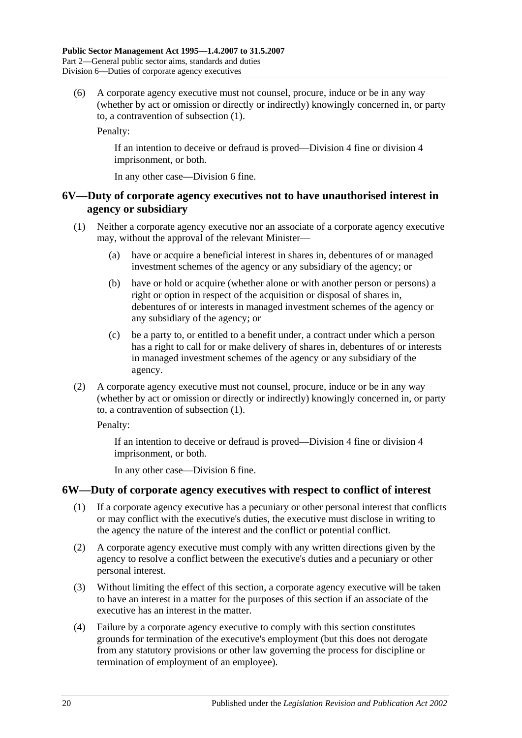(6) A corporate agency executive must not counsel, procure, induce or be in any way (whether by act or omission or directly or indirectly) knowingly concerned in, or party to, a contravention of [subsection](#page-18-5) (1).

Penalty:

If an intention to deceive or defraud is proved—Division 4 fine or division 4 imprisonment, or both.

In any other case—Division 6 fine.

## <span id="page-19-0"></span>**6V—Duty of corporate agency executives not to have unauthorised interest in agency or subsidiary**

- <span id="page-19-2"></span>(1) Neither a corporate agency executive nor an associate of a corporate agency executive may, without the approval of the relevant Minister—
	- (a) have or acquire a beneficial interest in shares in, debentures of or managed investment schemes of the agency or any subsidiary of the agency; or
	- (b) have or hold or acquire (whether alone or with another person or persons) a right or option in respect of the acquisition or disposal of shares in, debentures of or interests in managed investment schemes of the agency or any subsidiary of the agency; or
	- (c) be a party to, or entitled to a benefit under, a contract under which a person has a right to call for or make delivery of shares in, debentures of or interests in managed investment schemes of the agency or any subsidiary of the agency.
- (2) A corporate agency executive must not counsel, procure, induce or be in any way (whether by act or omission or directly or indirectly) knowingly concerned in, or party to, a contravention of [subsection](#page-19-2) (1).

Penalty:

If an intention to deceive or defraud is proved—Division 4 fine or division 4 imprisonment, or both.

In any other case—Division 6 fine.

## <span id="page-19-3"></span><span id="page-19-1"></span>**6W—Duty of corporate agency executives with respect to conflict of interest**

- (1) If a corporate agency executive has a pecuniary or other personal interest that conflicts or may conflict with the executive's duties, the executive must disclose in writing to the agency the nature of the interest and the conflict or potential conflict.
- (2) A corporate agency executive must comply with any written directions given by the agency to resolve a conflict between the executive's duties and a pecuniary or other personal interest.
- (3) Without limiting the effect of this section, a corporate agency executive will be taken to have an interest in a matter for the purposes of this section if an associate of the executive has an interest in the matter.
- (4) Failure by a corporate agency executive to comply with this section constitutes grounds for termination of the executive's employment (but this does not derogate from any statutory provisions or other law governing the process for discipline or termination of employment of an employee).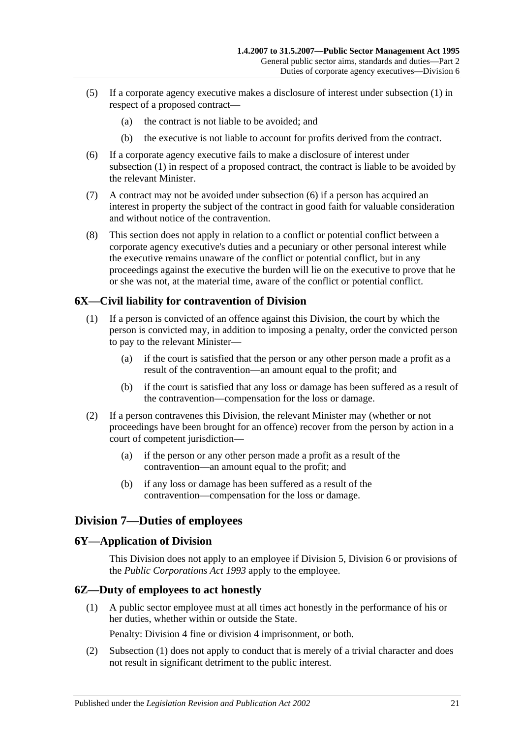- (5) If a corporate agency executive makes a disclosure of interest under [subsection](#page-19-3) (1) in respect of a proposed contract—
	- (a) the contract is not liable to be avoided; and
	- (b) the executive is not liable to account for profits derived from the contract.
- <span id="page-20-4"></span>(6) If a corporate agency executive fails to make a disclosure of interest under [subsection](#page-19-3) (1) in respect of a proposed contract, the contract is liable to be avoided by the relevant Minister.
- (7) A contract may not be avoided under [subsection](#page-20-4) (6) if a person has acquired an interest in property the subject of the contract in good faith for valuable consideration and without notice of the contravention.
- (8) This section does not apply in relation to a conflict or potential conflict between a corporate agency executive's duties and a pecuniary or other personal interest while the executive remains unaware of the conflict or potential conflict, but in any proceedings against the executive the burden will lie on the executive to prove that he or she was not, at the material time, aware of the conflict or potential conflict.

## <span id="page-20-0"></span>**6X—Civil liability for contravention of Division**

- (1) If a person is convicted of an offence against this Division, the court by which the person is convicted may, in addition to imposing a penalty, order the convicted person to pay to the relevant Minister—
	- (a) if the court is satisfied that the person or any other person made a profit as a result of the contravention—an amount equal to the profit; and
	- (b) if the court is satisfied that any loss or damage has been suffered as a result of the contravention—compensation for the loss or damage.
- (2) If a person contravenes this Division, the relevant Minister may (whether or not proceedings have been brought for an offence) recover from the person by action in a court of competent jurisdiction—
	- (a) if the person or any other person made a profit as a result of the contravention—an amount equal to the profit; and
	- (b) if any loss or damage has been suffered as a result of the contravention—compensation for the loss or damage.

## <span id="page-20-1"></span>**Division 7—Duties of employees**

#### <span id="page-20-2"></span>**6Y—Application of Division**

This Division does not apply to an employee if [Division 5,](#page-16-1) [Division 6](#page-18-0) or provisions of the *[Public Corporations Act](http://www.legislation.sa.gov.au/index.aspx?action=legref&type=act&legtitle=Public%20Corporations%20Act%201993) 1993* apply to the employee.

#### <span id="page-20-5"></span><span id="page-20-3"></span>**6Z—Duty of employees to act honestly**

(1) A public sector employee must at all times act honestly in the performance of his or her duties, whether within or outside the State.

Penalty: Division 4 fine or division 4 imprisonment, or both.

(2) [Subsection](#page-20-5) (1) does not apply to conduct that is merely of a trivial character and does not result in significant detriment to the public interest.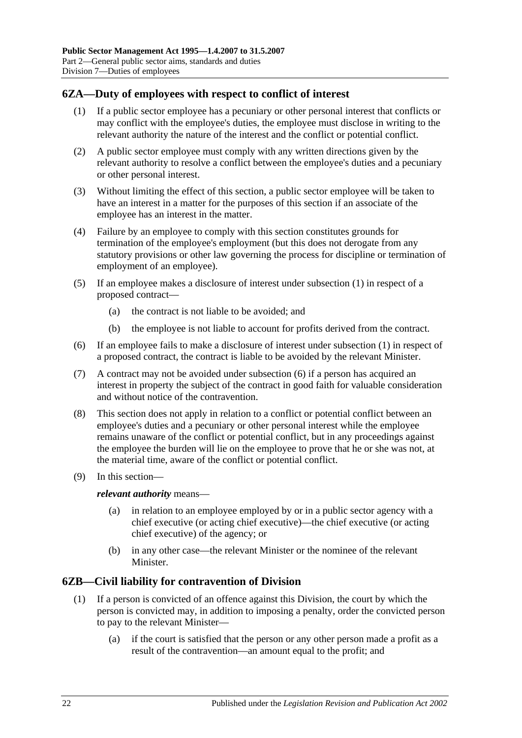## <span id="page-21-2"></span><span id="page-21-0"></span>**6ZA—Duty of employees with respect to conflict of interest**

- (1) If a public sector employee has a pecuniary or other personal interest that conflicts or may conflict with the employee's duties, the employee must disclose in writing to the relevant authority the nature of the interest and the conflict or potential conflict.
- (2) A public sector employee must comply with any written directions given by the relevant authority to resolve a conflict between the employee's duties and a pecuniary or other personal interest.
- (3) Without limiting the effect of this section, a public sector employee will be taken to have an interest in a matter for the purposes of this section if an associate of the employee has an interest in the matter.
- (4) Failure by an employee to comply with this section constitutes grounds for termination of the employee's employment (but this does not derogate from any statutory provisions or other law governing the process for discipline or termination of employment of an employee).
- (5) If an employee makes a disclosure of interest under [subsection](#page-21-2) (1) in respect of a proposed contract—
	- (a) the contract is not liable to be avoided; and
	- (b) the employee is not liable to account for profits derived from the contract.
- <span id="page-21-3"></span>(6) If an employee fails to make a disclosure of interest under [subsection](#page-21-2) (1) in respect of a proposed contract, the contract is liable to be avoided by the relevant Minister.
- (7) A contract may not be avoided under [subsection](#page-21-3) (6) if a person has acquired an interest in property the subject of the contract in good faith for valuable consideration and without notice of the contravention.
- (8) This section does not apply in relation to a conflict or potential conflict between an employee's duties and a pecuniary or other personal interest while the employee remains unaware of the conflict or potential conflict, but in any proceedings against the employee the burden will lie on the employee to prove that he or she was not, at the material time, aware of the conflict or potential conflict.
- (9) In this section—

*relevant authority* means—

- (a) in relation to an employee employed by or in a public sector agency with a chief executive (or acting chief executive)—the chief executive (or acting chief executive) of the agency; or
- (b) in any other case—the relevant Minister or the nominee of the relevant Minister.

## <span id="page-21-1"></span>**6ZB—Civil liability for contravention of Division**

- (1) If a person is convicted of an offence against this Division, the court by which the person is convicted may, in addition to imposing a penalty, order the convicted person to pay to the relevant Minister—
	- (a) if the court is satisfied that the person or any other person made a profit as a result of the contravention—an amount equal to the profit; and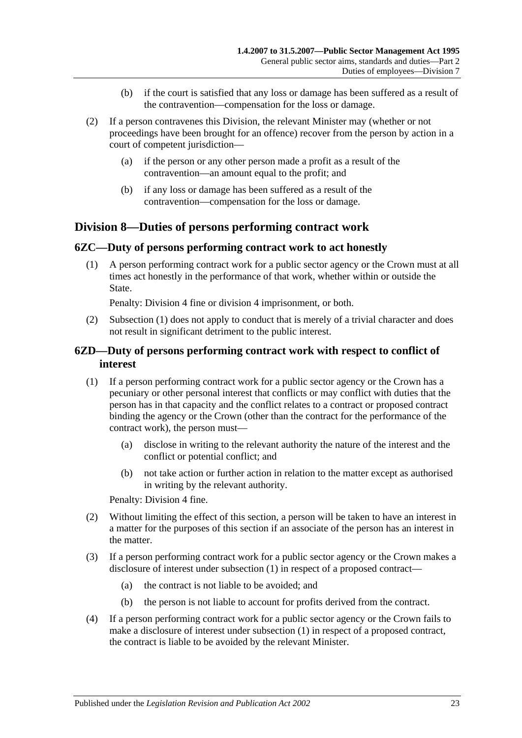- (b) if the court is satisfied that any loss or damage has been suffered as a result of the contravention—compensation for the loss or damage.
- (2) If a person contravenes this Division, the relevant Minister may (whether or not proceedings have been brought for an offence) recover from the person by action in a court of competent jurisdiction—
	- (a) if the person or any other person made a profit as a result of the contravention—an amount equal to the profit; and
	- (b) if any loss or damage has been suffered as a result of the contravention—compensation for the loss or damage.

## <span id="page-22-0"></span>**Division 8—Duties of persons performing contract work**

#### <span id="page-22-3"></span><span id="page-22-1"></span>**6ZC—Duty of persons performing contract work to act honestly**

(1) A person performing contract work for a public sector agency or the Crown must at all times act honestly in the performance of that work, whether within or outside the State.

Penalty: Division 4 fine or division 4 imprisonment, or both.

(2) [Subsection](#page-22-3) (1) does not apply to conduct that is merely of a trivial character and does not result in significant detriment to the public interest.

## <span id="page-22-2"></span>**6ZD—Duty of persons performing contract work with respect to conflict of interest**

- <span id="page-22-4"></span>(1) If a person performing contract work for a public sector agency or the Crown has a pecuniary or other personal interest that conflicts or may conflict with duties that the person has in that capacity and the conflict relates to a contract or proposed contract binding the agency or the Crown (other than the contract for the performance of the contract work), the person must—
	- (a) disclose in writing to the relevant authority the nature of the interest and the conflict or potential conflict; and
	- (b) not take action or further action in relation to the matter except as authorised in writing by the relevant authority.

Penalty: Division 4 fine.

- (2) Without limiting the effect of this section, a person will be taken to have an interest in a matter for the purposes of this section if an associate of the person has an interest in the matter.
- (3) If a person performing contract work for a public sector agency or the Crown makes a disclosure of interest under [subsection](#page-22-4) (1) in respect of a proposed contract—
	- (a) the contract is not liable to be avoided; and
	- (b) the person is not liable to account for profits derived from the contract.
- <span id="page-22-5"></span>(4) If a person performing contract work for a public sector agency or the Crown fails to make a disclosure of interest under [subsection](#page-22-4) (1) in respect of a proposed contract, the contract is liable to be avoided by the relevant Minister.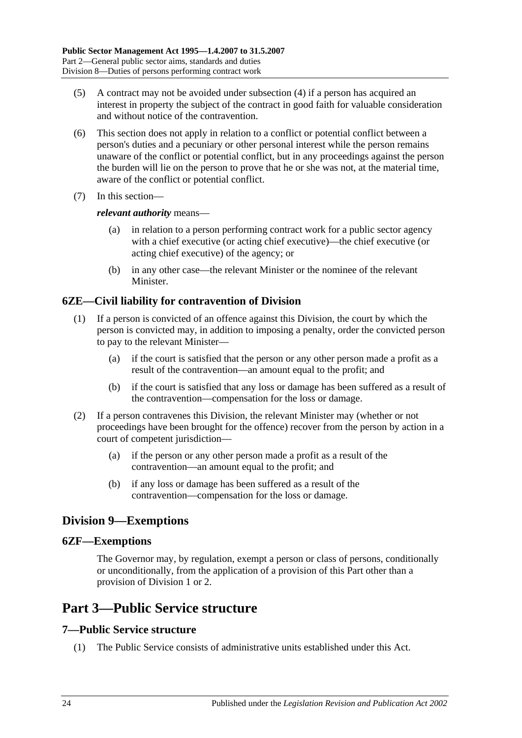- (5) A contract may not be avoided under [subsection](#page-22-5) (4) if a person has acquired an interest in property the subject of the contract in good faith for valuable consideration and without notice of the contravention.
- (6) This section does not apply in relation to a conflict or potential conflict between a person's duties and a pecuniary or other personal interest while the person remains unaware of the conflict or potential conflict, but in any proceedings against the person the burden will lie on the person to prove that he or she was not, at the material time, aware of the conflict or potential conflict.
- (7) In this section—

#### *relevant authority* means—

- (a) in relation to a person performing contract work for a public sector agency with a chief executive (or acting chief executive)—the chief executive (or acting chief executive) of the agency; or
- (b) in any other case—the relevant Minister or the nominee of the relevant **Minister**

## <span id="page-23-0"></span>**6ZE—Civil liability for contravention of Division**

- (1) If a person is convicted of an offence against this Division, the court by which the person is convicted may, in addition to imposing a penalty, order the convicted person to pay to the relevant Minister—
	- (a) if the court is satisfied that the person or any other person made a profit as a result of the contravention—an amount equal to the profit; and
	- (b) if the court is satisfied that any loss or damage has been suffered as a result of the contravention—compensation for the loss or damage.
- (2) If a person contravenes this Division, the relevant Minister may (whether or not proceedings have been brought for the offence) recover from the person by action in a court of competent jurisdiction—
	- (a) if the person or any other person made a profit as a result of the contravention—an amount equal to the profit; and
	- (b) if any loss or damage has been suffered as a result of the contravention—compensation for the loss or damage.

## <span id="page-23-1"></span>**Division 9—Exemptions**

## <span id="page-23-2"></span>**6ZF—Exemptions**

The Governor may, by regulation, exempt a person or class of persons, conditionally or unconditionally, from the application of a provision of this Part other than a provision of [Division 1](#page-9-1) or [2.](#page-11-0)

## <span id="page-23-3"></span>**Part 3—Public Service structure**

## <span id="page-23-4"></span>**7—Public Service structure**

(1) The Public Service consists of administrative units established under this Act.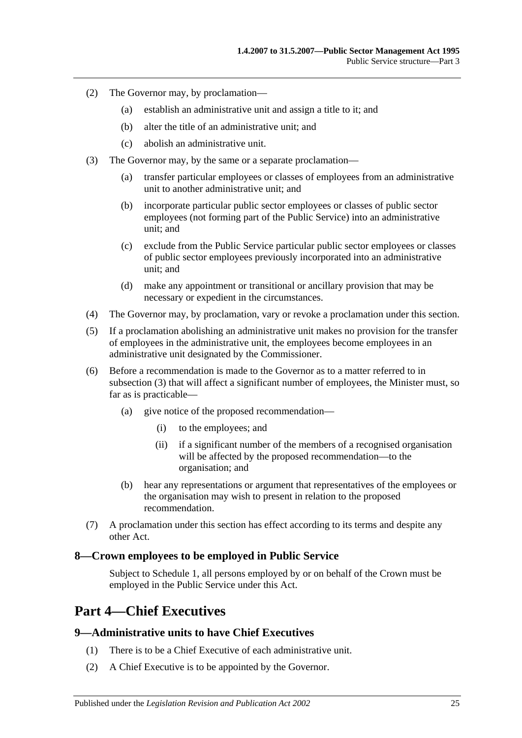- (2) The Governor may, by proclamation—
	- (a) establish an administrative unit and assign a title to it; and
	- (b) alter the title of an administrative unit; and
	- (c) abolish an administrative unit.
- <span id="page-24-3"></span>(3) The Governor may, by the same or a separate proclamation—
	- (a) transfer particular employees or classes of employees from an administrative unit to another administrative unit; and
	- (b) incorporate particular public sector employees or classes of public sector employees (not forming part of the Public Service) into an administrative unit; and
	- (c) exclude from the Public Service particular public sector employees or classes of public sector employees previously incorporated into an administrative unit; and
	- (d) make any appointment or transitional or ancillary provision that may be necessary or expedient in the circumstances.
- (4) The Governor may, by proclamation, vary or revoke a proclamation under this section.
- (5) If a proclamation abolishing an administrative unit makes no provision for the transfer of employees in the administrative unit, the employees become employees in an administrative unit designated by the Commissioner.
- (6) Before a recommendation is made to the Governor as to a matter referred to in [subsection](#page-24-3) (3) that will affect a significant number of employees, the Minister must, so far as is practicable—
	- (a) give notice of the proposed recommendation—
		- (i) to the employees; and
		- (ii) if a significant number of the members of a recognised organisation will be affected by the proposed recommendation—to the organisation; and
	- (b) hear any representations or argument that representatives of the employees or the organisation may wish to present in relation to the proposed recommendation.
- (7) A proclamation under this section has effect according to its terms and despite any other Act.

#### <span id="page-24-0"></span>**8—Crown employees to be employed in Public Service**

Subject to [Schedule 1,](#page-57-3) all persons employed by or on behalf of the Crown must be employed in the Public Service under this Act.

## <span id="page-24-1"></span>**Part 4—Chief Executives**

#### <span id="page-24-2"></span>**9—Administrative units to have Chief Executives**

- (1) There is to be a Chief Executive of each administrative unit.
- (2) A Chief Executive is to be appointed by the Governor.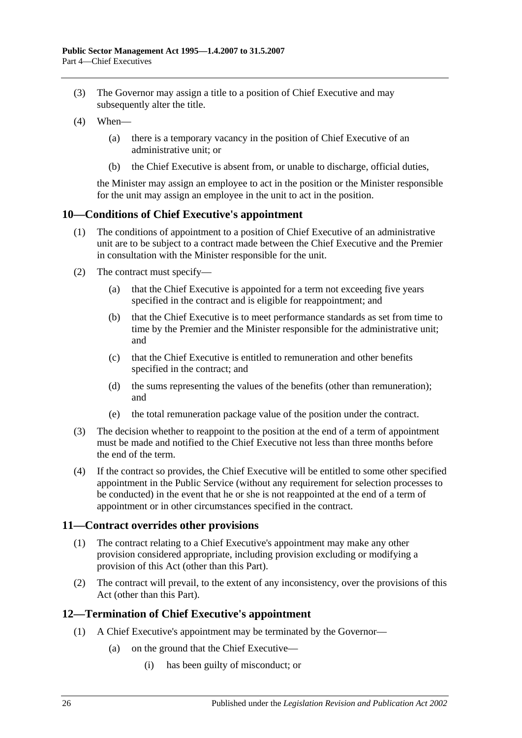- (3) The Governor may assign a title to a position of Chief Executive and may subsequently alter the title.
- (4) When—
	- (a) there is a temporary vacancy in the position of Chief Executive of an administrative unit; or
	- (b) the Chief Executive is absent from, or unable to discharge, official duties,

the Minister may assign an employee to act in the position or the Minister responsible for the unit may assign an employee in the unit to act in the position.

#### <span id="page-25-0"></span>**10—Conditions of Chief Executive's appointment**

- (1) The conditions of appointment to a position of Chief Executive of an administrative unit are to be subject to a contract made between the Chief Executive and the Premier in consultation with the Minister responsible for the unit.
- (2) The contract must specify—
	- (a) that the Chief Executive is appointed for a term not exceeding five years specified in the contract and is eligible for reappointment; and
	- (b) that the Chief Executive is to meet performance standards as set from time to time by the Premier and the Minister responsible for the administrative unit; and
	- (c) that the Chief Executive is entitled to remuneration and other benefits specified in the contract; and
	- (d) the sums representing the values of the benefits (other than remuneration); and
	- (e) the total remuneration package value of the position under the contract.
- (3) The decision whether to reappoint to the position at the end of a term of appointment must be made and notified to the Chief Executive not less than three months before the end of the term.
- (4) If the contract so provides, the Chief Executive will be entitled to some other specified appointment in the Public Service (without any requirement for selection processes to be conducted) in the event that he or she is not reappointed at the end of a term of appointment or in other circumstances specified in the contract.

## <span id="page-25-1"></span>**11—Contract overrides other provisions**

- (1) The contract relating to a Chief Executive's appointment may make any other provision considered appropriate, including provision excluding or modifying a provision of this Act (other than this Part).
- (2) The contract will prevail, to the extent of any inconsistency, over the provisions of this Act (other than this Part).

## <span id="page-25-2"></span>**12—Termination of Chief Executive's appointment**

- (1) A Chief Executive's appointment may be terminated by the Governor—
	- (a) on the ground that the Chief Executive—
		- (i) has been guilty of misconduct; or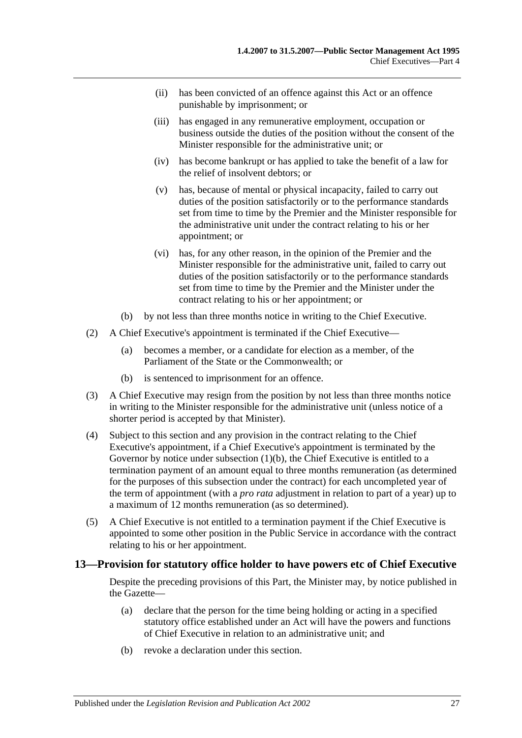- (ii) has been convicted of an offence against this Act or an offence punishable by imprisonment; or
- (iii) has engaged in any remunerative employment, occupation or business outside the duties of the position without the consent of the Minister responsible for the administrative unit; or
- (iv) has become bankrupt or has applied to take the benefit of a law for the relief of insolvent debtors; or
- (v) has, because of mental or physical incapacity, failed to carry out duties of the position satisfactorily or to the performance standards set from time to time by the Premier and the Minister responsible for the administrative unit under the contract relating to his or her appointment; or
- (vi) has, for any other reason, in the opinion of the Premier and the Minister responsible for the administrative unit, failed to carry out duties of the position satisfactorily or to the performance standards set from time to time by the Premier and the Minister under the contract relating to his or her appointment; or
- (b) by not less than three months notice in writing to the Chief Executive.
- <span id="page-26-1"></span>(2) A Chief Executive's appointment is terminated if the Chief Executive—
	- (a) becomes a member, or a candidate for election as a member, of the Parliament of the State or the Commonwealth; or
	- (b) is sentenced to imprisonment for an offence.
- (3) A Chief Executive may resign from the position by not less than three months notice in writing to the Minister responsible for the administrative unit (unless notice of a shorter period is accepted by that Minister).
- (4) Subject to this section and any provision in the contract relating to the Chief Executive's appointment, if a Chief Executive's appointment is terminated by the Governor by notice under [subsection](#page-26-1) (1)(b), the Chief Executive is entitled to a termination payment of an amount equal to three months remuneration (as determined for the purposes of this subsection under the contract) for each uncompleted year of the term of appointment (with a *pro rata* adjustment in relation to part of a year) up to a maximum of 12 months remuneration (as so determined).
- (5) A Chief Executive is not entitled to a termination payment if the Chief Executive is appointed to some other position in the Public Service in accordance with the contract relating to his or her appointment.

## <span id="page-26-0"></span>**13—Provision for statutory office holder to have powers etc of Chief Executive**

Despite the preceding provisions of this Part, the Minister may, by notice published in the Gazette—

- (a) declare that the person for the time being holding or acting in a specified statutory office established under an Act will have the powers and functions of Chief Executive in relation to an administrative unit; and
- (b) revoke a declaration under this section.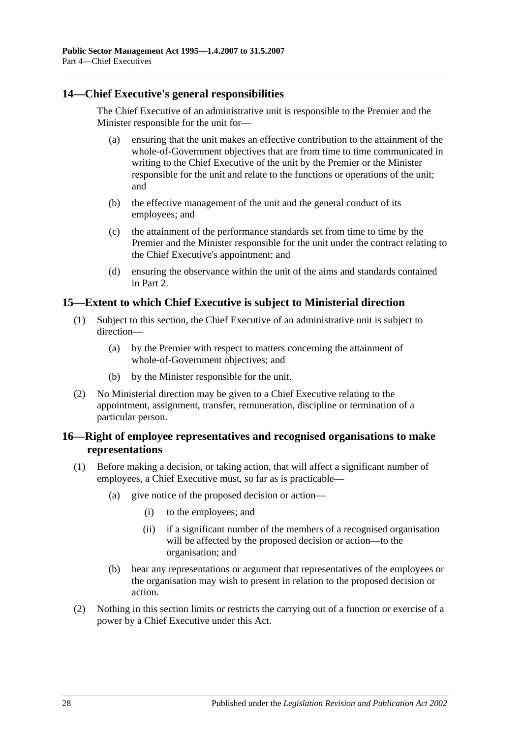## <span id="page-27-0"></span>**14—Chief Executive's general responsibilities**

The Chief Executive of an administrative unit is responsible to the Premier and the Minister responsible for the unit for—

- (a) ensuring that the unit makes an effective contribution to the attainment of the whole-of-Government objectives that are from time to time communicated in writing to the Chief Executive of the unit by the Premier or the Minister responsible for the unit and relate to the functions or operations of the unit; and
- (b) the effective management of the unit and the general conduct of its employees; and
- (c) the attainment of the performance standards set from time to time by the Premier and the Minister responsible for the unit under the contract relating to the Chief Executive's appointment; and
- (d) ensuring the observance within the unit of the aims and standards contained in Part 2.

#### <span id="page-27-1"></span>**15—Extent to which Chief Executive is subject to Ministerial direction**

- (1) Subject to this section, the Chief Executive of an administrative unit is subject to direction—
	- (a) by the Premier with respect to matters concerning the attainment of whole-of-Government objectives; and
	- (b) by the Minister responsible for the unit.
- (2) No Ministerial direction may be given to a Chief Executive relating to the appointment, assignment, transfer, remuneration, discipline or termination of a particular person.

## <span id="page-27-2"></span>**16—Right of employee representatives and recognised organisations to make representations**

- (1) Before making a decision, or taking action, that will affect a significant number of employees, a Chief Executive must, so far as is practicable—
	- (a) give notice of the proposed decision or action—
		- (i) to the employees; and
		- (ii) if a significant number of the members of a recognised organisation will be affected by the proposed decision or action—to the organisation; and
	- (b) hear any representations or argument that representatives of the employees or the organisation may wish to present in relation to the proposed decision or action.
- (2) Nothing in this section limits or restricts the carrying out of a function or exercise of a power by a Chief Executive under this Act.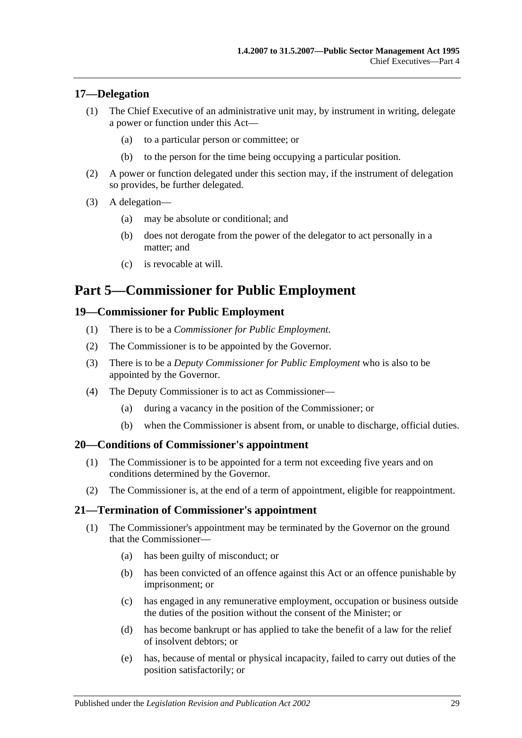## <span id="page-28-0"></span>**17—Delegation**

- (1) The Chief Executive of an administrative unit may, by instrument in writing, delegate a power or function under this Act—
	- (a) to a particular person or committee; or
	- (b) to the person for the time being occupying a particular position.
- (2) A power or function delegated under this section may, if the instrument of delegation so provides, be further delegated.
- (3) A delegation—
	- (a) may be absolute or conditional; and
	- (b) does not derogate from the power of the delegator to act personally in a matter; and
	- (c) is revocable at will.

## <span id="page-28-1"></span>**Part 5—Commissioner for Public Employment**

#### <span id="page-28-2"></span>**19—Commissioner for Public Employment**

- (1) There is to be a *Commissioner for Public Employment*.
- (2) The Commissioner is to be appointed by the Governor.
- (3) There is to be a *Deputy Commissioner for Public Employment* who is also to be appointed by the Governor.
- (4) The Deputy Commissioner is to act as Commissioner—
	- (a) during a vacancy in the position of the Commissioner; or
	- (b) when the Commissioner is absent from, or unable to discharge, official duties.

#### <span id="page-28-3"></span>**20—Conditions of Commissioner's appointment**

- (1) The Commissioner is to be appointed for a term not exceeding five years and on conditions determined by the Governor.
- (2) The Commissioner is, at the end of a term of appointment, eligible for reappointment.

#### <span id="page-28-4"></span>**21—Termination of Commissioner's appointment**

- (1) The Commissioner's appointment may be terminated by the Governor on the ground that the Commissioner—
	- (a) has been guilty of misconduct; or
	- (b) has been convicted of an offence against this Act or an offence punishable by imprisonment; or
	- (c) has engaged in any remunerative employment, occupation or business outside the duties of the position without the consent of the Minister; or
	- (d) has become bankrupt or has applied to take the benefit of a law for the relief of insolvent debtors; or
	- (e) has, because of mental or physical incapacity, failed to carry out duties of the position satisfactorily; or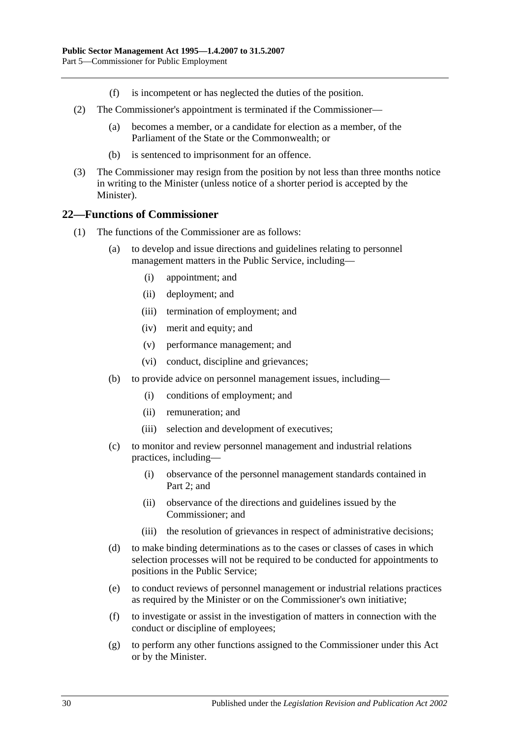- (f) is incompetent or has neglected the duties of the position.
- (2) The Commissioner's appointment is terminated if the Commissioner—
	- (a) becomes a member, or a candidate for election as a member, of the Parliament of the State or the Commonwealth; or
	- (b) is sentenced to imprisonment for an offence.
- (3) The Commissioner may resign from the position by not less than three months notice in writing to the Minister (unless notice of a shorter period is accepted by the Minister).

#### <span id="page-29-0"></span>**22—Functions of Commissioner**

- (1) The functions of the Commissioner are as follows:
	- (a) to develop and issue directions and guidelines relating to personnel management matters in the Public Service, including—
		- (i) appointment; and
		- (ii) deployment; and
		- (iii) termination of employment; and
		- (iv) merit and equity; and
		- (v) performance management; and
		- (vi) conduct, discipline and grievances;
	- (b) to provide advice on personnel management issues, including—
		- (i) conditions of employment; and
		- (ii) remuneration; and
		- (iii) selection and development of executives;
	- (c) to monitor and review personnel management and industrial relations practices, including—
		- (i) observance of the personnel management standards contained in [Part](#page-9-0) 2; and
		- (ii) observance of the directions and guidelines issued by the Commissioner; and
		- (iii) the resolution of grievances in respect of administrative decisions;
	- (d) to make binding determinations as to the cases or classes of cases in which selection processes will not be required to be conducted for appointments to positions in the Public Service;
	- (e) to conduct reviews of personnel management or industrial relations practices as required by the Minister or on the Commissioner's own initiative;
	- (f) to investigate or assist in the investigation of matters in connection with the conduct or discipline of employees;
	- (g) to perform any other functions assigned to the Commissioner under this Act or by the Minister.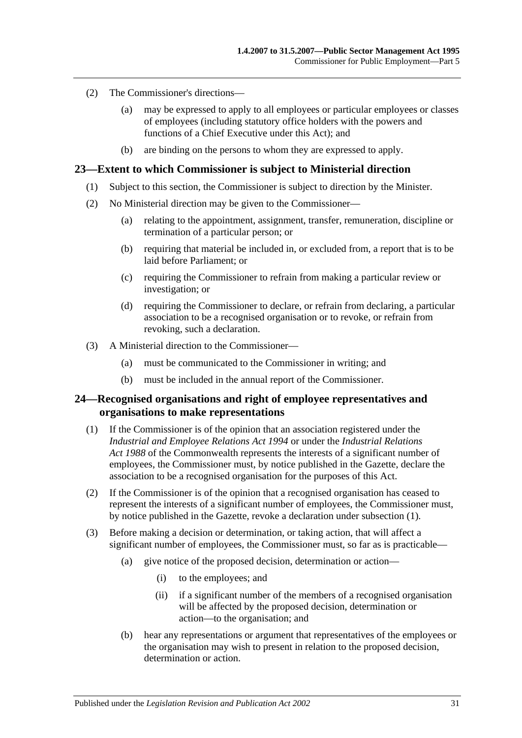- (2) The Commissioner's directions—
	- (a) may be expressed to apply to all employees or particular employees or classes of employees (including statutory office holders with the powers and functions of a Chief Executive under this Act); and
	- (b) are binding on the persons to whom they are expressed to apply.

#### <span id="page-30-0"></span>**23—Extent to which Commissioner is subject to Ministerial direction**

- (1) Subject to this section, the Commissioner is subject to direction by the Minister.
- (2) No Ministerial direction may be given to the Commissioner—
	- (a) relating to the appointment, assignment, transfer, remuneration, discipline or termination of a particular person; or
	- (b) requiring that material be included in, or excluded from, a report that is to be laid before Parliament; or
	- (c) requiring the Commissioner to refrain from making a particular review or investigation; or
	- (d) requiring the Commissioner to declare, or refrain from declaring, a particular association to be a recognised organisation or to revoke, or refrain from revoking, such a declaration.
- (3) A Ministerial direction to the Commissioner—
	- (a) must be communicated to the Commissioner in writing; and
	- (b) must be included in the annual report of the Commissioner.

#### <span id="page-30-1"></span>**24—Recognised organisations and right of employee representatives and organisations to make representations**

- <span id="page-30-2"></span>(1) If the Commissioner is of the opinion that an association registered under the *[Industrial and Employee Relations Act](http://www.legislation.sa.gov.au/index.aspx?action=legref&type=act&legtitle=Industrial%20and%20Employee%20Relations%20Act%201994) 1994* or under the *Industrial Relations Act 1988* of the Commonwealth represents the interests of a significant number of employees, the Commissioner must, by notice published in the Gazette, declare the association to be a recognised organisation for the purposes of this Act.
- (2) If the Commissioner is of the opinion that a recognised organisation has ceased to represent the interests of a significant number of employees, the Commissioner must, by notice published in the Gazette, revoke a declaration under [subsection](#page-30-2) (1).
- (3) Before making a decision or determination, or taking action, that will affect a significant number of employees, the Commissioner must, so far as is practicable—
	- (a) give notice of the proposed decision, determination or action—
		- (i) to the employees; and
		- (ii) if a significant number of the members of a recognised organisation will be affected by the proposed decision, determination or action—to the organisation; and
	- (b) hear any representations or argument that representatives of the employees or the organisation may wish to present in relation to the proposed decision, determination or action.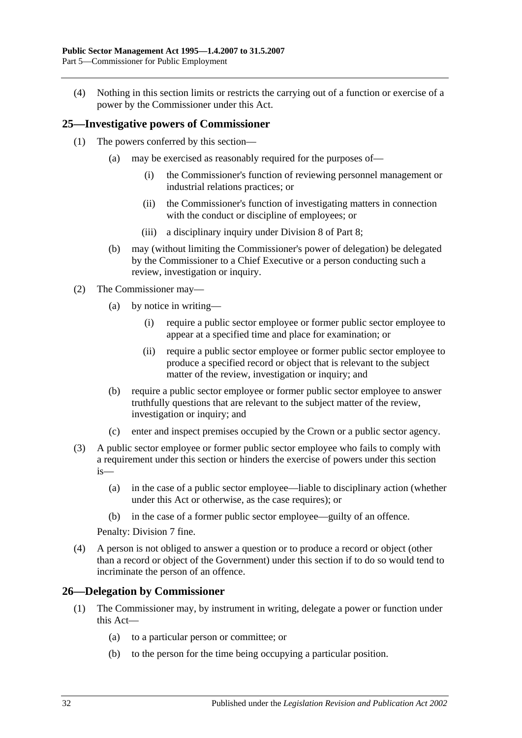(4) Nothing in this section limits or restricts the carrying out of a function or exercise of a power by the Commissioner under this Act.

## <span id="page-31-0"></span>**25—Investigative powers of Commissioner**

- (1) The powers conferred by this section—
	- (a) may be exercised as reasonably required for the purposes of—
		- (i) the Commissioner's function of reviewing personnel management or industrial relations practices; or
		- (ii) the Commissioner's function of investigating matters in connection with the conduct or discipline of employees; or
		- (iii) a disciplinary inquiry under [Division 8](#page-47-2) of [Part 8;](#page-41-0)
	- (b) may (without limiting the Commissioner's power of delegation) be delegated by the Commissioner to a Chief Executive or a person conducting such a review, investigation or inquiry.
- (2) The Commissioner may—
	- (a) by notice in writing—
		- (i) require a public sector employee or former public sector employee to appear at a specified time and place for examination; or
		- (ii) require a public sector employee or former public sector employee to produce a specified record or object that is relevant to the subject matter of the review, investigation or inquiry; and
	- (b) require a public sector employee or former public sector employee to answer truthfully questions that are relevant to the subject matter of the review, investigation or inquiry; and
	- (c) enter and inspect premises occupied by the Crown or a public sector agency.
- (3) A public sector employee or former public sector employee who fails to comply with a requirement under this section or hinders the exercise of powers under this section is—
	- (a) in the case of a public sector employee—liable to disciplinary action (whether under this Act or otherwise, as the case requires); or
	- (b) in the case of a former public sector employee—guilty of an offence.

Penalty: Division 7 fine.

(4) A person is not obliged to answer a question or to produce a record or object (other than a record or object of the Government) under this section if to do so would tend to incriminate the person of an offence.

#### <span id="page-31-1"></span>**26—Delegation by Commissioner**

- (1) The Commissioner may, by instrument in writing, delegate a power or function under this Act—
	- (a) to a particular person or committee; or
	- (b) to the person for the time being occupying a particular position.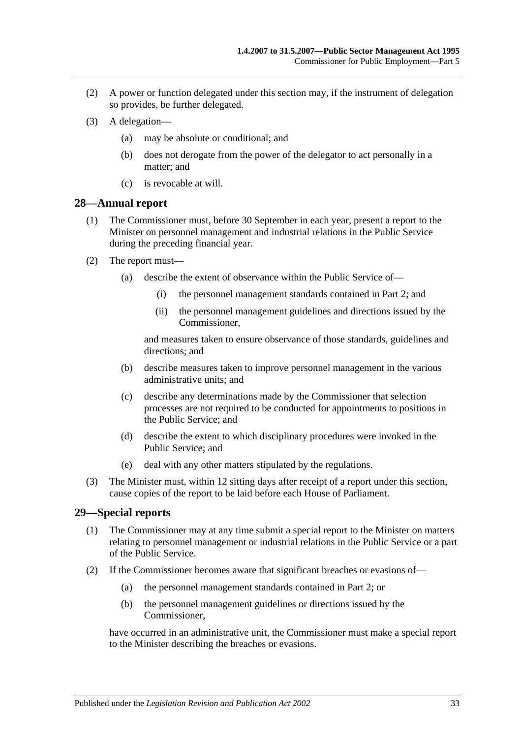- (2) A power or function delegated under this section may, if the instrument of delegation so provides, be further delegated.
- (3) A delegation—
	- (a) may be absolute or conditional; and
	- (b) does not derogate from the power of the delegator to act personally in a matter; and
	- (c) is revocable at will.

#### <span id="page-32-0"></span>**28—Annual report**

- (1) The Commissioner must, before 30 September in each year, present a report to the Minister on personnel management and industrial relations in the Public Service during the preceding financial year.
- (2) The report must—
	- (a) describe the extent of observance within the Public Service of—
		- (i) the personnel management standards contained in [Part 2;](#page-9-0) and
		- (ii) the personnel management guidelines and directions issued by the Commissioner,

and measures taken to ensure observance of those standards, guidelines and directions; and

- (b) describe measures taken to improve personnel management in the various administrative units; and
- (c) describe any determinations made by the Commissioner that selection processes are not required to be conducted for appointments to positions in the Public Service; and
- (d) describe the extent to which disciplinary procedures were invoked in the Public Service; and
- (e) deal with any other matters stipulated by the regulations.
- (3) The Minister must, within 12 sitting days after receipt of a report under this section, cause copies of the report to be laid before each House of Parliament.

## <span id="page-32-1"></span>**29—Special reports**

- (1) The Commissioner may at any time submit a special report to the Minister on matters relating to personnel management or industrial relations in the Public Service or a part of the Public Service.
- <span id="page-32-2"></span>(2) If the Commissioner becomes aware that significant breaches or evasions of—
	- (a) the personnel management standards contained in [Part 2;](#page-9-0) or
	- (b) the personnel management guidelines or directions issued by the Commissioner,

have occurred in an administrative unit, the Commissioner must make a special report to the Minister describing the breaches or evasions.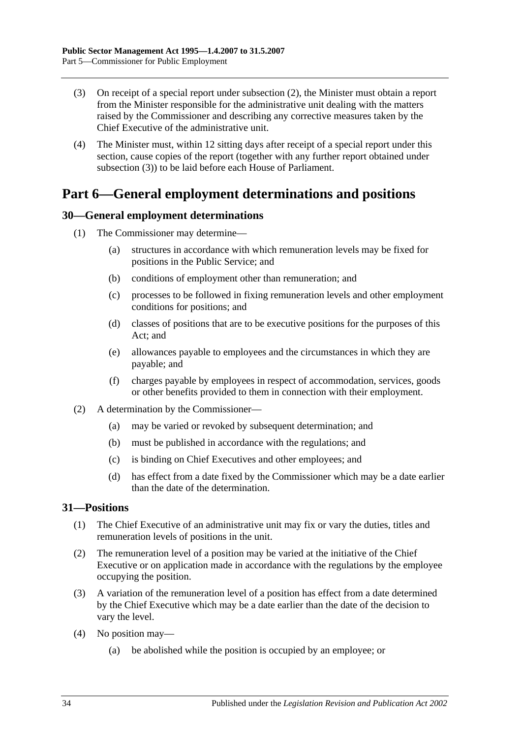- <span id="page-33-3"></span>(3) On receipt of a special report under [subsection](#page-32-2) (2), the Minister must obtain a report from the Minister responsible for the administrative unit dealing with the matters raised by the Commissioner and describing any corrective measures taken by the Chief Executive of the administrative unit.
- (4) The Minister must, within 12 sitting days after receipt of a special report under this section, cause copies of the report (together with any further report obtained under [subsection](#page-33-3) (3)) to be laid before each House of Parliament.

## <span id="page-33-0"></span>**Part 6—General employment determinations and positions**

## <span id="page-33-1"></span>**30—General employment determinations**

- (1) The Commissioner may determine—
	- (a) structures in accordance with which remuneration levels may be fixed for positions in the Public Service; and
	- (b) conditions of employment other than remuneration; and
	- (c) processes to be followed in fixing remuneration levels and other employment conditions for positions; and
	- (d) classes of positions that are to be executive positions for the purposes of this Act; and
	- (e) allowances payable to employees and the circumstances in which they are payable; and
	- (f) charges payable by employees in respect of accommodation, services, goods or other benefits provided to them in connection with their employment.
- (2) A determination by the Commissioner—
	- (a) may be varied or revoked by subsequent determination; and
	- (b) must be published in accordance with the regulations; and
	- (c) is binding on Chief Executives and other employees; and
	- (d) has effect from a date fixed by the Commissioner which may be a date earlier than the date of the determination.

## <span id="page-33-2"></span>**31—Positions**

- (1) The Chief Executive of an administrative unit may fix or vary the duties, titles and remuneration levels of positions in the unit.
- (2) The remuneration level of a position may be varied at the initiative of the Chief Executive or on application made in accordance with the regulations by the employee occupying the position.
- (3) A variation of the remuneration level of a position has effect from a date determined by the Chief Executive which may be a date earlier than the date of the decision to vary the level.
- (4) No position may—
	- (a) be abolished while the position is occupied by an employee; or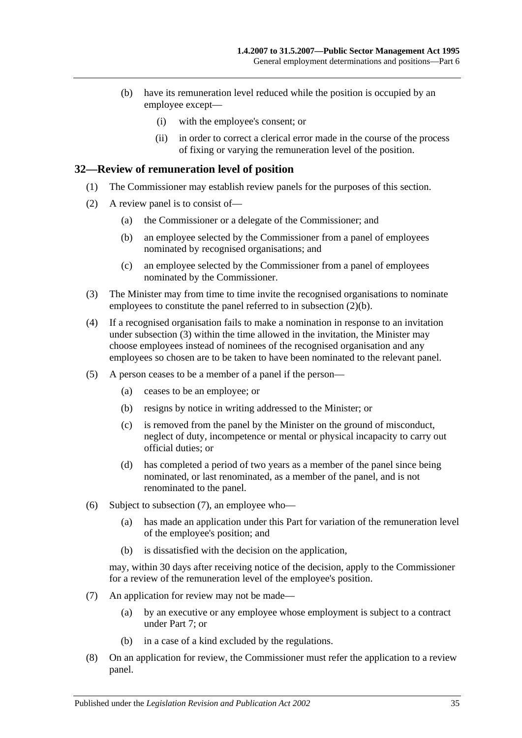- (b) have its remuneration level reduced while the position is occupied by an employee except—
	- (i) with the employee's consent; or
	- (ii) in order to correct a clerical error made in the course of the process of fixing or varying the remuneration level of the position.

#### <span id="page-34-0"></span>**32—Review of remuneration level of position**

- (1) The Commissioner may establish review panels for the purposes of this section.
- <span id="page-34-1"></span>(2) A review panel is to consist of—
	- (a) the Commissioner or a delegate of the Commissioner; and
	- (b) an employee selected by the Commissioner from a panel of employees nominated by recognised organisations; and
	- (c) an employee selected by the Commissioner from a panel of employees nominated by the Commissioner.
- <span id="page-34-2"></span>(3) The Minister may from time to time invite the recognised organisations to nominate employees to constitute the panel referred to in [subsection](#page-34-1) (2)(b).
- (4) If a recognised organisation fails to make a nomination in response to an invitation under [subsection](#page-34-2) (3) within the time allowed in the invitation, the Minister may choose employees instead of nominees of the recognised organisation and any employees so chosen are to be taken to have been nominated to the relevant panel.
- (5) A person ceases to be a member of a panel if the person—
	- (a) ceases to be an employee; or
	- (b) resigns by notice in writing addressed to the Minister; or
	- (c) is removed from the panel by the Minister on the ground of misconduct, neglect of duty, incompetence or mental or physical incapacity to carry out official duties; or
	- (d) has completed a period of two years as a member of the panel since being nominated, or last renominated, as a member of the panel, and is not renominated to the panel.
- (6) Subject to [subsection](#page-34-3) (7), an employee who—
	- (a) has made an application under this Part for variation of the remuneration level of the employee's position; and
	- (b) is dissatisfied with the decision on the application,

may, within 30 days after receiving notice of the decision, apply to the Commissioner for a review of the remuneration level of the employee's position.

- <span id="page-34-3"></span>(7) An application for review may not be made—
	- (a) by an executive or any employee whose employment is subject to a contract under [Part 7;](#page-35-0) or
	- (b) in a case of a kind excluded by the regulations.
- (8) On an application for review, the Commissioner must refer the application to a review panel.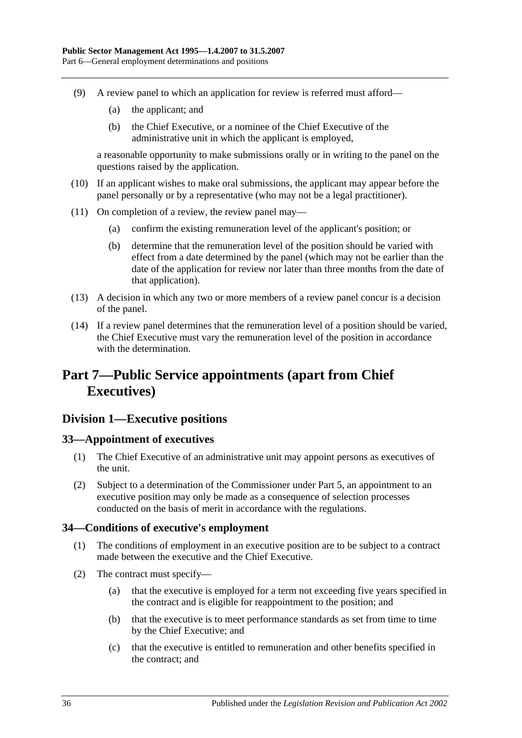- (9) A review panel to which an application for review is referred must afford—
	- (a) the applicant; and
	- (b) the Chief Executive, or a nominee of the Chief Executive of the administrative unit in which the applicant is employed,

a reasonable opportunity to make submissions orally or in writing to the panel on the questions raised by the application.

- (10) If an applicant wishes to make oral submissions, the applicant may appear before the panel personally or by a representative (who may not be a legal practitioner).
- (11) On completion of a review, the review panel may—
	- (a) confirm the existing remuneration level of the applicant's position; or
	- (b) determine that the remuneration level of the position should be varied with effect from a date determined by the panel (which may not be earlier than the date of the application for review nor later than three months from the date of that application).
- (13) A decision in which any two or more members of a review panel concur is a decision of the panel.
- (14) If a review panel determines that the remuneration level of a position should be varied, the Chief Executive must vary the remuneration level of the position in accordance with the determination.

## <span id="page-35-0"></span>**Part 7—Public Service appointments (apart from Chief Executives)**

## <span id="page-35-1"></span>**Division 1—Executive positions**

## <span id="page-35-2"></span>**33—Appointment of executives**

- (1) The Chief Executive of an administrative unit may appoint persons as executives of the unit.
- (2) Subject to a determination of the Commissioner under [Part 5,](#page-28-1) an appointment to an executive position may only be made as a consequence of selection processes conducted on the basis of merit in accordance with the regulations.

## <span id="page-35-3"></span>**34—Conditions of executive's employment**

- (1) The conditions of employment in an executive position are to be subject to a contract made between the executive and the Chief Executive.
- (2) The contract must specify—
	- (a) that the executive is employed for a term not exceeding five years specified in the contract and is eligible for reappointment to the position; and
	- (b) that the executive is to meet performance standards as set from time to time by the Chief Executive; and
	- (c) that the executive is entitled to remuneration and other benefits specified in the contract; and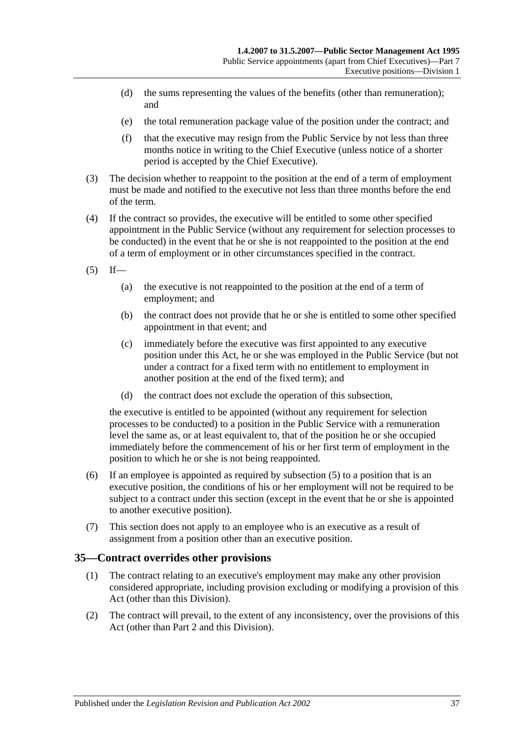- (d) the sums representing the values of the benefits (other than remuneration); and
- (e) the total remuneration package value of the position under the contract; and
- (f) that the executive may resign from the Public Service by not less than three months notice in writing to the Chief Executive (unless notice of a shorter period is accepted by the Chief Executive).
- (3) The decision whether to reappoint to the position at the end of a term of employment must be made and notified to the executive not less than three months before the end of the term.
- (4) If the contract so provides, the executive will be entitled to some other specified appointment in the Public Service (without any requirement for selection processes to be conducted) in the event that he or she is not reappointed to the position at the end of a term of employment or in other circumstances specified in the contract.
- <span id="page-36-0"></span> $(5)$  If—
	- (a) the executive is not reappointed to the position at the end of a term of employment; and
	- (b) the contract does not provide that he or she is entitled to some other specified appointment in that event; and
	- (c) immediately before the executive was first appointed to any executive position under this Act, he or she was employed in the Public Service (but not under a contract for a fixed term with no entitlement to employment in another position at the end of the fixed term); and
	- (d) the contract does not exclude the operation of this subsection,

the executive is entitled to be appointed (without any requirement for selection processes to be conducted) to a position in the Public Service with a remuneration level the same as, or at least equivalent to, that of the position he or she occupied immediately before the commencement of his or her first term of employment in the position to which he or she is not being reappointed.

- (6) If an employee is appointed as required by [subsection](#page-36-0) (5) to a position that is an executive position, the conditions of his or her employment will not be required to be subject to a contract under this section (except in the event that he or she is appointed to another executive position).
- (7) This section does not apply to an employee who is an executive as a result of assignment from a position other than an executive position.

## **35—Contract overrides other provisions**

- (1) The contract relating to an executive's employment may make any other provision considered appropriate, including provision excluding or modifying a provision of this Act (other than this Division).
- (2) The contract will prevail, to the extent of any inconsistency, over the provisions of this Act (other than [Part 2](#page-9-0) and this Division).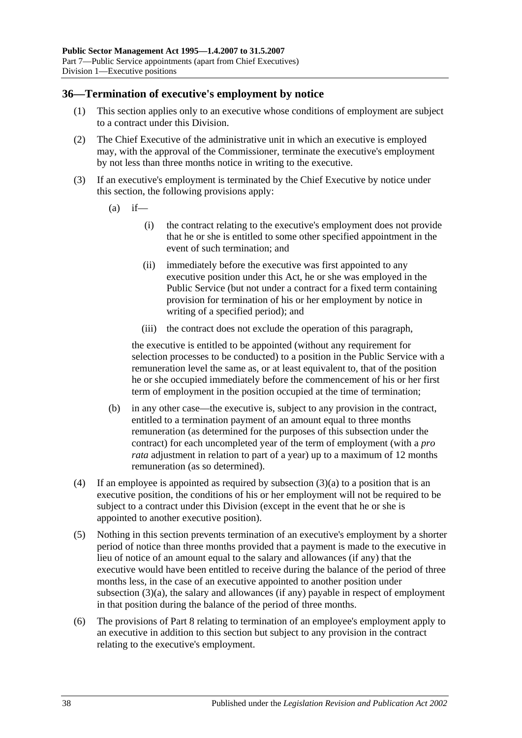#### **36—Termination of executive's employment by notice**

- (1) This section applies only to an executive whose conditions of employment are subject to a contract under this Division.
- (2) The Chief Executive of the administrative unit in which an executive is employed may, with the approval of the Commissioner, terminate the executive's employment by not less than three months notice in writing to the executive.
- <span id="page-37-0"></span>(3) If an executive's employment is terminated by the Chief Executive by notice under this section, the following provisions apply:
	- $(a)$  if—
		- (i) the contract relating to the executive's employment does not provide that he or she is entitled to some other specified appointment in the event of such termination; and
		- (ii) immediately before the executive was first appointed to any executive position under this Act, he or she was employed in the Public Service (but not under a contract for a fixed term containing provision for termination of his or her employment by notice in writing of a specified period); and
		- (iii) the contract does not exclude the operation of this paragraph,

the executive is entitled to be appointed (without any requirement for selection processes to be conducted) to a position in the Public Service with a remuneration level the same as, or at least equivalent to, that of the position he or she occupied immediately before the commencement of his or her first term of employment in the position occupied at the time of termination;

- (b) in any other case—the executive is, subject to any provision in the contract, entitled to a termination payment of an amount equal to three months remuneration (as determined for the purposes of this subsection under the contract) for each uncompleted year of the term of employment (with a *pro rata* adjustment in relation to part of a year) up to a maximum of 12 months remuneration (as so determined).
- (4) If an employee is appointed as required by [subsection](#page-37-0)  $(3)(a)$  to a position that is an executive position, the conditions of his or her employment will not be required to be subject to a contract under this Division (except in the event that he or she is appointed to another executive position).
- (5) Nothing in this section prevents termination of an executive's employment by a shorter period of notice than three months provided that a payment is made to the executive in lieu of notice of an amount equal to the salary and allowances (if any) that the executive would have been entitled to receive during the balance of the period of three months less, in the case of an executive appointed to another position under [subsection](#page-37-0) (3)(a), the salary and allowances (if any) payable in respect of employment in that position during the balance of the period of three months.
- (6) The provisions of [Part 8](#page-41-0) relating to termination of an employee's employment apply to an executive in addition to this section but subject to any provision in the contract relating to the executive's employment.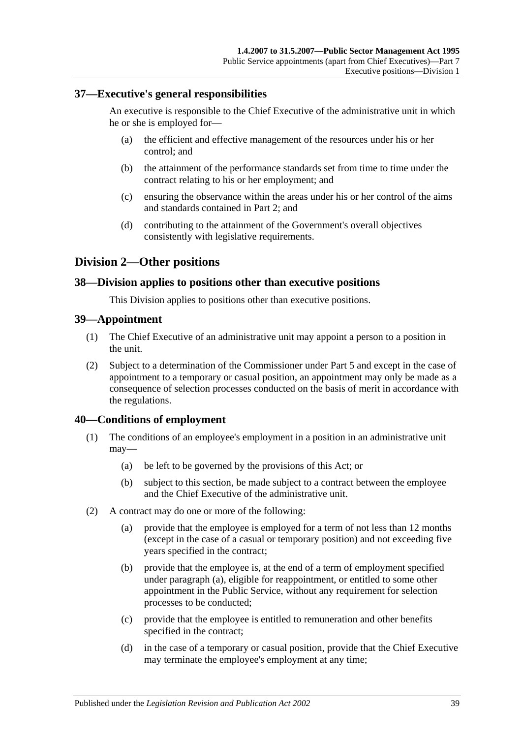#### **37—Executive's general responsibilities**

An executive is responsible to the Chief Executive of the administrative unit in which he or she is employed for—

- (a) the efficient and effective management of the resources under his or her control; and
- (b) the attainment of the performance standards set from time to time under the contract relating to his or her employment; and
- (c) ensuring the observance within the areas under his or her control of the aims and standards contained in [Part 2;](#page-9-0) and
- (d) contributing to the attainment of the Government's overall objectives consistently with legislative requirements.

#### **Division 2—Other positions**

#### **38—Division applies to positions other than executive positions**

This Division applies to positions other than executive positions.

#### **39—Appointment**

- (1) The Chief Executive of an administrative unit may appoint a person to a position in the unit.
- (2) Subject to a determination of the Commissioner under [Part 5](#page-28-0) and except in the case of appointment to a temporary or casual position, an appointment may only be made as a consequence of selection processes conducted on the basis of merit in accordance with the regulations.

#### **40—Conditions of employment**

- (1) The conditions of an employee's employment in a position in an administrative unit may—
	- (a) be left to be governed by the provisions of this Act; or
	- (b) subject to this section, be made subject to a contract between the employee and the Chief Executive of the administrative unit.
- <span id="page-38-0"></span>(2) A contract may do one or more of the following:
	- (a) provide that the employee is employed for a term of not less than 12 months (except in the case of a casual or temporary position) and not exceeding five years specified in the contract;
	- (b) provide that the employee is, at the end of a term of employment specified under [paragraph](#page-38-0) (a), eligible for reappointment, or entitled to some other appointment in the Public Service, without any requirement for selection processes to be conducted;
	- (c) provide that the employee is entitled to remuneration and other benefits specified in the contract;
	- (d) in the case of a temporary or casual position, provide that the Chief Executive may terminate the employee's employment at any time;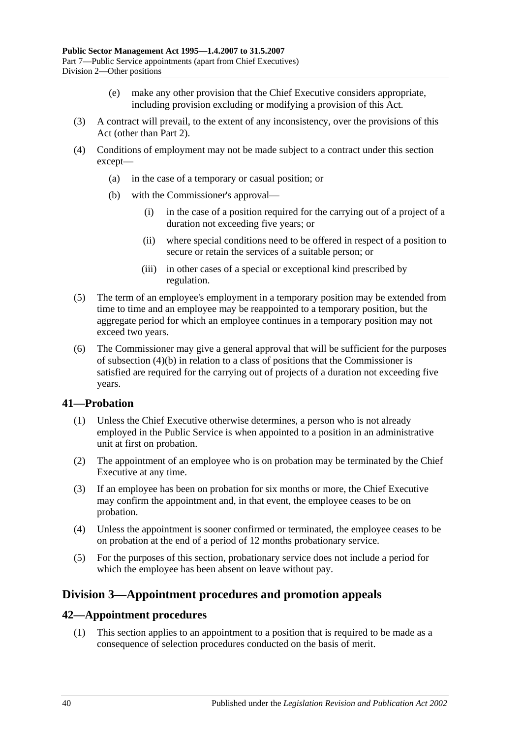- (e) make any other provision that the Chief Executive considers appropriate, including provision excluding or modifying a provision of this Act.
- (3) A contract will prevail, to the extent of any inconsistency, over the provisions of this Act (other than [Part 2\)](#page-9-0).
- <span id="page-39-0"></span>(4) Conditions of employment may not be made subject to a contract under this section except—
	- (a) in the case of a temporary or casual position; or
	- (b) with the Commissioner's approval—
		- (i) in the case of a position required for the carrying out of a project of a duration not exceeding five years; or
		- (ii) where special conditions need to be offered in respect of a position to secure or retain the services of a suitable person; or
		- (iii) in other cases of a special or exceptional kind prescribed by regulation.
- (5) The term of an employee's employment in a temporary position may be extended from time to time and an employee may be reappointed to a temporary position, but the aggregate period for which an employee continues in a temporary position may not exceed two years.
- (6) The Commissioner may give a general approval that will be sufficient for the purposes of [subsection](#page-39-0) (4)(b) in relation to a class of positions that the Commissioner is satisfied are required for the carrying out of projects of a duration not exceeding five years.

#### **41—Probation**

- (1) Unless the Chief Executive otherwise determines, a person who is not already employed in the Public Service is when appointed to a position in an administrative unit at first on probation.
- (2) The appointment of an employee who is on probation may be terminated by the Chief Executive at any time.
- (3) If an employee has been on probation for six months or more, the Chief Executive may confirm the appointment and, in that event, the employee ceases to be on probation.
- (4) Unless the appointment is sooner confirmed or terminated, the employee ceases to be on probation at the end of a period of 12 months probationary service.
- (5) For the purposes of this section, probationary service does not include a period for which the employee has been absent on leave without pay.

## **Division 3—Appointment procedures and promotion appeals**

#### **42—Appointment procedures**

(1) This section applies to an appointment to a position that is required to be made as a consequence of selection procedures conducted on the basis of merit.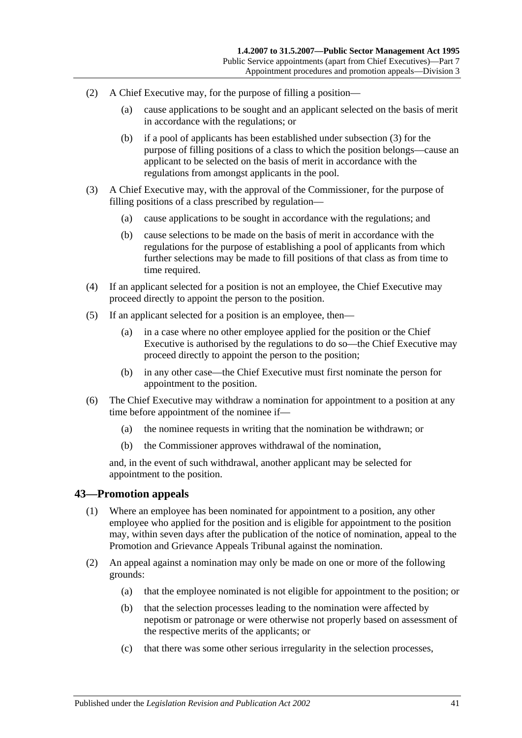- (2) A Chief Executive may, for the purpose of filling a position—
	- (a) cause applications to be sought and an applicant selected on the basis of merit in accordance with the regulations; or
	- (b) if a pool of applicants has been established under [subsection](#page-40-0) (3) for the purpose of filling positions of a class to which the position belongs—cause an applicant to be selected on the basis of merit in accordance with the regulations from amongst applicants in the pool.
- <span id="page-40-0"></span>(3) A Chief Executive may, with the approval of the Commissioner, for the purpose of filling positions of a class prescribed by regulation—
	- (a) cause applications to be sought in accordance with the regulations; and
	- (b) cause selections to be made on the basis of merit in accordance with the regulations for the purpose of establishing a pool of applicants from which further selections may be made to fill positions of that class as from time to time required.
- (4) If an applicant selected for a position is not an employee, the Chief Executive may proceed directly to appoint the person to the position.
- (5) If an applicant selected for a position is an employee, then—
	- (a) in a case where no other employee applied for the position or the Chief Executive is authorised by the regulations to do so—the Chief Executive may proceed directly to appoint the person to the position;
	- (b) in any other case—the Chief Executive must first nominate the person for appointment to the position.
- (6) The Chief Executive may withdraw a nomination for appointment to a position at any time before appointment of the nominee if—
	- (a) the nominee requests in writing that the nomination be withdrawn; or
	- (b) the Commissioner approves withdrawal of the nomination,

and, in the event of such withdrawal, another applicant may be selected for appointment to the position.

#### **43—Promotion appeals**

- (1) Where an employee has been nominated for appointment to a position, any other employee who applied for the position and is eligible for appointment to the position may, within seven days after the publication of the notice of nomination, appeal to the Promotion and Grievance Appeals Tribunal against the nomination.
- (2) An appeal against a nomination may only be made on one or more of the following grounds:
	- (a) that the employee nominated is not eligible for appointment to the position; or
	- (b) that the selection processes leading to the nomination were affected by nepotism or patronage or were otherwise not properly based on assessment of the respective merits of the applicants; or
	- (c) that there was some other serious irregularity in the selection processes,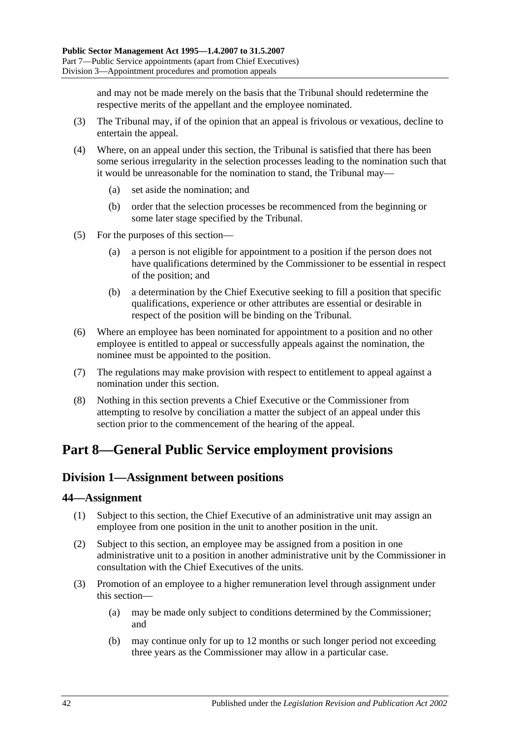and may not be made merely on the basis that the Tribunal should redetermine the respective merits of the appellant and the employee nominated.

- (3) The Tribunal may, if of the opinion that an appeal is frivolous or vexatious, decline to entertain the appeal.
- (4) Where, on an appeal under this section, the Tribunal is satisfied that there has been some serious irregularity in the selection processes leading to the nomination such that it would be unreasonable for the nomination to stand, the Tribunal may—
	- (a) set aside the nomination; and
	- (b) order that the selection processes be recommenced from the beginning or some later stage specified by the Tribunal.
- (5) For the purposes of this section—
	- (a) a person is not eligible for appointment to a position if the person does not have qualifications determined by the Commissioner to be essential in respect of the position; and
	- (b) a determination by the Chief Executive seeking to fill a position that specific qualifications, experience or other attributes are essential or desirable in respect of the position will be binding on the Tribunal.
- (6) Where an employee has been nominated for appointment to a position and no other employee is entitled to appeal or successfully appeals against the nomination, the nominee must be appointed to the position.
- (7) The regulations may make provision with respect to entitlement to appeal against a nomination under this section.
- (8) Nothing in this section prevents a Chief Executive or the Commissioner from attempting to resolve by conciliation a matter the subject of an appeal under this section prior to the commencement of the hearing of the appeal.

# <span id="page-41-0"></span>**Part 8—General Public Service employment provisions**

## <span id="page-41-2"></span>**Division 1—Assignment between positions**

#### **44—Assignment**

- (1) Subject to this section, the Chief Executive of an administrative unit may assign an employee from one position in the unit to another position in the unit.
- (2) Subject to this section, an employee may be assigned from a position in one administrative unit to a position in another administrative unit by the Commissioner in consultation with the Chief Executives of the units.
- <span id="page-41-1"></span>(3) Promotion of an employee to a higher remuneration level through assignment under this section—
	- (a) may be made only subject to conditions determined by the Commissioner; and
	- (b) may continue only for up to 12 months or such longer period not exceeding three years as the Commissioner may allow in a particular case.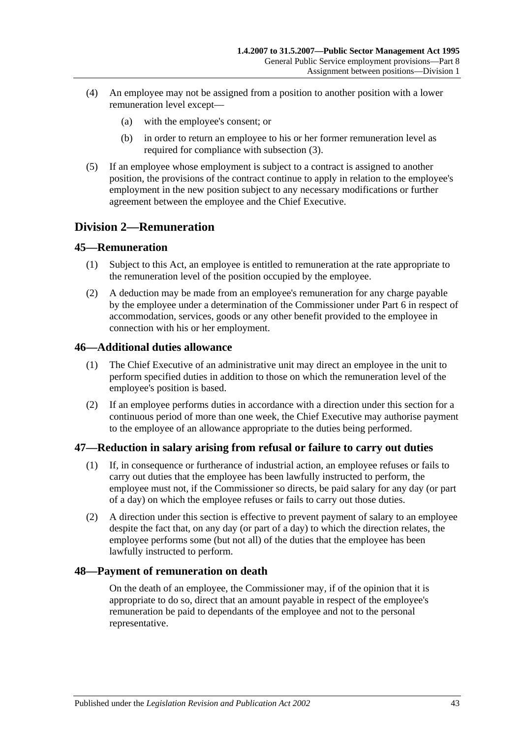- (4) An employee may not be assigned from a position to another position with a lower remuneration level except—
	- (a) with the employee's consent; or
	- (b) in order to return an employee to his or her former remuneration level as required for compliance with [subsection](#page-41-1) (3).
- (5) If an employee whose employment is subject to a contract is assigned to another position, the provisions of the contract continue to apply in relation to the employee's employment in the new position subject to any necessary modifications or further agreement between the employee and the Chief Executive.

## **Division 2—Remuneration**

#### **45—Remuneration**

- (1) Subject to this Act, an employee is entitled to remuneration at the rate appropriate to the remuneration level of the position occupied by the employee.
- (2) A deduction may be made from an employee's remuneration for any charge payable by the employee under a determination of the Commissioner under [Part 6](#page-33-0) in respect of accommodation, services, goods or any other benefit provided to the employee in connection with his or her employment.

#### **46—Additional duties allowance**

- (1) The Chief Executive of an administrative unit may direct an employee in the unit to perform specified duties in addition to those on which the remuneration level of the employee's position is based.
- (2) If an employee performs duties in accordance with a direction under this section for a continuous period of more than one week, the Chief Executive may authorise payment to the employee of an allowance appropriate to the duties being performed.

#### **47—Reduction in salary arising from refusal or failure to carry out duties**

- (1) If, in consequence or furtherance of industrial action, an employee refuses or fails to carry out duties that the employee has been lawfully instructed to perform, the employee must not, if the Commissioner so directs, be paid salary for any day (or part of a day) on which the employee refuses or fails to carry out those duties.
- (2) A direction under this section is effective to prevent payment of salary to an employee despite the fact that, on any day (or part of a day) to which the direction relates, the employee performs some (but not all) of the duties that the employee has been lawfully instructed to perform.

#### **48—Payment of remuneration on death**

On the death of an employee, the Commissioner may, if of the opinion that it is appropriate to do so, direct that an amount payable in respect of the employee's remuneration be paid to dependants of the employee and not to the personal representative.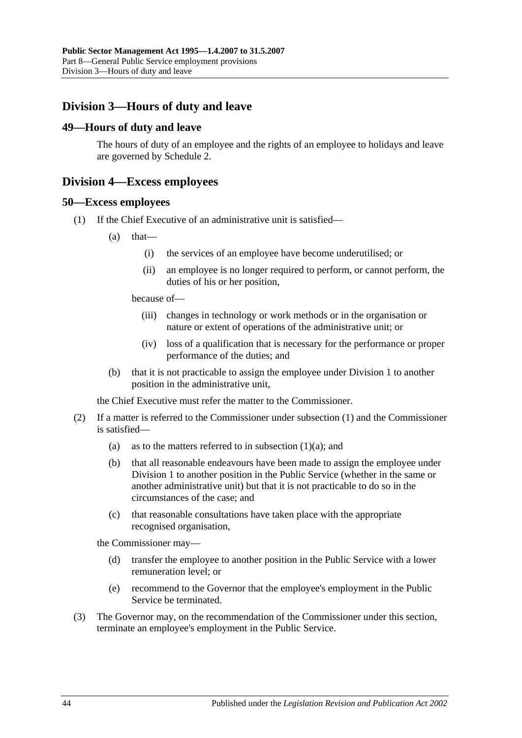## **Division 3—Hours of duty and leave**

#### **49—Hours of duty and leave**

The hours of duty of an employee and the rights of an employee to holidays and leave are governed by [Schedule 2.](#page-58-0)

#### **Division 4—Excess employees**

#### <span id="page-43-0"></span>**50—Excess employees**

- <span id="page-43-1"></span>(1) If the Chief Executive of an administrative unit is satisfied—
	- $(a)$  that—
		- (i) the services of an employee have become underutilised; or
		- (ii) an employee is no longer required to perform, or cannot perform, the duties of his or her position,

because of—

- (iii) changes in technology or work methods or in the organisation or nature or extent of operations of the administrative unit; or
- (iv) loss of a qualification that is necessary for the performance or proper performance of the duties; and
- (b) that it is not practicable to assign the employee under [Division 1](#page-41-2) to another position in the administrative unit,

the Chief Executive must refer the matter to the Commissioner.

- (2) If a matter is referred to the Commissioner under [subsection](#page-43-0) (1) and the Commissioner is satisfied
	- (a) as to the matters referred to in [subsection](#page-43-1)  $(1)(a)$ ; and
	- (b) that all reasonable endeavours have been made to assign the employee under [Division 1](#page-41-2) to another position in the Public Service (whether in the same or another administrative unit) but that it is not practicable to do so in the circumstances of the case; and
	- (c) that reasonable consultations have taken place with the appropriate recognised organisation,

the Commissioner may—

- (d) transfer the employee to another position in the Public Service with a lower remuneration level; or
- (e) recommend to the Governor that the employee's employment in the Public Service be terminated.
- (3) The Governor may, on the recommendation of the Commissioner under this section, terminate an employee's employment in the Public Service.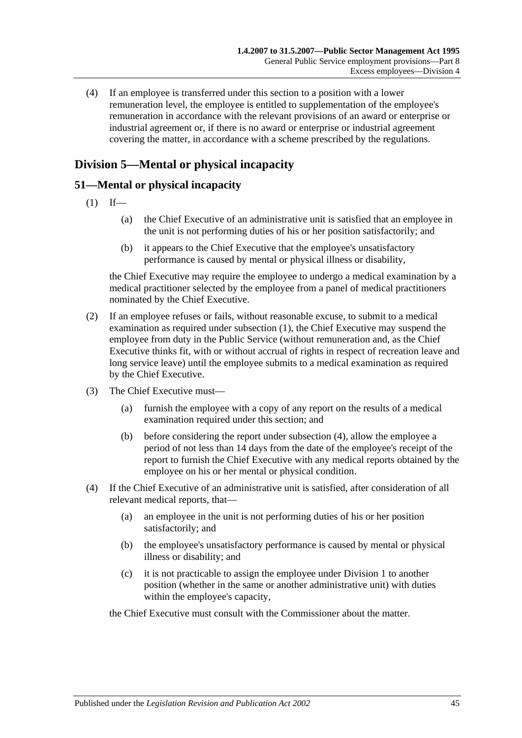(4) If an employee is transferred under this section to a position with a lower remuneration level, the employee is entitled to supplementation of the employee's remuneration in accordance with the relevant provisions of an award or enterprise or industrial agreement or, if there is no award or enterprise or industrial agreement covering the matter, in accordance with a scheme prescribed by the regulations.

## **Division 5—Mental or physical incapacity**

## <span id="page-44-0"></span>**51—Mental or physical incapacity**

- $(1)$  If—
	- (a) the Chief Executive of an administrative unit is satisfied that an employee in the unit is not performing duties of his or her position satisfactorily; and
	- (b) it appears to the Chief Executive that the employee's unsatisfactory performance is caused by mental or physical illness or disability,

the Chief Executive may require the employee to undergo a medical examination by a medical practitioner selected by the employee from a panel of medical practitioners nominated by the Chief Executive.

- (2) If an employee refuses or fails, without reasonable excuse, to submit to a medical examination as required under [subsection](#page-44-0) (1), the Chief Executive may suspend the employee from duty in the Public Service (without remuneration and, as the Chief Executive thinks fit, with or without accrual of rights in respect of recreation leave and long service leave) until the employee submits to a medical examination as required by the Chief Executive.
- <span id="page-44-2"></span>(3) The Chief Executive must—
	- (a) furnish the employee with a copy of any report on the results of a medical examination required under this section; and
	- (b) before considering the report under [subsection](#page-44-1) (4), allow the employee a period of not less than 14 days from the date of the employee's receipt of the report to furnish the Chief Executive with any medical reports obtained by the employee on his or her mental or physical condition.
- <span id="page-44-1"></span>(4) If the Chief Executive of an administrative unit is satisfied, after consideration of all relevant medical reports, that—
	- (a) an employee in the unit is not performing duties of his or her position satisfactorily; and
	- (b) the employee's unsatisfactory performance is caused by mental or physical illness or disability; and
	- (c) it is not practicable to assign the employee under [Division 1](#page-41-2) to another position (whether in the same or another administrative unit) with duties within the employee's capacity,

the Chief Executive must consult with the Commissioner about the matter.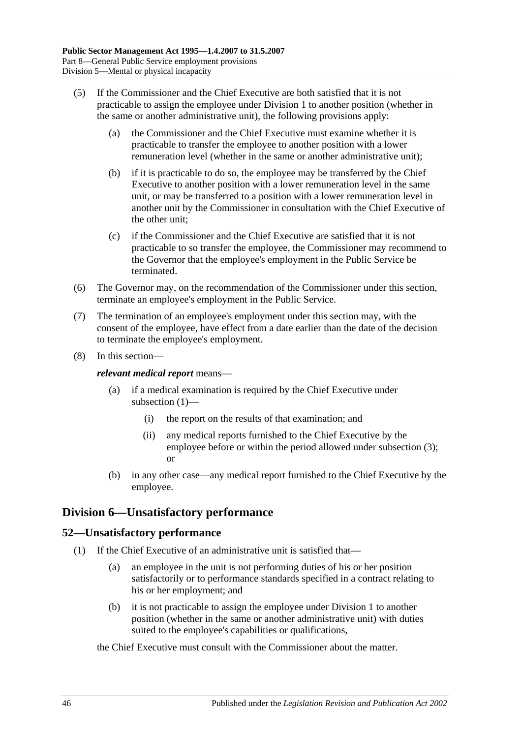- (5) If the Commissioner and the Chief Executive are both satisfied that it is not practicable to assign the employee under [Division 1](#page-41-2) to another position (whether in the same or another administrative unit), the following provisions apply:
	- (a) the Commissioner and the Chief Executive must examine whether it is practicable to transfer the employee to another position with a lower remuneration level (whether in the same or another administrative unit);
	- (b) if it is practicable to do so, the employee may be transferred by the Chief Executive to another position with a lower remuneration level in the same unit, or may be transferred to a position with a lower remuneration level in another unit by the Commissioner in consultation with the Chief Executive of the other unit;
	- (c) if the Commissioner and the Chief Executive are satisfied that it is not practicable to so transfer the employee, the Commissioner may recommend to the Governor that the employee's employment in the Public Service be terminated.
- (6) The Governor may, on the recommendation of the Commissioner under this section, terminate an employee's employment in the Public Service.
- (7) The termination of an employee's employment under this section may, with the consent of the employee, have effect from a date earlier than the date of the decision to terminate the employee's employment.
- (8) In this section—

*relevant medical report* means—

- (a) if a medical examination is required by the Chief Executive under [subsection](#page-44-0) (1)—
	- (i) the report on the results of that examination; and
	- (ii) any medical reports furnished to the Chief Executive by the employee before or within the period allowed under [subsection](#page-44-2) (3); or
- (b) in any other case—any medical report furnished to the Chief Executive by the employee.

## **Division 6—Unsatisfactory performance**

## **52—Unsatisfactory performance**

- (1) If the Chief Executive of an administrative unit is satisfied that—
	- (a) an employee in the unit is not performing duties of his or her position satisfactorily or to performance standards specified in a contract relating to his or her employment; and
	- (b) it is not practicable to assign the employee under [Division 1](#page-41-2) to another position (whether in the same or another administrative unit) with duties suited to the employee's capabilities or qualifications,

#### the Chief Executive must consult with the Commissioner about the matter.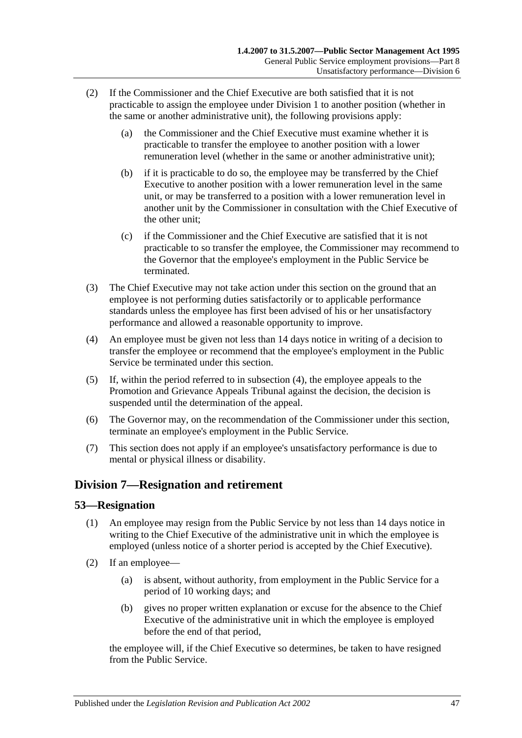- (2) If the Commissioner and the Chief Executive are both satisfied that it is not practicable to assign the employee under [Division 1](#page-41-2) to another position (whether in the same or another administrative unit), the following provisions apply:
	- (a) the Commissioner and the Chief Executive must examine whether it is practicable to transfer the employee to another position with a lower remuneration level (whether in the same or another administrative unit);
	- (b) if it is practicable to do so, the employee may be transferred by the Chief Executive to another position with a lower remuneration level in the same unit, or may be transferred to a position with a lower remuneration level in another unit by the Commissioner in consultation with the Chief Executive of the other unit;
	- (c) if the Commissioner and the Chief Executive are satisfied that it is not practicable to so transfer the employee, the Commissioner may recommend to the Governor that the employee's employment in the Public Service be terminated.
- (3) The Chief Executive may not take action under this section on the ground that an employee is not performing duties satisfactorily or to applicable performance standards unless the employee has first been advised of his or her unsatisfactory performance and allowed a reasonable opportunity to improve.
- <span id="page-46-0"></span>(4) An employee must be given not less than 14 days notice in writing of a decision to transfer the employee or recommend that the employee's employment in the Public Service be terminated under this section.
- (5) If, within the period referred to in [subsection](#page-46-0) (4), the employee appeals to the Promotion and Grievance Appeals Tribunal against the decision, the decision is suspended until the determination of the appeal.
- (6) The Governor may, on the recommendation of the Commissioner under this section, terminate an employee's employment in the Public Service.
- (7) This section does not apply if an employee's unsatisfactory performance is due to mental or physical illness or disability.

## **Division 7—Resignation and retirement**

#### **53—Resignation**

- (1) An employee may resign from the Public Service by not less than 14 days notice in writing to the Chief Executive of the administrative unit in which the employee is employed (unless notice of a shorter period is accepted by the Chief Executive).
- (2) If an employee—
	- (a) is absent, without authority, from employment in the Public Service for a period of 10 working days; and
	- (b) gives no proper written explanation or excuse for the absence to the Chief Executive of the administrative unit in which the employee is employed before the end of that period,

the employee will, if the Chief Executive so determines, be taken to have resigned from the Public Service.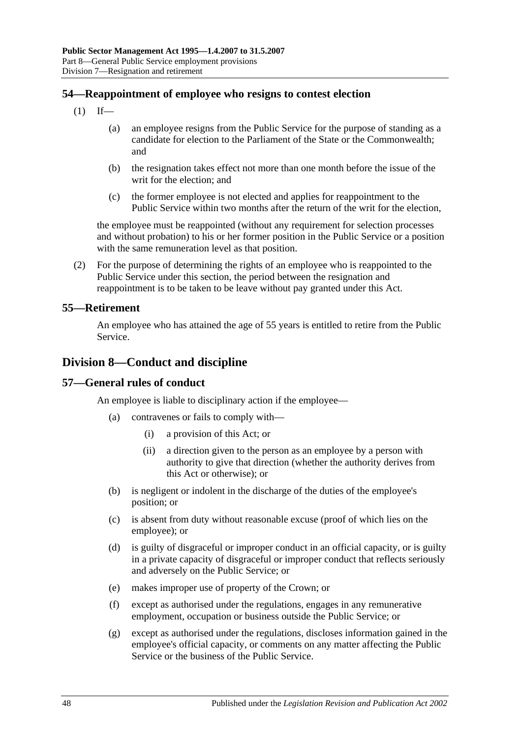### **54—Reappointment of employee who resigns to contest election**

- $(1)$  If—
	- (a) an employee resigns from the Public Service for the purpose of standing as a candidate for election to the Parliament of the State or the Commonwealth; and
	- (b) the resignation takes effect not more than one month before the issue of the writ for the election; and
	- (c) the former employee is not elected and applies for reappointment to the Public Service within two months after the return of the writ for the election,

the employee must be reappointed (without any requirement for selection processes and without probation) to his or her former position in the Public Service or a position with the same remuneration level as that position.

(2) For the purpose of determining the rights of an employee who is reappointed to the Public Service under this section, the period between the resignation and reappointment is to be taken to be leave without pay granted under this Act.

#### **55—Retirement**

An employee who has attained the age of 55 years is entitled to retire from the Public Service.

## **Division 8—Conduct and discipline**

#### **57—General rules of conduct**

An employee is liable to disciplinary action if the employee—

- (a) contravenes or fails to comply with—
	- (i) a provision of this Act; or
	- (ii) a direction given to the person as an employee by a person with authority to give that direction (whether the authority derives from this Act or otherwise); or
- (b) is negligent or indolent in the discharge of the duties of the employee's position; or
- (c) is absent from duty without reasonable excuse (proof of which lies on the employee); or
- (d) is guilty of disgraceful or improper conduct in an official capacity, or is guilty in a private capacity of disgraceful or improper conduct that reflects seriously and adversely on the Public Service; or
- (e) makes improper use of property of the Crown; or
- (f) except as authorised under the regulations, engages in any remunerative employment, occupation or business outside the Public Service; or
- (g) except as authorised under the regulations, discloses information gained in the employee's official capacity, or comments on any matter affecting the Public Service or the business of the Public Service.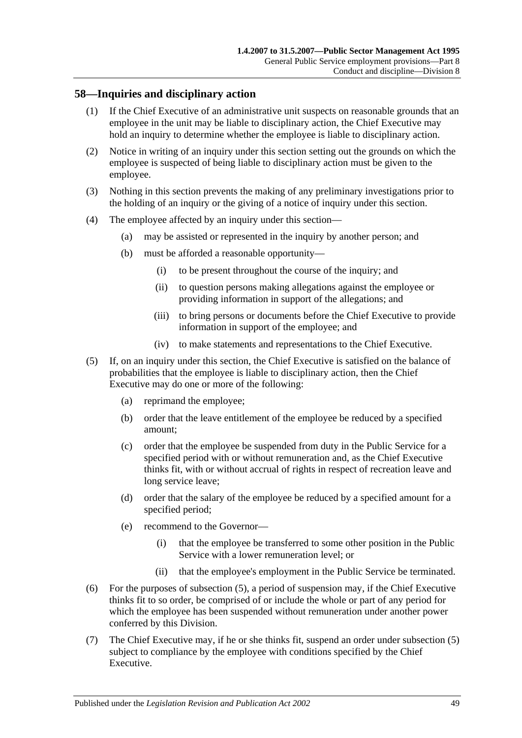### **58—Inquiries and disciplinary action**

- (1) If the Chief Executive of an administrative unit suspects on reasonable grounds that an employee in the unit may be liable to disciplinary action, the Chief Executive may hold an inquiry to determine whether the employee is liable to disciplinary action.
- (2) Notice in writing of an inquiry under this section setting out the grounds on which the employee is suspected of being liable to disciplinary action must be given to the employee.
- (3) Nothing in this section prevents the making of any preliminary investigations prior to the holding of an inquiry or the giving of a notice of inquiry under this section.
- (4) The employee affected by an inquiry under this section—
	- (a) may be assisted or represented in the inquiry by another person; and
	- (b) must be afforded a reasonable opportunity—
		- (i) to be present throughout the course of the inquiry; and
		- (ii) to question persons making allegations against the employee or providing information in support of the allegations; and
		- (iii) to bring persons or documents before the Chief Executive to provide information in support of the employee; and
		- (iv) to make statements and representations to the Chief Executive.
- <span id="page-48-0"></span>(5) If, on an inquiry under this section, the Chief Executive is satisfied on the balance of probabilities that the employee is liable to disciplinary action, then the Chief Executive may do one or more of the following:
	- (a) reprimand the employee;
	- (b) order that the leave entitlement of the employee be reduced by a specified amount;
	- (c) order that the employee be suspended from duty in the Public Service for a specified period with or without remuneration and, as the Chief Executive thinks fit, with or without accrual of rights in respect of recreation leave and long service leave;
	- (d) order that the salary of the employee be reduced by a specified amount for a specified period;
	- (e) recommend to the Governor—
		- (i) that the employee be transferred to some other position in the Public Service with a lower remuneration level; or
		- (ii) that the employee's employment in the Public Service be terminated.
- (6) For the purposes of [subsection](#page-48-0) (5), a period of suspension may, if the Chief Executive thinks fit to so order, be comprised of or include the whole or part of any period for which the employee has been suspended without remuneration under another power conferred by this Division.
- (7) The Chief Executive may, if he or she thinks fit, suspend an order under [subsection](#page-48-0) (5) subject to compliance by the employee with conditions specified by the Chief Executive.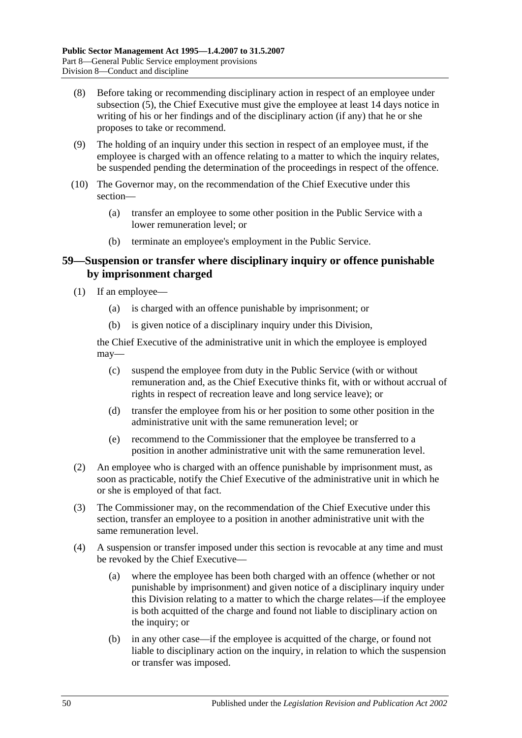- (8) Before taking or recommending disciplinary action in respect of an employee under [subsection](#page-48-0) (5), the Chief Executive must give the employee at least 14 days notice in writing of his or her findings and of the disciplinary action (if any) that he or she proposes to take or recommend.
- (9) The holding of an inquiry under this section in respect of an employee must, if the employee is charged with an offence relating to a matter to which the inquiry relates, be suspended pending the determination of the proceedings in respect of the offence.
- (10) The Governor may, on the recommendation of the Chief Executive under this section—
	- (a) transfer an employee to some other position in the Public Service with a lower remuneration level; or
	- (b) terminate an employee's employment in the Public Service.

#### **59—Suspension or transfer where disciplinary inquiry or offence punishable by imprisonment charged**

- (1) If an employee—
	- (a) is charged with an offence punishable by imprisonment; or
	- (b) is given notice of a disciplinary inquiry under this Division,

the Chief Executive of the administrative unit in which the employee is employed may—

- (c) suspend the employee from duty in the Public Service (with or without remuneration and, as the Chief Executive thinks fit, with or without accrual of rights in respect of recreation leave and long service leave); or
- (d) transfer the employee from his or her position to some other position in the administrative unit with the same remuneration level; or
- (e) recommend to the Commissioner that the employee be transferred to a position in another administrative unit with the same remuneration level.
- (2) An employee who is charged with an offence punishable by imprisonment must, as soon as practicable, notify the Chief Executive of the administrative unit in which he or she is employed of that fact.
- (3) The Commissioner may, on the recommendation of the Chief Executive under this section, transfer an employee to a position in another administrative unit with the same remuneration level.
- <span id="page-49-0"></span>(4) A suspension or transfer imposed under this section is revocable at any time and must be revoked by the Chief Executive—
	- (a) where the employee has been both charged with an offence (whether or not punishable by imprisonment) and given notice of a disciplinary inquiry under this Division relating to a matter to which the charge relates—if the employee is both acquitted of the charge and found not liable to disciplinary action on the inquiry; or
	- (b) in any other case—if the employee is acquitted of the charge, or found not liable to disciplinary action on the inquiry, in relation to which the suspension or transfer was imposed.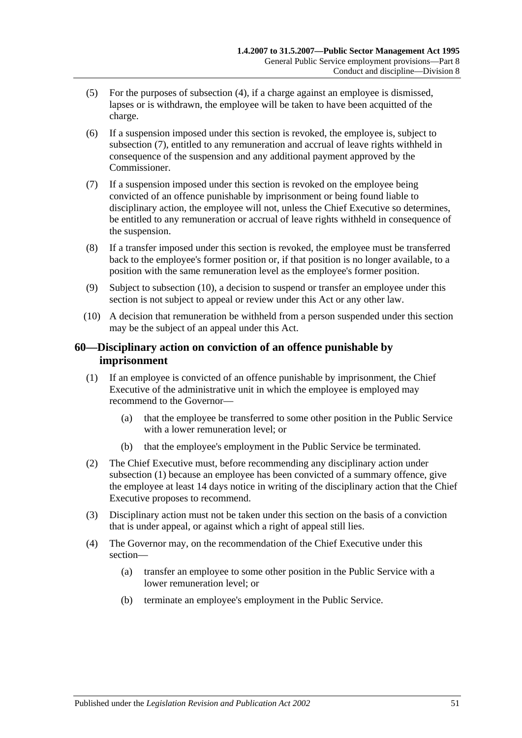- (5) For the purposes of [subsection](#page-49-0) (4), if a charge against an employee is dismissed, lapses or is withdrawn, the employee will be taken to have been acquitted of the charge.
- (6) If a suspension imposed under this section is revoked, the employee is, subject to [subsection](#page-50-0) (7), entitled to any remuneration and accrual of leave rights withheld in consequence of the suspension and any additional payment approved by the Commissioner.
- <span id="page-50-0"></span>(7) If a suspension imposed under this section is revoked on the employee being convicted of an offence punishable by imprisonment or being found liable to disciplinary action, the employee will not, unless the Chief Executive so determines, be entitled to any remuneration or accrual of leave rights withheld in consequence of the suspension.
- (8) If a transfer imposed under this section is revoked, the employee must be transferred back to the employee's former position or, if that position is no longer available, to a position with the same remuneration level as the employee's former position.
- (9) Subject to [subsection](#page-50-1) (10), a decision to suspend or transfer an employee under this section is not subject to appeal or review under this Act or any other law.
- <span id="page-50-1"></span>(10) A decision that remuneration be withheld from a person suspended under this section may be the subject of an appeal under this Act.

## **60—Disciplinary action on conviction of an offence punishable by imprisonment**

- <span id="page-50-2"></span>(1) If an employee is convicted of an offence punishable by imprisonment, the Chief Executive of the administrative unit in which the employee is employed may recommend to the Governor—
	- (a) that the employee be transferred to some other position in the Public Service with a lower remuneration level; or
	- (b) that the employee's employment in the Public Service be terminated.
- (2) The Chief Executive must, before recommending any disciplinary action under [subsection](#page-50-2) (1) because an employee has been convicted of a summary offence, give the employee at least 14 days notice in writing of the disciplinary action that the Chief Executive proposes to recommend.
- (3) Disciplinary action must not be taken under this section on the basis of a conviction that is under appeal, or against which a right of appeal still lies.
- (4) The Governor may, on the recommendation of the Chief Executive under this section—
	- (a) transfer an employee to some other position in the Public Service with a lower remuneration level; or
	- (b) terminate an employee's employment in the Public Service.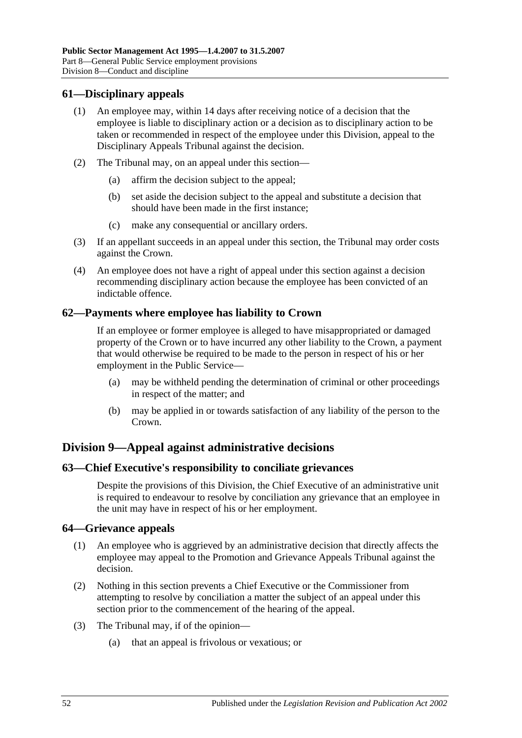#### **61—Disciplinary appeals**

- (1) An employee may, within 14 days after receiving notice of a decision that the employee is liable to disciplinary action or a decision as to disciplinary action to be taken or recommended in respect of the employee under this Division, appeal to the Disciplinary Appeals Tribunal against the decision.
- (2) The Tribunal may, on an appeal under this section—
	- (a) affirm the decision subject to the appeal;
	- (b) set aside the decision subject to the appeal and substitute a decision that should have been made in the first instance;
	- (c) make any consequential or ancillary orders.
- (3) If an appellant succeeds in an appeal under this section, the Tribunal may order costs against the Crown.
- (4) An employee does not have a right of appeal under this section against a decision recommending disciplinary action because the employee has been convicted of an indictable offence.

#### **62—Payments where employee has liability to Crown**

If an employee or former employee is alleged to have misappropriated or damaged property of the Crown or to have incurred any other liability to the Crown, a payment that would otherwise be required to be made to the person in respect of his or her employment in the Public Service—

- (a) may be withheld pending the determination of criminal or other proceedings in respect of the matter; and
- (b) may be applied in or towards satisfaction of any liability of the person to the Crown.

## **Division 9—Appeal against administrative decisions**

#### **63—Chief Executive's responsibility to conciliate grievances**

Despite the provisions of this Division, the Chief Executive of an administrative unit is required to endeavour to resolve by conciliation any grievance that an employee in the unit may have in respect of his or her employment.

#### **64—Grievance appeals**

- (1) An employee who is aggrieved by an administrative decision that directly affects the employee may appeal to the Promotion and Grievance Appeals Tribunal against the decision.
- (2) Nothing in this section prevents a Chief Executive or the Commissioner from attempting to resolve by conciliation a matter the subject of an appeal under this section prior to the commencement of the hearing of the appeal.
- (3) The Tribunal may, if of the opinion—
	- (a) that an appeal is frivolous or vexatious; or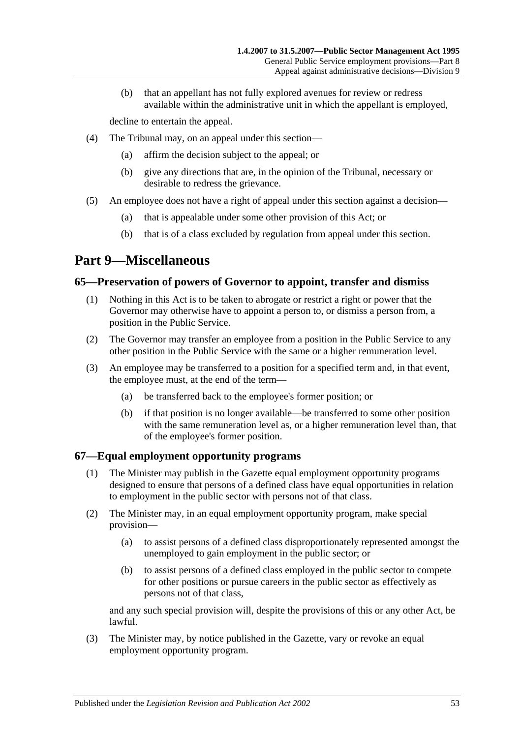(b) that an appellant has not fully explored avenues for review or redress available within the administrative unit in which the appellant is employed,

decline to entertain the appeal.

- (4) The Tribunal may, on an appeal under this section—
	- (a) affirm the decision subject to the appeal; or
	- (b) give any directions that are, in the opinion of the Tribunal, necessary or desirable to redress the grievance.
- (5) An employee does not have a right of appeal under this section against a decision—
	- (a) that is appealable under some other provision of this Act; or
	- (b) that is of a class excluded by regulation from appeal under this section.

## <span id="page-52-0"></span>**Part 9—Miscellaneous**

#### **65—Preservation of powers of Governor to appoint, transfer and dismiss**

- (1) Nothing in this Act is to be taken to abrogate or restrict a right or power that the Governor may otherwise have to appoint a person to, or dismiss a person from, a position in the Public Service.
- (2) The Governor may transfer an employee from a position in the Public Service to any other position in the Public Service with the same or a higher remuneration level.
- (3) An employee may be transferred to a position for a specified term and, in that event, the employee must, at the end of the term—
	- (a) be transferred back to the employee's former position; or
	- (b) if that position is no longer available—be transferred to some other position with the same remuneration level as, or a higher remuneration level than, that of the employee's former position.

#### **67—Equal employment opportunity programs**

- (1) The Minister may publish in the Gazette equal employment opportunity programs designed to ensure that persons of a defined class have equal opportunities in relation to employment in the public sector with persons not of that class.
- (2) The Minister may, in an equal employment opportunity program, make special provision—
	- (a) to assist persons of a defined class disproportionately represented amongst the unemployed to gain employment in the public sector; or
	- (b) to assist persons of a defined class employed in the public sector to compete for other positions or pursue careers in the public sector as effectively as persons not of that class,

and any such special provision will, despite the provisions of this or any other Act, be lawful.

(3) The Minister may, by notice published in the Gazette, vary or revoke an equal employment opportunity program.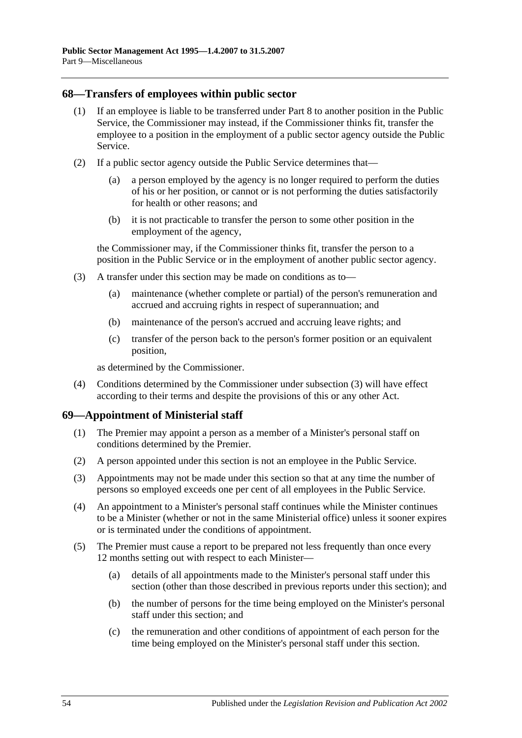#### **68—Transfers of employees within public sector**

- (1) If an employee is liable to be transferred under [Part 8](#page-41-0) to another position in the Public Service, the Commissioner may instead, if the Commissioner thinks fit, transfer the employee to a position in the employment of a public sector agency outside the Public Service.
- (2) If a public sector agency outside the Public Service determines that—
	- (a) a person employed by the agency is no longer required to perform the duties of his or her position, or cannot or is not performing the duties satisfactorily for health or other reasons; and
	- (b) it is not practicable to transfer the person to some other position in the employment of the agency,

the Commissioner may, if the Commissioner thinks fit, transfer the person to a position in the Public Service or in the employment of another public sector agency.

- <span id="page-53-0"></span>(3) A transfer under this section may be made on conditions as to—
	- (a) maintenance (whether complete or partial) of the person's remuneration and accrued and accruing rights in respect of superannuation; and
	- (b) maintenance of the person's accrued and accruing leave rights; and
	- (c) transfer of the person back to the person's former position or an equivalent position,

as determined by the Commissioner.

(4) Conditions determined by the Commissioner under [subsection](#page-53-0) (3) will have effect according to their terms and despite the provisions of this or any other Act.

#### **69—Appointment of Ministerial staff**

- (1) The Premier may appoint a person as a member of a Minister's personal staff on conditions determined by the Premier.
- (2) A person appointed under this section is not an employee in the Public Service.
- (3) Appointments may not be made under this section so that at any time the number of persons so employed exceeds one per cent of all employees in the Public Service.
- (4) An appointment to a Minister's personal staff continues while the Minister continues to be a Minister (whether or not in the same Ministerial office) unless it sooner expires or is terminated under the conditions of appointment.
- <span id="page-53-1"></span>(5) The Premier must cause a report to be prepared not less frequently than once every 12 months setting out with respect to each Minister—
	- (a) details of all appointments made to the Minister's personal staff under this section (other than those described in previous reports under this section); and
	- (b) the number of persons for the time being employed on the Minister's personal staff under this section; and
	- (c) the remuneration and other conditions of appointment of each person for the time being employed on the Minister's personal staff under this section.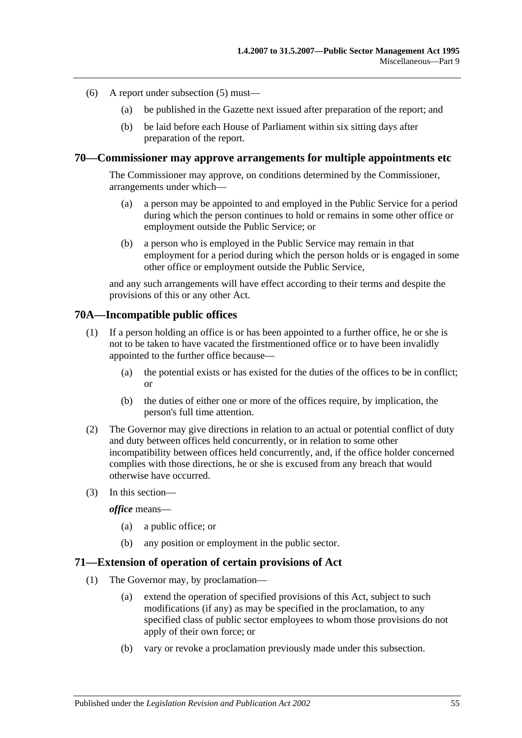- (6) A report under [subsection](#page-53-1) (5) must—
	- (a) be published in the Gazette next issued after preparation of the report; and
	- (b) be laid before each House of Parliament within six sitting days after preparation of the report.

#### **70—Commissioner may approve arrangements for multiple appointments etc**

The Commissioner may approve, on conditions determined by the Commissioner, arrangements under which—

- (a) a person may be appointed to and employed in the Public Service for a period during which the person continues to hold or remains in some other office or employment outside the Public Service; or
- (b) a person who is employed in the Public Service may remain in that employment for a period during which the person holds or is engaged in some other office or employment outside the Public Service,

and any such arrangements will have effect according to their terms and despite the provisions of this or any other Act.

#### **70A—Incompatible public offices**

- (1) If a person holding an office is or has been appointed to a further office, he or she is not to be taken to have vacated the firstmentioned office or to have been invalidly appointed to the further office because—
	- (a) the potential exists or has existed for the duties of the offices to be in conflict; or
	- (b) the duties of either one or more of the offices require, by implication, the person's full time attention.
- (2) The Governor may give directions in relation to an actual or potential conflict of duty and duty between offices held concurrently, or in relation to some other incompatibility between offices held concurrently, and, if the office holder concerned complies with those directions, he or she is excused from any breach that would otherwise have occurred.
- (3) In this section—

*office* means—

- (a) a public office; or
- (b) any position or employment in the public sector.

#### **71—Extension of operation of certain provisions of Act**

- (1) The Governor may, by proclamation—
	- (a) extend the operation of specified provisions of this Act, subject to such modifications (if any) as may be specified in the proclamation, to any specified class of public sector employees to whom those provisions do not apply of their own force; or
	- (b) vary or revoke a proclamation previously made under this subsection.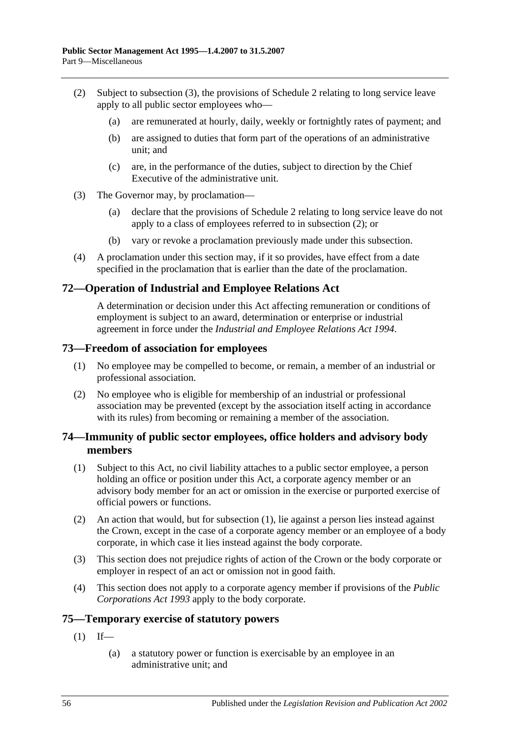- <span id="page-55-1"></span>(2) Subject to [subsection](#page-55-0) (3), the provisions of [Schedule 2](#page-58-0) relating to long service leave apply to all public sector employees who—
	- (a) are remunerated at hourly, daily, weekly or fortnightly rates of payment; and
	- (b) are assigned to duties that form part of the operations of an administrative unit; and
	- (c) are, in the performance of the duties, subject to direction by the Chief Executive of the administrative unit.
- <span id="page-55-0"></span>(3) The Governor may, by proclamation—
	- (a) declare that the provisions of [Schedule 2](#page-58-0) relating to long service leave do not apply to a class of employees referred to in [subsection](#page-55-1) (2); or
	- (b) vary or revoke a proclamation previously made under this subsection.
- (4) A proclamation under this section may, if it so provides, have effect from a date specified in the proclamation that is earlier than the date of the proclamation.

## **72—Operation of Industrial and Employee Relations Act**

A determination or decision under this Act affecting remuneration or conditions of employment is subject to an award, determination or enterprise or industrial agreement in force under the *Industrial [and Employee Relations Act](http://www.legislation.sa.gov.au/index.aspx?action=legref&type=act&legtitle=Industrial%20and%20Employee%20Relations%20Act%201994) 1994*.

#### **73—Freedom of association for employees**

- (1) No employee may be compelled to become, or remain, a member of an industrial or professional association.
- (2) No employee who is eligible for membership of an industrial or professional association may be prevented (except by the association itself acting in accordance with its rules) from becoming or remaining a member of the association.

#### **74—Immunity of public sector employees, office holders and advisory body members**

- <span id="page-55-2"></span>(1) Subject to this Act, no civil liability attaches to a public sector employee, a person holding an office or position under this Act, a corporate agency member or an advisory body member for an act or omission in the exercise or purported exercise of official powers or functions.
- (2) An action that would, but for [subsection](#page-55-2) (1), lie against a person lies instead against the Crown, except in the case of a corporate agency member or an employee of a body corporate, in which case it lies instead against the body corporate.
- (3) This section does not prejudice rights of action of the Crown or the body corporate or employer in respect of an act or omission not in good faith.
- (4) This section does not apply to a corporate agency member if provisions of the *[Public](http://www.legislation.sa.gov.au/index.aspx?action=legref&type=act&legtitle=Public%20Corporations%20Act%201993)  [Corporations Act](http://www.legislation.sa.gov.au/index.aspx?action=legref&type=act&legtitle=Public%20Corporations%20Act%201993) 1993* apply to the body corporate.

#### **75—Temporary exercise of statutory powers**

- $(1)$  If—
	- (a) a statutory power or function is exercisable by an employee in an administrative unit; and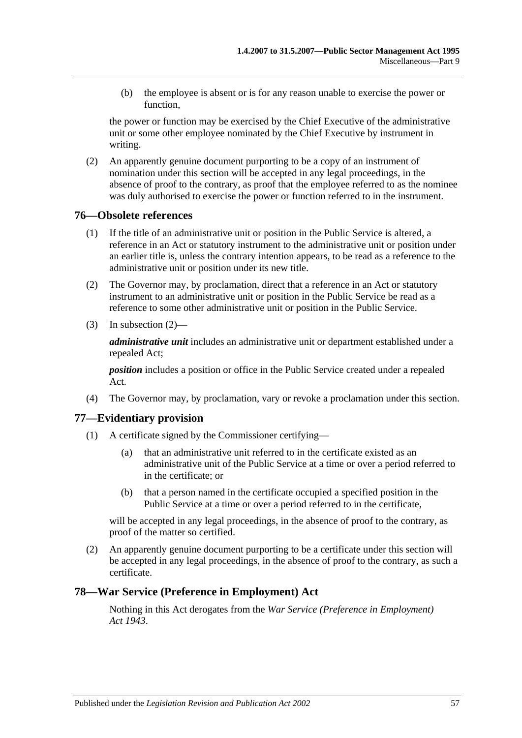(b) the employee is absent or is for any reason unable to exercise the power or function,

the power or function may be exercised by the Chief Executive of the administrative unit or some other employee nominated by the Chief Executive by instrument in writing.

(2) An apparently genuine document purporting to be a copy of an instrument of nomination under this section will be accepted in any legal proceedings, in the absence of proof to the contrary, as proof that the employee referred to as the nominee was duly authorised to exercise the power or function referred to in the instrument.

#### **76—Obsolete references**

- (1) If the title of an administrative unit or position in the Public Service is altered, a reference in an Act or statutory instrument to the administrative unit or position under an earlier title is, unless the contrary intention appears, to be read as a reference to the administrative unit or position under its new title.
- <span id="page-56-0"></span>(2) The Governor may, by proclamation, direct that a reference in an Act or statutory instrument to an administrative unit or position in the Public Service be read as a reference to some other administrative unit or position in the Public Service.
- (3) In [subsection](#page-56-0) (2)—

*administrative unit* includes an administrative unit or department established under a repealed Act;

*position* includes a position or office in the Public Service created under a repealed Act.

(4) The Governor may, by proclamation, vary or revoke a proclamation under this section.

#### **77—Evidentiary provision**

- (1) A certificate signed by the Commissioner certifying—
	- (a) that an administrative unit referred to in the certificate existed as an administrative unit of the Public Service at a time or over a period referred to in the certificate; or
	- (b) that a person named in the certificate occupied a specified position in the Public Service at a time or over a period referred to in the certificate,

will be accepted in any legal proceedings, in the absence of proof to the contrary, as proof of the matter so certified.

(2) An apparently genuine document purporting to be a certificate under this section will be accepted in any legal proceedings, in the absence of proof to the contrary, as such a certificate.

#### **78—War Service (Preference in Employment) Act**

Nothing in this Act derogates from the *[War Service \(Preference in Employment\)](http://www.legislation.sa.gov.au/index.aspx?action=legref&type=act&legtitle=War%20Service%20(Preference%20in%20Employment)%20Act%201943)  Act [1943](http://www.legislation.sa.gov.au/index.aspx?action=legref&type=act&legtitle=War%20Service%20(Preference%20in%20Employment)%20Act%201943)*.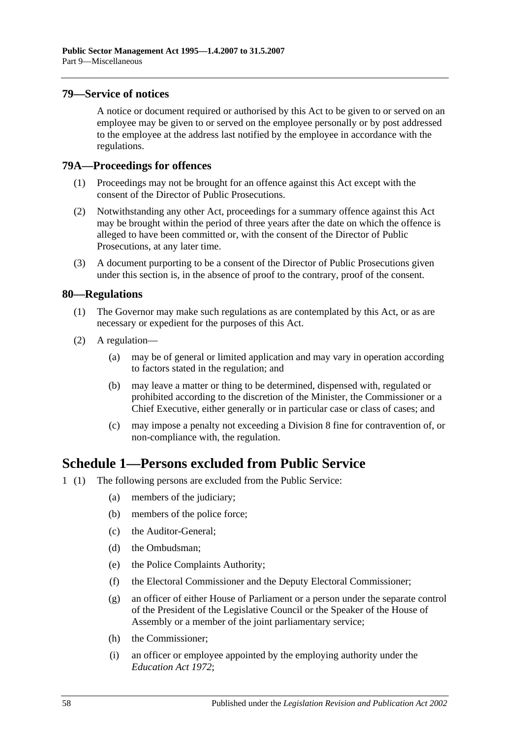#### **79—Service of notices**

A notice or document required or authorised by this Act to be given to or served on an employee may be given to or served on the employee personally or by post addressed to the employee at the address last notified by the employee in accordance with the regulations.

#### **79A—Proceedings for offences**

- (1) Proceedings may not be brought for an offence against this Act except with the consent of the Director of Public Prosecutions.
- (2) Notwithstanding any other Act, proceedings for a summary offence against this Act may be brought within the period of three years after the date on which the offence is alleged to have been committed or, with the consent of the Director of Public Prosecutions, at any later time.
- (3) A document purporting to be a consent of the Director of Public Prosecutions given under this section is, in the absence of proof to the contrary, proof of the consent.

#### **80—Regulations**

- (1) The Governor may make such regulations as are contemplated by this Act, or as are necessary or expedient for the purposes of this Act.
- (2) A regulation—
	- (a) may be of general or limited application and may vary in operation according to factors stated in the regulation; and
	- (b) may leave a matter or thing to be determined, dispensed with, regulated or prohibited according to the discretion of the Minister, the Commissioner or a Chief Executive, either generally or in particular case or class of cases; and
	- (c) may impose a penalty not exceeding a Division 8 fine for contravention of, or non-compliance with, the regulation.

## **Schedule 1—Persons excluded from Public Service**

- 1 (1) The following persons are excluded from the Public Service:
	- (a) members of the judiciary;
	- (b) members of the police force;
	- (c) the Auditor-General;
	- (d) the Ombudsman;
	- (e) the Police Complaints Authority;
	- (f) the Electoral Commissioner and the Deputy Electoral Commissioner;
	- (g) an officer of either House of Parliament or a person under the separate control of the President of the Legislative Council or the Speaker of the House of Assembly or a member of the joint parliamentary service;
	- (h) the Commissioner;
	- (i) an officer or employee appointed by the employing authority under the *[Education Act](http://www.legislation.sa.gov.au/index.aspx?action=legref&type=act&legtitle=Education%20Act%201972) 1972*;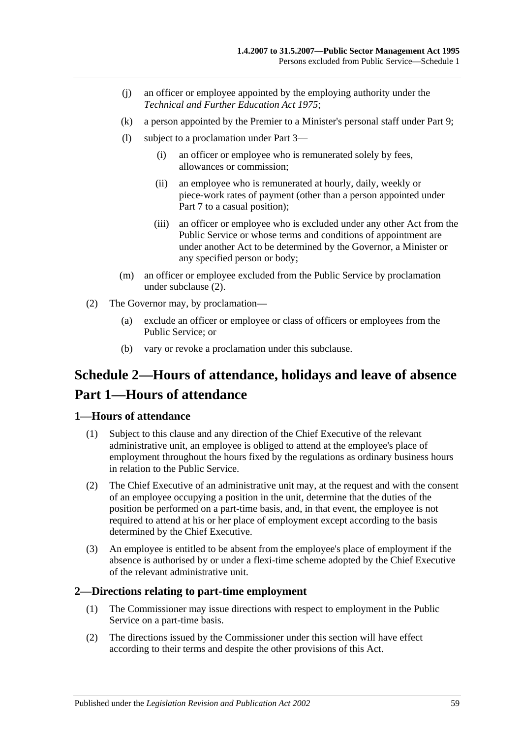- (j) an officer or employee appointed by the employing authority under the *[Technical and Further Education Act](http://www.legislation.sa.gov.au/index.aspx?action=legref&type=act&legtitle=Technical%20and%20Further%20Education%20Act%201975) 1975*;
- (k) a person appointed by the Premier to a Minister's personal staff under [Part 9;](#page-52-0)
- (l) subject to a proclamation under [Part 3—](#page-23-0)
	- (i) an officer or employee who is remunerated solely by fees, allowances or commission;
	- (ii) an employee who is remunerated at hourly, daily, weekly or piece-work rates of payment (other than a person appointed under [Part 7](#page-35-0) to a casual position);
	- (iii) an officer or employee who is excluded under any other Act from the Public Service or whose terms and conditions of appointment are under another Act to be determined by the Governor, a Minister or any specified person or body;
- (m) an officer or employee excluded from the Public Service by proclamation under [subclause](#page-58-1) (2).
- <span id="page-58-1"></span>(2) The Governor may, by proclamation—
	- (a) exclude an officer or employee or class of officers or employees from the Public Service; or
	- (b) vary or revoke a proclamation under this subclause.

# <span id="page-58-0"></span>**Schedule 2—Hours of attendance, holidays and leave of absence Part 1—Hours of attendance**

#### **1—Hours of attendance**

- (1) Subject to this clause and any direction of the Chief Executive of the relevant administrative unit, an employee is obliged to attend at the employee's place of employment throughout the hours fixed by the regulations as ordinary business hours in relation to the Public Service.
- (2) The Chief Executive of an administrative unit may, at the request and with the consent of an employee occupying a position in the unit, determine that the duties of the position be performed on a part-time basis, and, in that event, the employee is not required to attend at his or her place of employment except according to the basis determined by the Chief Executive.
- (3) An employee is entitled to be absent from the employee's place of employment if the absence is authorised by or under a flexi-time scheme adopted by the Chief Executive of the relevant administrative unit.

#### **2—Directions relating to part-time employment**

- (1) The Commissioner may issue directions with respect to employment in the Public Service on a part-time basis.
- (2) The directions issued by the Commissioner under this section will have effect according to their terms and despite the other provisions of this Act.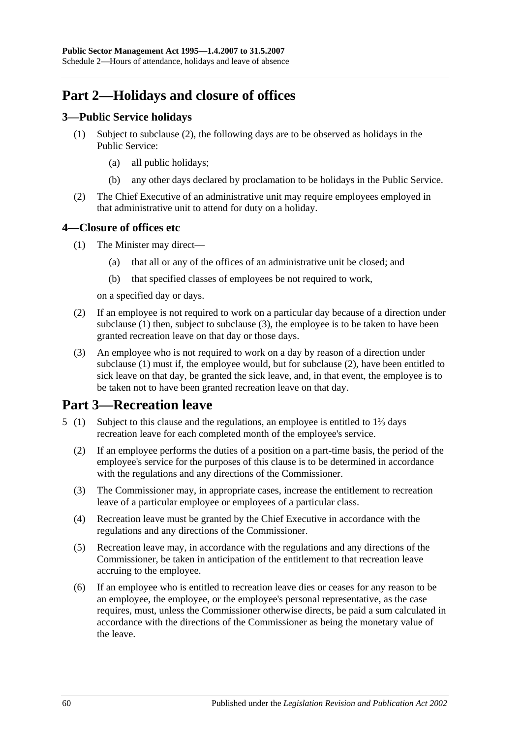# **Part 2—Holidays and closure of offices**

## **3—Public Service holidays**

- (1) Subject to [subclause](#page-59-0) (2), the following days are to be observed as holidays in the Public Service:
	- (a) all public holidays;
	- (b) any other days declared by proclamation to be holidays in the Public Service.
- <span id="page-59-0"></span>(2) The Chief Executive of an administrative unit may require employees employed in that administrative unit to attend for duty on a holiday.

## <span id="page-59-1"></span>**4—Closure of offices etc**

- (1) The Minister may direct—
	- (a) that all or any of the offices of an administrative unit be closed; and
	- (b) that specified classes of employees be not required to work,

on a specified day or days.

- <span id="page-59-3"></span>(2) If an employee is not required to work on a particular day because of a direction under [subclause](#page-59-1) (1) then, subject to [subclause](#page-59-2) (3), the employee is to be taken to have been granted recreation leave on that day or those days.
- <span id="page-59-2"></span>(3) An employee who is not required to work on a day by reason of a direction under [subclause](#page-59-1) (1) must if, the employee would, but for [subclause](#page-59-3) (2), have been entitled to sick leave on that day, be granted the sick leave, and, in that event, the employee is to be taken not to have been granted recreation leave on that day.

## **Part 3—Recreation leave**

- 5 (1) Subject to this clause and the regulations, an employee is entitled to 1⅔ days recreation leave for each completed month of the employee's service.
	- (2) If an employee performs the duties of a position on a part-time basis, the period of the employee's service for the purposes of this clause is to be determined in accordance with the regulations and any directions of the Commissioner.
	- (3) The Commissioner may, in appropriate cases, increase the entitlement to recreation leave of a particular employee or employees of a particular class.
	- (4) Recreation leave must be granted by the Chief Executive in accordance with the regulations and any directions of the Commissioner.
	- (5) Recreation leave may, in accordance with the regulations and any directions of the Commissioner, be taken in anticipation of the entitlement to that recreation leave accruing to the employee.
	- (6) If an employee who is entitled to recreation leave dies or ceases for any reason to be an employee, the employee, or the employee's personal representative, as the case requires, must, unless the Commissioner otherwise directs, be paid a sum calculated in accordance with the directions of the Commissioner as being the monetary value of the leave.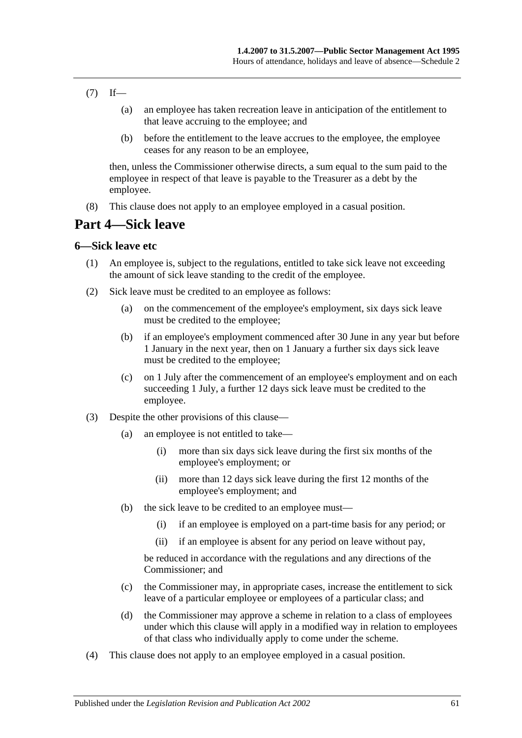- $(7)$  If—
	- (a) an employee has taken recreation leave in anticipation of the entitlement to that leave accruing to the employee; and
	- (b) before the entitlement to the leave accrues to the employee, the employee ceases for any reason to be an employee,

then, unless the Commissioner otherwise directs, a sum equal to the sum paid to the employee in respect of that leave is payable to the Treasurer as a debt by the employee.

(8) This clause does not apply to an employee employed in a casual position.

## **Part 4—Sick leave**

#### **6—Sick leave etc**

- (1) An employee is, subject to the regulations, entitled to take sick leave not exceeding the amount of sick leave standing to the credit of the employee.
- (2) Sick leave must be credited to an employee as follows:
	- (a) on the commencement of the employee's employment, six days sick leave must be credited to the employee;
	- (b) if an employee's employment commenced after 30 June in any year but before 1 January in the next year, then on 1 January a further six days sick leave must be credited to the employee;
	- (c) on 1 July after the commencement of an employee's employment and on each succeeding 1 July, a further 12 days sick leave must be credited to the employee.
- (3) Despite the other provisions of this clause—
	- (a) an employee is not entitled to take—
		- (i) more than six days sick leave during the first six months of the employee's employment; or
		- (ii) more than 12 days sick leave during the first 12 months of the employee's employment; and
	- (b) the sick leave to be credited to an employee must—
		- (i) if an employee is employed on a part-time basis for any period; or
		- (ii) if an employee is absent for any period on leave without pay,

be reduced in accordance with the regulations and any directions of the Commissioner; and

- (c) the Commissioner may, in appropriate cases, increase the entitlement to sick leave of a particular employee or employees of a particular class; and
- (d) the Commissioner may approve a scheme in relation to a class of employees under which this clause will apply in a modified way in relation to employees of that class who individually apply to come under the scheme.
- (4) This clause does not apply to an employee employed in a casual position.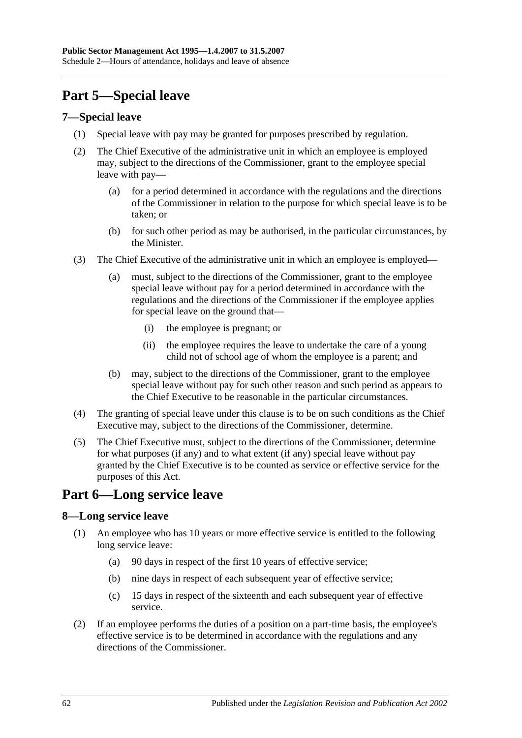# **Part 5—Special leave**

### **7—Special leave**

- (1) Special leave with pay may be granted for purposes prescribed by regulation.
- (2) The Chief Executive of the administrative unit in which an employee is employed may, subject to the directions of the Commissioner, grant to the employee special leave with pay—
	- (a) for a period determined in accordance with the regulations and the directions of the Commissioner in relation to the purpose for which special leave is to be taken; or
	- (b) for such other period as may be authorised, in the particular circumstances, by the Minister.
- (3) The Chief Executive of the administrative unit in which an employee is employed—
	- (a) must, subject to the directions of the Commissioner, grant to the employee special leave without pay for a period determined in accordance with the regulations and the directions of the Commissioner if the employee applies for special leave on the ground that—
		- (i) the employee is pregnant; or
		- (ii) the employee requires the leave to undertake the care of a young child not of school age of whom the employee is a parent; and
	- (b) may, subject to the directions of the Commissioner, grant to the employee special leave without pay for such other reason and such period as appears to the Chief Executive to be reasonable in the particular circumstances.
- (4) The granting of special leave under this clause is to be on such conditions as the Chief Executive may, subject to the directions of the Commissioner, determine.
- (5) The Chief Executive must, subject to the directions of the Commissioner, determine for what purposes (if any) and to what extent (if any) special leave without pay granted by the Chief Executive is to be counted as service or effective service for the purposes of this Act.

## **Part 6—Long service leave**

## **8—Long service leave**

- (1) An employee who has 10 years or more effective service is entitled to the following long service leave:
	- (a) 90 days in respect of the first 10 years of effective service;
	- (b) nine days in respect of each subsequent year of effective service;
	- (c) 15 days in respect of the sixteenth and each subsequent year of effective service.
- (2) If an employee performs the duties of a position on a part-time basis, the employee's effective service is to be determined in accordance with the regulations and any directions of the Commissioner.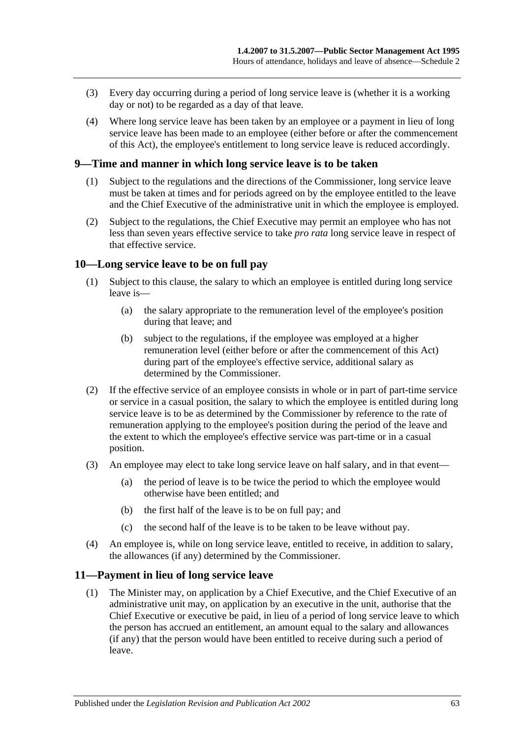- (3) Every day occurring during a period of long service leave is (whether it is a working day or not) to be regarded as a day of that leave.
- (4) Where long service leave has been taken by an employee or a payment in lieu of long service leave has been made to an employee (either before or after the commencement of this Act), the employee's entitlement to long service leave is reduced accordingly.

#### **9—Time and manner in which long service leave is to be taken**

- (1) Subject to the regulations and the directions of the Commissioner, long service leave must be taken at times and for periods agreed on by the employee entitled to the leave and the Chief Executive of the administrative unit in which the employee is employed.
- (2) Subject to the regulations, the Chief Executive may permit an employee who has not less than seven years effective service to take *pro rata* long service leave in respect of that effective service.

#### **10—Long service leave to be on full pay**

- (1) Subject to this clause, the salary to which an employee is entitled during long service leave is—
	- (a) the salary appropriate to the remuneration level of the employee's position during that leave; and
	- (b) subject to the regulations, if the employee was employed at a higher remuneration level (either before or after the commencement of this Act) during part of the employee's effective service, additional salary as determined by the Commissioner.
- (2) If the effective service of an employee consists in whole or in part of part-time service or service in a casual position, the salary to which the employee is entitled during long service leave is to be as determined by the Commissioner by reference to the rate of remuneration applying to the employee's position during the period of the leave and the extent to which the employee's effective service was part-time or in a casual position.
- (3) An employee may elect to take long service leave on half salary, and in that event—
	- (a) the period of leave is to be twice the period to which the employee would otherwise have been entitled; and
	- (b) the first half of the leave is to be on full pay; and
	- (c) the second half of the leave is to be taken to be leave without pay.
- (4) An employee is, while on long service leave, entitled to receive, in addition to salary, the allowances (if any) determined by the Commissioner.

#### **11—Payment in lieu of long service leave**

(1) The Minister may, on application by a Chief Executive, and the Chief Executive of an administrative unit may, on application by an executive in the unit, authorise that the Chief Executive or executive be paid, in lieu of a period of long service leave to which the person has accrued an entitlement, an amount equal to the salary and allowances (if any) that the person would have been entitled to receive during such a period of leave.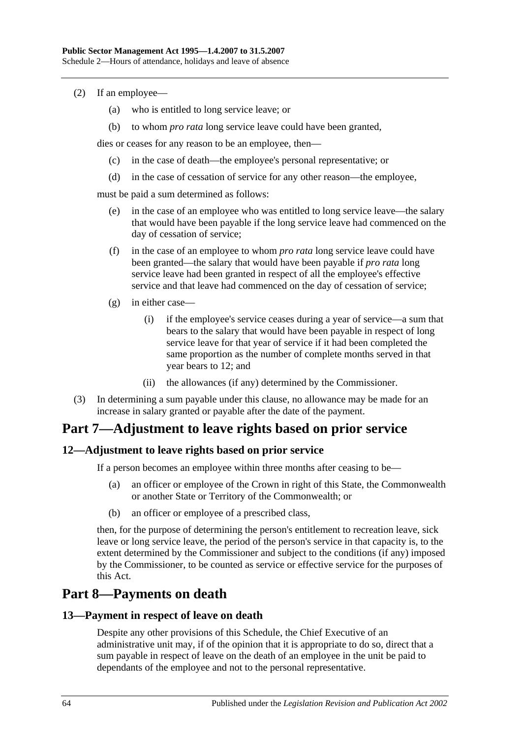- (2) If an employee—
	- (a) who is entitled to long service leave; or
	- (b) to whom *pro rata* long service leave could have been granted,

dies or ceases for any reason to be an employee, then—

- (c) in the case of death—the employee's personal representative; or
- (d) in the case of cessation of service for any other reason—the employee,

must be paid a sum determined as follows:

- (e) in the case of an employee who was entitled to long service leave—the salary that would have been payable if the long service leave had commenced on the day of cessation of service;
- (f) in the case of an employee to whom *pro rata* long service leave could have been granted—the salary that would have been payable if *pro rata* long service leave had been granted in respect of all the employee's effective service and that leave had commenced on the day of cessation of service;
- (g) in either case—
	- (i) if the employee's service ceases during a year of service—a sum that bears to the salary that would have been payable in respect of long service leave for that year of service if it had been completed the same proportion as the number of complete months served in that year bears to 12; and
	- (ii) the allowances (if any) determined by the Commissioner.
- (3) In determining a sum payable under this clause, no allowance may be made for an increase in salary granted or payable after the date of the payment.

## **Part 7—Adjustment to leave rights based on prior service**

#### **12—Adjustment to leave rights based on prior service**

If a person becomes an employee within three months after ceasing to be—

- (a) an officer or employee of the Crown in right of this State, the Commonwealth or another State or Territory of the Commonwealth; or
- (b) an officer or employee of a prescribed class,

then, for the purpose of determining the person's entitlement to recreation leave, sick leave or long service leave, the period of the person's service in that capacity is, to the extent determined by the Commissioner and subject to the conditions (if any) imposed by the Commissioner, to be counted as service or effective service for the purposes of this Act.

## **Part 8—Payments on death**

#### **13—Payment in respect of leave on death**

Despite any other provisions of this Schedule, the Chief Executive of an administrative unit may, if of the opinion that it is appropriate to do so, direct that a sum payable in respect of leave on the death of an employee in the unit be paid to dependants of the employee and not to the personal representative.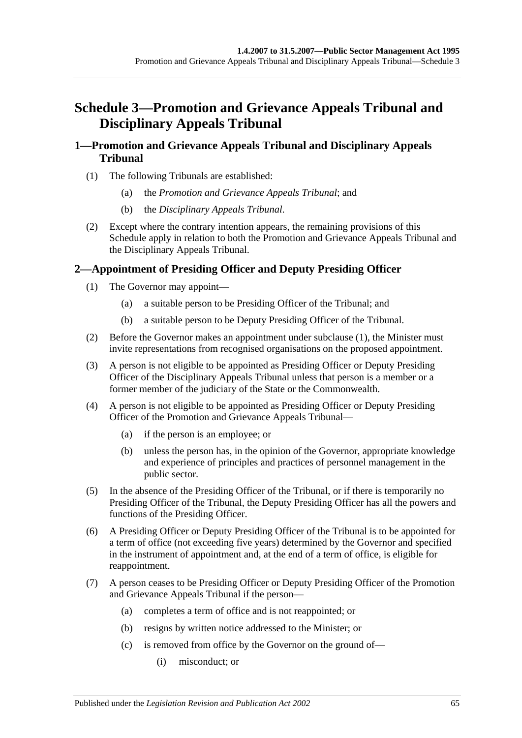# **Schedule 3—Promotion and Grievance Appeals Tribunal and Disciplinary Appeals Tribunal**

## **1—Promotion and Grievance Appeals Tribunal and Disciplinary Appeals Tribunal**

- (1) The following Tribunals are established:
	- (a) the *Promotion and Grievance Appeals Tribunal*; and
	- (b) the *Disciplinary Appeals Tribunal*.
- (2) Except where the contrary intention appears, the remaining provisions of this Schedule apply in relation to both the Promotion and Grievance Appeals Tribunal and the Disciplinary Appeals Tribunal.

## <span id="page-64-0"></span>**2—Appointment of Presiding Officer and Deputy Presiding Officer**

- (1) The Governor may appoint—
	- (a) a suitable person to be Presiding Officer of the Tribunal; and
	- (b) a suitable person to be Deputy Presiding Officer of the Tribunal.
- (2) Before the Governor makes an appointment under [subclause](#page-64-0) (1), the Minister must invite representations from recognised organisations on the proposed appointment.
- (3) A person is not eligible to be appointed as Presiding Officer or Deputy Presiding Officer of the Disciplinary Appeals Tribunal unless that person is a member or a former member of the judiciary of the State or the Commonwealth.
- (4) A person is not eligible to be appointed as Presiding Officer or Deputy Presiding Officer of the Promotion and Grievance Appeals Tribunal—
	- (a) if the person is an employee; or
	- (b) unless the person has, in the opinion of the Governor, appropriate knowledge and experience of principles and practices of personnel management in the public sector.
- (5) In the absence of the Presiding Officer of the Tribunal, or if there is temporarily no Presiding Officer of the Tribunal, the Deputy Presiding Officer has all the powers and functions of the Presiding Officer.
- (6) A Presiding Officer or Deputy Presiding Officer of the Tribunal is to be appointed for a term of office (not exceeding five years) determined by the Governor and specified in the instrument of appointment and, at the end of a term of office, is eligible for reappointment.
- (7) A person ceases to be Presiding Officer or Deputy Presiding Officer of the Promotion and Grievance Appeals Tribunal if the person—
	- (a) completes a term of office and is not reappointed; or
	- (b) resigns by written notice addressed to the Minister; or
	- (c) is removed from office by the Governor on the ground of—
		- (i) misconduct; or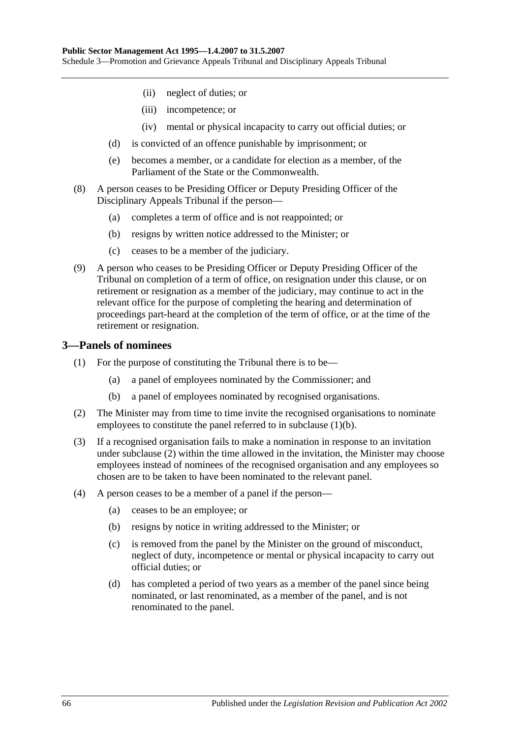- (ii) neglect of duties; or
- (iii) incompetence; or
- (iv) mental or physical incapacity to carry out official duties; or
- (d) is convicted of an offence punishable by imprisonment; or
- (e) becomes a member, or a candidate for election as a member, of the Parliament of the State or the Commonwealth.
- (8) A person ceases to be Presiding Officer or Deputy Presiding Officer of the Disciplinary Appeals Tribunal if the person—
	- (a) completes a term of office and is not reappointed; or
	- (b) resigns by written notice addressed to the Minister; or
	- (c) ceases to be a member of the judiciary.
- (9) A person who ceases to be Presiding Officer or Deputy Presiding Officer of the Tribunal on completion of a term of office, on resignation under this clause, or on retirement or resignation as a member of the judiciary, may continue to act in the relevant office for the purpose of completing the hearing and determination of proceedings part-heard at the completion of the term of office, or at the time of the retirement or resignation.

#### **3—Panels of nominees**

- (1) For the purpose of constituting the Tribunal there is to be—
	- (a) a panel of employees nominated by the Commissioner; and
	- (b) a panel of employees nominated by recognised organisations.
- <span id="page-65-1"></span><span id="page-65-0"></span>(2) The Minister may from time to time invite the recognised organisations to nominate employees to constitute the panel referred to in [subclause](#page-65-0) (1)(b).
- (3) If a recognised organisation fails to make a nomination in response to an invitation under [subclause](#page-65-1) (2) within the time allowed in the invitation, the Minister may choose employees instead of nominees of the recognised organisation and any employees so chosen are to be taken to have been nominated to the relevant panel.
- (4) A person ceases to be a member of a panel if the person—
	- (a) ceases to be an employee; or
	- (b) resigns by notice in writing addressed to the Minister; or
	- (c) is removed from the panel by the Minister on the ground of misconduct, neglect of duty, incompetence or mental or physical incapacity to carry out official duties; or
	- (d) has completed a period of two years as a member of the panel since being nominated, or last renominated, as a member of the panel, and is not renominated to the panel.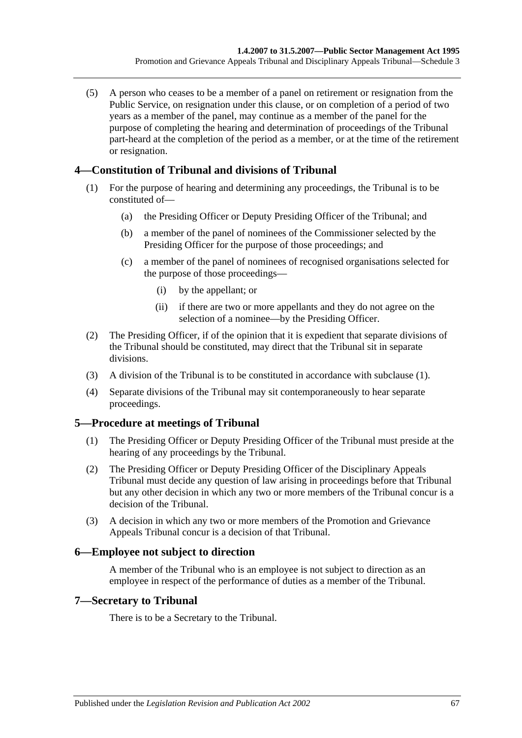(5) A person who ceases to be a member of a panel on retirement or resignation from the Public Service, on resignation under this clause, or on completion of a period of two years as a member of the panel, may continue as a member of the panel for the purpose of completing the hearing and determination of proceedings of the Tribunal part-heard at the completion of the period as a member, or at the time of the retirement or resignation.

## <span id="page-66-0"></span>**4—Constitution of Tribunal and divisions of Tribunal**

- (1) For the purpose of hearing and determining any proceedings, the Tribunal is to be constituted of—
	- (a) the Presiding Officer or Deputy Presiding Officer of the Tribunal; and
	- (b) a member of the panel of nominees of the Commissioner selected by the Presiding Officer for the purpose of those proceedings; and
	- (c) a member of the panel of nominees of recognised organisations selected for the purpose of those proceedings—
		- (i) by the appellant; or
		- (ii) if there are two or more appellants and they do not agree on the selection of a nominee—by the Presiding Officer.
- (2) The Presiding Officer, if of the opinion that it is expedient that separate divisions of the Tribunal should be constituted, may direct that the Tribunal sit in separate divisions.
- (3) A division of the Tribunal is to be constituted in accordance with [subclause](#page-66-0) (1).
- (4) Separate divisions of the Tribunal may sit contemporaneously to hear separate proceedings.

## **5—Procedure at meetings of Tribunal**

- (1) The Presiding Officer or Deputy Presiding Officer of the Tribunal must preside at the hearing of any proceedings by the Tribunal.
- (2) The Presiding Officer or Deputy Presiding Officer of the Disciplinary Appeals Tribunal must decide any question of law arising in proceedings before that Tribunal but any other decision in which any two or more members of the Tribunal concur is a decision of the Tribunal.
- (3) A decision in which any two or more members of the Promotion and Grievance Appeals Tribunal concur is a decision of that Tribunal.

#### **6—Employee not subject to direction**

A member of the Tribunal who is an employee is not subject to direction as an employee in respect of the performance of duties as a member of the Tribunal.

#### **7—Secretary to Tribunal**

There is to be a Secretary to the Tribunal.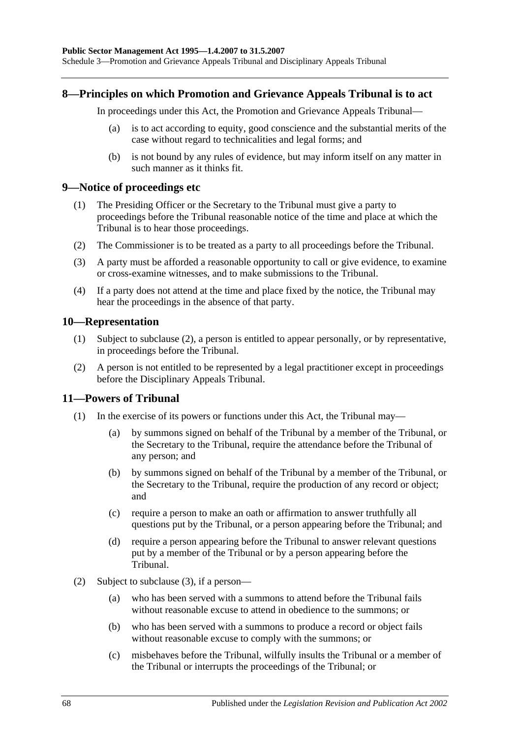#### **8—Principles on which Promotion and Grievance Appeals Tribunal is to act**

In proceedings under this Act, the Promotion and Grievance Appeals Tribunal—

- (a) is to act according to equity, good conscience and the substantial merits of the case without regard to technicalities and legal forms; and
- (b) is not bound by any rules of evidence, but may inform itself on any matter in such manner as it thinks fit.

#### **9—Notice of proceedings etc**

- (1) The Presiding Officer or the Secretary to the Tribunal must give a party to proceedings before the Tribunal reasonable notice of the time and place at which the Tribunal is to hear those proceedings.
- (2) The Commissioner is to be treated as a party to all proceedings before the Tribunal.
- (3) A party must be afforded a reasonable opportunity to call or give evidence, to examine or cross-examine witnesses, and to make submissions to the Tribunal.
- (4) If a party does not attend at the time and place fixed by the notice, the Tribunal may hear the proceedings in the absence of that party.

#### **10—Representation**

- (1) Subject to [subclause](#page-67-0) (2), a person is entitled to appear personally, or by representative, in proceedings before the Tribunal.
- <span id="page-67-0"></span>(2) A person is not entitled to be represented by a legal practitioner except in proceedings before the Disciplinary Appeals Tribunal.

#### **11—Powers of Tribunal**

- (1) In the exercise of its powers or functions under this Act, the Tribunal may—
	- (a) by summons signed on behalf of the Tribunal by a member of the Tribunal, or the Secretary to the Tribunal, require the attendance before the Tribunal of any person; and
	- (b) by summons signed on behalf of the Tribunal by a member of the Tribunal, or the Secretary to the Tribunal, require the production of any record or object; and
	- (c) require a person to make an oath or affirmation to answer truthfully all questions put by the Tribunal, or a person appearing before the Tribunal; and
	- (d) require a person appearing before the Tribunal to answer relevant questions put by a member of the Tribunal or by a person appearing before the Tribunal.
- (2) Subject to [subclause](#page-68-0) (3), if a person—
	- (a) who has been served with a summons to attend before the Tribunal fails without reasonable excuse to attend in obedience to the summons; or
	- (b) who has been served with a summons to produce a record or object fails without reasonable excuse to comply with the summons; or
	- (c) misbehaves before the Tribunal, wilfully insults the Tribunal or a member of the Tribunal or interrupts the proceedings of the Tribunal; or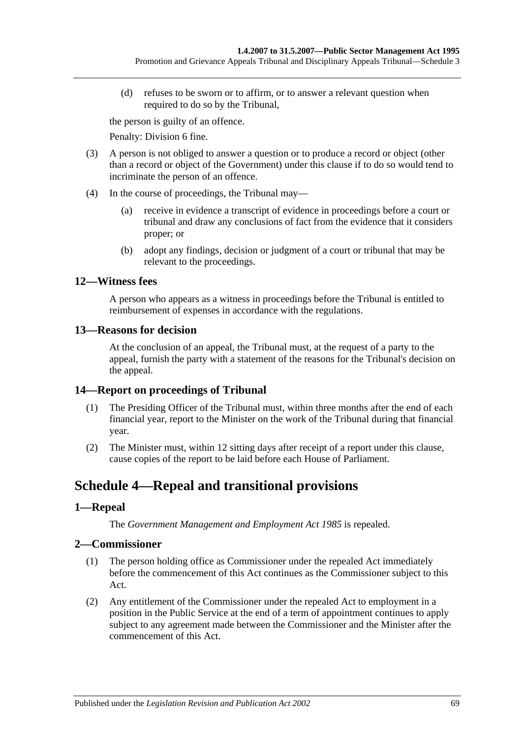(d) refuses to be sworn or to affirm, or to answer a relevant question when required to do so by the Tribunal,

the person is guilty of an offence.

Penalty: Division 6 fine.

- <span id="page-68-0"></span>(3) A person is not obliged to answer a question or to produce a record or object (other than a record or object of the Government) under this clause if to do so would tend to incriminate the person of an offence.
- (4) In the course of proceedings, the Tribunal may—
	- (a) receive in evidence a transcript of evidence in proceedings before a court or tribunal and draw any conclusions of fact from the evidence that it considers proper; or
	- (b) adopt any findings, decision or judgment of a court or tribunal that may be relevant to the proceedings.

## **12—Witness fees**

A person who appears as a witness in proceedings before the Tribunal is entitled to reimbursement of expenses in accordance with the regulations.

#### **13—Reasons for decision**

At the conclusion of an appeal, the Tribunal must, at the request of a party to the appeal, furnish the party with a statement of the reasons for the Tribunal's decision on the appeal.

## **14—Report on proceedings of Tribunal**

- (1) The Presiding Officer of the Tribunal must, within three months after the end of each financial year, report to the Minister on the work of the Tribunal during that financial year.
- (2) The Minister must, within 12 sitting days after receipt of a report under this clause, cause copies of the report to be laid before each House of Parliament.

# **Schedule 4—Repeal and transitional provisions**

## **1—Repeal**

The *[Government Management and Employment Act](http://www.legislation.sa.gov.au/index.aspx?action=legref&type=act&legtitle=Government%20Management%20and%20Employment%20Act%201985) 1985* is repealed.

## **2—Commissioner**

- (1) The person holding office as Commissioner under the repealed Act immediately before the commencement of this Act continues as the Commissioner subject to this Act.
- (2) Any entitlement of the Commissioner under the repealed Act to employment in a position in the Public Service at the end of a term of appointment continues to apply subject to any agreement made between the Commissioner and the Minister after the commencement of this Act.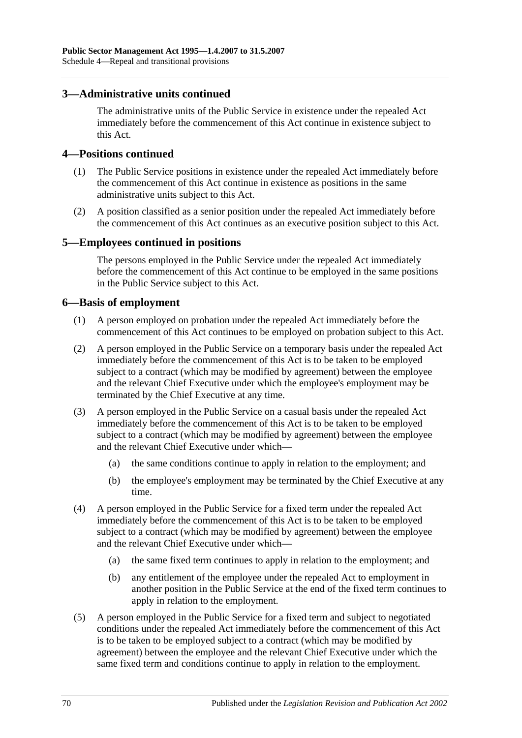#### **3—Administrative units continued**

The administrative units of the Public Service in existence under the repealed Act immediately before the commencement of this Act continue in existence subject to this Act.

#### **4—Positions continued**

- (1) The Public Service positions in existence under the repealed Act immediately before the commencement of this Act continue in existence as positions in the same administrative units subject to this Act.
- (2) A position classified as a senior position under the repealed Act immediately before the commencement of this Act continues as an executive position subject to this Act.

#### **5—Employees continued in positions**

The persons employed in the Public Service under the repealed Act immediately before the commencement of this Act continue to be employed in the same positions in the Public Service subject to this Act.

#### **6—Basis of employment**

- (1) A person employed on probation under the repealed Act immediately before the commencement of this Act continues to be employed on probation subject to this Act.
- (2) A person employed in the Public Service on a temporary basis under the repealed Act immediately before the commencement of this Act is to be taken to be employed subject to a contract (which may be modified by agreement) between the employee and the relevant Chief Executive under which the employee's employment may be terminated by the Chief Executive at any time.
- (3) A person employed in the Public Service on a casual basis under the repealed Act immediately before the commencement of this Act is to be taken to be employed subject to a contract (which may be modified by agreement) between the employee and the relevant Chief Executive under which—
	- (a) the same conditions continue to apply in relation to the employment; and
	- (b) the employee's employment may be terminated by the Chief Executive at any time.
- (4) A person employed in the Public Service for a fixed term under the repealed Act immediately before the commencement of this Act is to be taken to be employed subject to a contract (which may be modified by agreement) between the employee and the relevant Chief Executive under which—
	- (a) the same fixed term continues to apply in relation to the employment; and
	- (b) any entitlement of the employee under the repealed Act to employment in another position in the Public Service at the end of the fixed term continues to apply in relation to the employment.
- (5) A person employed in the Public Service for a fixed term and subject to negotiated conditions under the repealed Act immediately before the commencement of this Act is to be taken to be employed subject to a contract (which may be modified by agreement) between the employee and the relevant Chief Executive under which the same fixed term and conditions continue to apply in relation to the employment.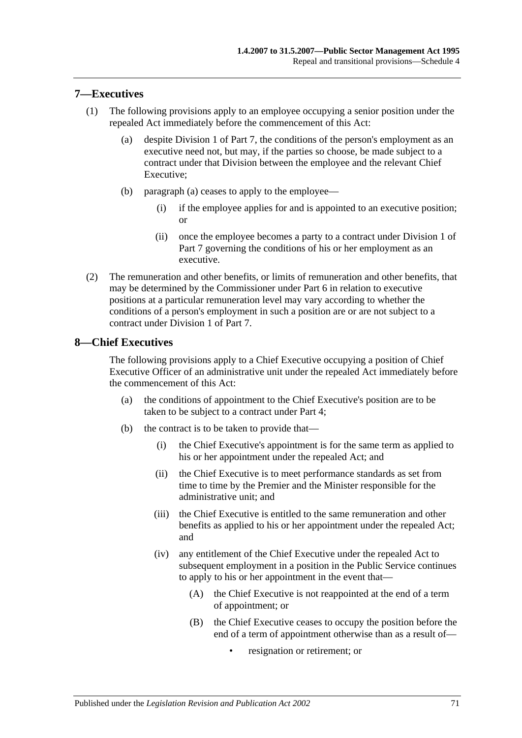#### **7—Executives**

- <span id="page-70-0"></span>(1) The following provisions apply to an employee occupying a senior position under the repealed Act immediately before the commencement of this Act:
	- (a) despite [Division 1](#page-35-1) of [Part 7,](#page-35-0) the conditions of the person's employment as an executive need not, but may, if the parties so choose, be made subject to a contract under that Division between the employee and the relevant Chief Executive;
	- (b) [paragraph](#page-70-0) (a) ceases to apply to the employee—
		- (i) if the employee applies for and is appointed to an executive position; or
		- (ii) once the employee becomes a party to a contract under [Division 1](#page-35-1) of [Part 7](#page-35-0) governing the conditions of his or her employment as an executive.
- (2) The remuneration and other benefits, or limits of remuneration and other benefits, that may be determined by the Commissioner under [Part 6](#page-33-0) in relation to executive positions at a particular remuneration level may vary according to whether the conditions of a person's employment in such a position are or are not subject to a contract under [Division 1](#page-35-1) of [Part 7.](#page-35-0)

#### **8—Chief Executives**

The following provisions apply to a Chief Executive occupying a position of Chief Executive Officer of an administrative unit under the repealed Act immediately before the commencement of this Act:

- (a) the conditions of appointment to the Chief Executive's position are to be taken to be subject to a contract under [Part 4;](#page-24-0)
- (b) the contract is to be taken to provide that—
	- (i) the Chief Executive's appointment is for the same term as applied to his or her appointment under the repealed Act; and
	- (ii) the Chief Executive is to meet performance standards as set from time to time by the Premier and the Minister responsible for the administrative unit; and
	- (iii) the Chief Executive is entitled to the same remuneration and other benefits as applied to his or her appointment under the repealed Act; and
	- (iv) any entitlement of the Chief Executive under the repealed Act to subsequent employment in a position in the Public Service continues to apply to his or her appointment in the event that—
		- (A) the Chief Executive is not reappointed at the end of a term of appointment; or
		- (B) the Chief Executive ceases to occupy the position before the end of a term of appointment otherwise than as a result of
			- resignation or retirement; or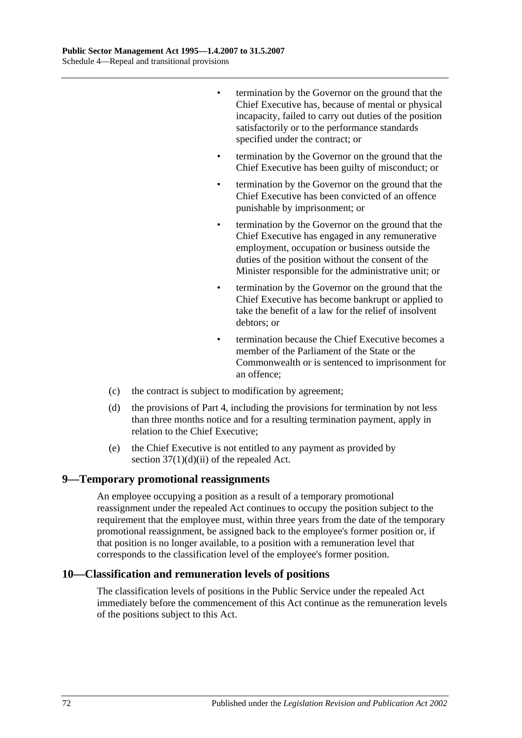- termination by the Governor on the ground that the Chief Executive has, because of mental or physical incapacity, failed to carry out duties of the position satisfactorily or to the performance standards specified under the contract; or
- termination by the Governor on the ground that the Chief Executive has been guilty of misconduct; or
- termination by the Governor on the ground that the Chief Executive has been convicted of an offence punishable by imprisonment; or
- termination by the Governor on the ground that the Chief Executive has engaged in any remunerative employment, occupation or business outside the duties of the position without the consent of the Minister responsible for the administrative unit; or
- termination by the Governor on the ground that the Chief Executive has become bankrupt or applied to take the benefit of a law for the relief of insolvent debtors; or
- termination because the Chief Executive becomes a member of the Parliament of the State or the Commonwealth or is sentenced to imprisonment for an offence;
- (c) the contract is subject to modification by agreement;
- (d) the provisions of [Part 4,](#page-24-0) including the provisions for termination by not less than three months notice and for a resulting termination payment, apply in relation to the Chief Executive;
- (e) the Chief Executive is not entitled to any payment as provided by section  $37(1)(d)(ii)$  of the repealed Act.

#### **9—Temporary promotional reassignments**

An employee occupying a position as a result of a temporary promotional reassignment under the repealed Act continues to occupy the position subject to the requirement that the employee must, within three years from the date of the temporary promotional reassignment, be assigned back to the employee's former position or, if that position is no longer available, to a position with a remuneration level that corresponds to the classification level of the employee's former position.

#### **10—Classification and remuneration levels of positions**

The classification levels of positions in the Public Service under the repealed Act immediately before the commencement of this Act continue as the remuneration levels of the positions subject to this Act.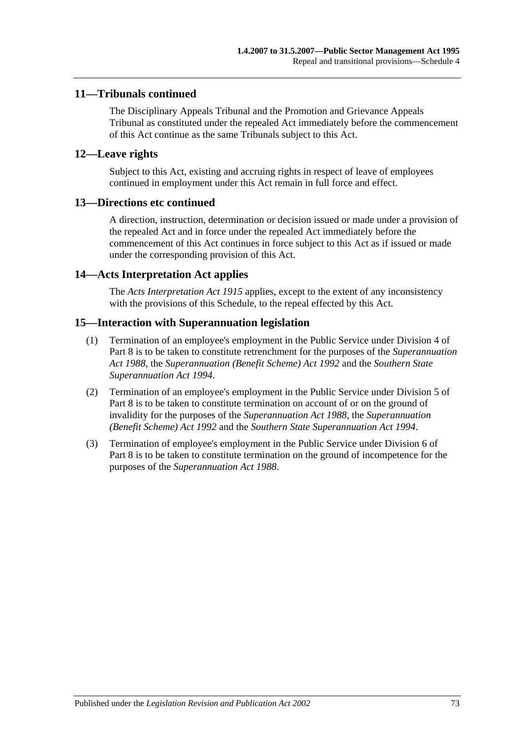### **11—Tribunals continued**

The Disciplinary Appeals Tribunal and the Promotion and Grievance Appeals Tribunal as constituted under the repealed Act immediately before the commencement of this Act continue as the same Tribunals subject to this Act.

### **12—Leave rights**

Subject to this Act, existing and accruing rights in respect of leave of employees continued in employment under this Act remain in full force and effect.

### **13—Directions etc continued**

A direction, instruction, determination or decision issued or made under a provision of the repealed Act and in force under the repealed Act immediately before the commencement of this Act continues in force subject to this Act as if issued or made under the corresponding provision of this Act.

### **14—Acts Interpretation Act applies**

The *[Acts Interpretation Act](http://www.legislation.sa.gov.au/index.aspx?action=legref&type=act&legtitle=Acts%20Interpretation%20Act%201915) 1915* applies, except to the extent of any inconsistency with the provisions of this Schedule, to the repeal effected by this Act.

### **15—Interaction with Superannuation legislation**

- (1) Termination of an employee's employment in the Public Service under [Division](#page-43-0) 4 of [Part 8](#page-41-0) is to be taken to constitute retrenchment for the purposes of the *[Superannuation](http://www.legislation.sa.gov.au/index.aspx?action=legref&type=act&legtitle=Superannuation%20Act%201988)  Act [1988](http://www.legislation.sa.gov.au/index.aspx?action=legref&type=act&legtitle=Superannuation%20Act%201988)*, the *[Superannuation \(Benefit Scheme\) Act](http://www.legislation.sa.gov.au/index.aspx?action=legref&type=act&legtitle=Superannuation%20(Benefit%20Scheme)%20Act%201992) 1992* and the *[Southern State](http://www.legislation.sa.gov.au/index.aspx?action=legref&type=act&legtitle=Southern%20State%20Superannuation%20Act%201994)  [Superannuation Act](http://www.legislation.sa.gov.au/index.aspx?action=legref&type=act&legtitle=Southern%20State%20Superannuation%20Act%201994) 1994*.
- (2) Termination of an employee's employment in the Public Service under [Division 5](#page-44-0) of [Part 8](#page-41-0) is to be taken to constitute termination on account of or on the ground of invalidity for the purposes of the *[Superannuation Act](http://www.legislation.sa.gov.au/index.aspx?action=legref&type=act&legtitle=Superannuation%20Act%201988) 1988*, the *[Superannuation](http://www.legislation.sa.gov.au/index.aspx?action=legref&type=act&legtitle=Superannuation%20(Benefit%20Scheme)%20Act%201992)  [\(Benefit Scheme\) Act](http://www.legislation.sa.gov.au/index.aspx?action=legref&type=act&legtitle=Superannuation%20(Benefit%20Scheme)%20Act%201992) 1992* and the *[Southern State Superannuation Act](http://www.legislation.sa.gov.au/index.aspx?action=legref&type=act&legtitle=Southern%20State%20Superannuation%20Act%201994) 1994*.
- (3) Termination of employee's employment in the Public Service under [Division 6](#page-45-0) of [Part](#page-41-0) 8 is to be taken to constitute termination on the ground of incompetence for the purposes of the *[Superannuation Act](http://www.legislation.sa.gov.au/index.aspx?action=legref&type=act&legtitle=Superannuation%20Act%201988) 1988*.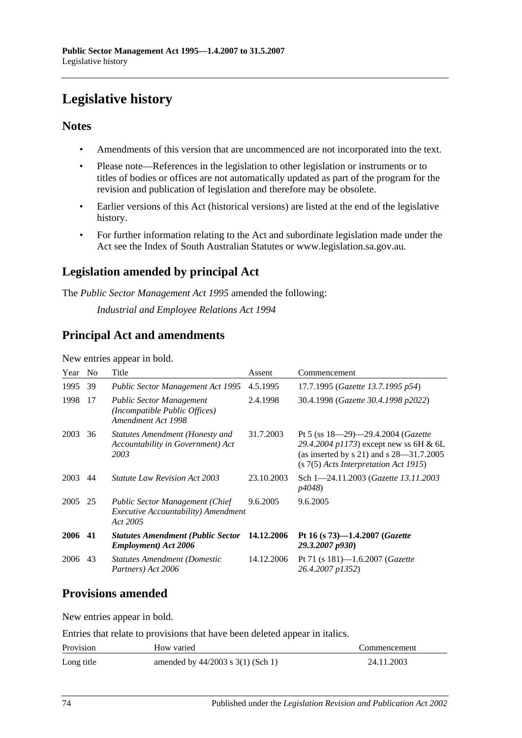# **Legislative history**

### **Notes**

- Amendments of this version that are uncommenced are not incorporated into the text.
- Please note—References in the legislation to other legislation or instruments or to titles of bodies or offices are not automatically updated as part of the program for the revision and publication of legislation and therefore may be obsolete.
- Earlier versions of this Act (historical versions) are listed at the end of the legislative history.
- For further information relating to the Act and subordinate legislation made under the Act see the Index of South Australian Statutes or www.legislation.sa.gov.au.

## **Legislation amended by principal Act**

The *Public Sector Management Act 1995* amended the following:

*Industrial and Employee Relations Act 1994*

### **Principal Act and amendments**

New entries appear in bold.

| Year | N <sub>0</sub> | Title                                                                                                    | Assent     | Commencement                                                                                                                                                                     |
|------|----------------|----------------------------------------------------------------------------------------------------------|------------|----------------------------------------------------------------------------------------------------------------------------------------------------------------------------------|
| 1995 | 39             | <b>Public Sector Management Act 1995</b>                                                                 | 4.5.1995   | 17.7.1995 (Gazette 13.7.1995 p54)                                                                                                                                                |
| 1998 | 17             | <b>Public Sector Management</b><br>(Incompatible Public Offices)<br>Amendment Act 1998                   | 2.4.1998   | 30.4.1998 (Gazette 30.4.1998 p2022)                                                                                                                                              |
| 2003 | 36             | Statutes Amendment (Honesty and<br>Accountability in Government) Act<br>2003                             | 31.7.2003  | Pt 5 (ss $18-29-29.4.2004$ ( <i>Gazette</i><br>29.4.2004 p1173) except new ss 6H & 6L<br>(as inserted by $s$ 21) and $s$ 28—31.7.2005<br>$(s 7(5)$ Acts Interpretation Act 1915) |
| 2003 | 44             | <i>Statute Law Revision Act 2003</i>                                                                     | 23.10.2003 | Sch 1-24.11.2003 (Gazette 13.11.2003)<br><i>p4048</i> )                                                                                                                          |
| 2005 | 25             | <b>Public Sector Management (Chief</b><br><i>Executive Accountability</i> ) <i>Amendment</i><br>Act 2005 | 9.6.2005   | 9.6.2005                                                                                                                                                                         |
| 2006 | 41             | <b>Statutes Amendment (Public Sector</b><br><b>Employment</b> ) Act 2006                                 | 14.12.2006 | Pt 16 (s 73)-1.4.2007 (Gazette<br>29.3.2007 p930)                                                                                                                                |
| 2006 | 43             | <b>Statutes Amendment (Domestic</b><br>Partners) Act 2006                                                | 14.12.2006 | Pt 71 (s 181)—1.6.2007 ( <i>Gazette</i><br>26.4.2007 p1352)                                                                                                                      |

## **Provisions amended**

New entries appear in bold.

Entries that relate to provisions that have been deleted appear in italics.

| Provision  | How varied                            | Commencement |
|------------|---------------------------------------|--------------|
| Long title | amended by $44/2003$ s $3(1)$ (Sch 1) | 24.11.2003   |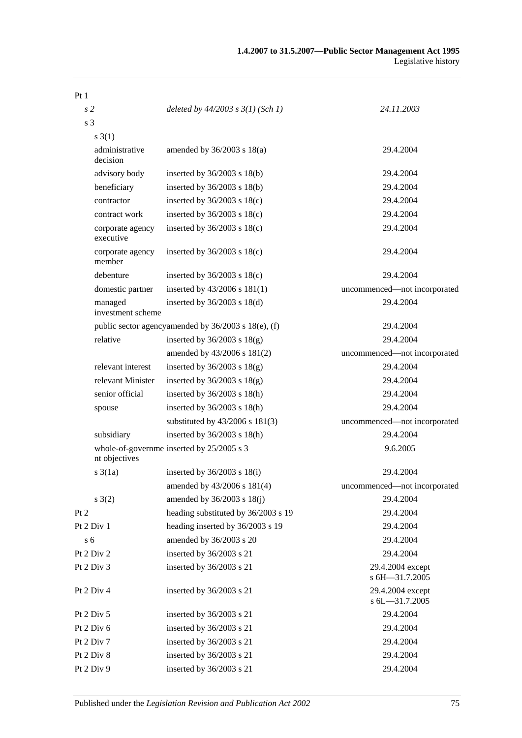| Pt <sub>1</sub>               |                                                     |                                    |  |
|-------------------------------|-----------------------------------------------------|------------------------------------|--|
| s <sub>2</sub>                | deleted by $44/2003$ s $3(1)$ (Sch 1)               | 24.11.2003                         |  |
| s <sub>3</sub>                |                                                     |                                    |  |
| $s \; 3(1)$                   |                                                     |                                    |  |
| administrative<br>decision    | amended by $36/2003$ s $18(a)$                      | 29.4.2004                          |  |
| advisory body                 | inserted by $36/2003$ s $18(b)$                     | 29.4.2004                          |  |
| beneficiary                   | inserted by $36/2003$ s $18(b)$                     | 29.4.2004                          |  |
| contractor                    | inserted by $36/2003$ s $18(c)$                     | 29.4.2004                          |  |
| contract work                 | inserted by $36/2003$ s $18(c)$                     | 29.4.2004                          |  |
| corporate agency<br>executive | inserted by $36/2003$ s $18(c)$                     | 29.4.2004                          |  |
| corporate agency<br>member    | inserted by $36/2003$ s $18(c)$                     | 29.4.2004                          |  |
| debenture                     | inserted by $36/2003$ s $18(c)$                     | 29.4.2004                          |  |
| domestic partner              | inserted by 43/2006 s 181(1)                        | uncommenced-not incorporated       |  |
| managed<br>investment scheme  | inserted by $36/2003$ s $18(d)$                     | 29.4.2004                          |  |
|                               | public sector agencyamended by 36/2003 s 18(e), (f) | 29.4.2004                          |  |
| relative                      | inserted by $36/2003$ s $18(g)$                     | 29.4.2004                          |  |
|                               | amended by 43/2006 s 181(2)                         | uncommenced-not incorporated       |  |
| relevant interest             | inserted by $36/2003$ s $18(g)$                     | 29.4.2004                          |  |
| relevant Minister             | inserted by $36/2003$ s $18(g)$                     | 29.4.2004                          |  |
| senior official               | inserted by $36/2003$ s $18(h)$                     | 29.4.2004                          |  |
| spouse                        | inserted by $36/2003$ s $18(h)$                     | 29.4.2004                          |  |
|                               | substituted by 43/2006 s 181(3)                     | uncommenced-not incorporated       |  |
| subsidiary                    | inserted by 36/2003 s 18(h)                         | 29.4.2004                          |  |
| nt objectives                 | whole-of-governme inserted by 25/2005 s 3           | 9.6.2005                           |  |
| $s \, 3(1a)$                  | inserted by $36/2003$ s $18(i)$                     | 29.4.2004                          |  |
|                               | amended by 43/2006 s 181(4)                         | uncommenced-not incorporated       |  |
| s(2)                          | amended by 36/2003 s 18(j)                          | 29.4.2004                          |  |
| Pt 2                          | heading substituted by 36/2003 s 19                 | 29.4.2004                          |  |
| Pt 2 Div 1                    | heading inserted by 36/2003 s 19                    | 29.4.2004                          |  |
| s <sub>6</sub>                | amended by 36/2003 s 20                             | 29.4.2004                          |  |
| Pt 2 Div 2                    | inserted by 36/2003 s 21                            | 29.4.2004                          |  |
| Pt 2 Div 3                    | inserted by 36/2003 s 21                            | 29.4.2004 except<br>s 6H-31.7.2005 |  |
| Pt 2 Div 4                    | inserted by 36/2003 s 21                            | 29.4.2004 except<br>s 6L-31.7.2005 |  |
| Pt 2 Div 5                    | inserted by 36/2003 s 21                            | 29.4.2004                          |  |
| Pt 2 Div 6                    | inserted by 36/2003 s 21                            | 29.4.2004                          |  |
| Pt 2 Div 7                    | inserted by 36/2003 s 21                            | 29.4.2004                          |  |
| Pt 2 Div 8                    | inserted by 36/2003 s 21                            | 29.4.2004                          |  |
| Pt 2 Div 9                    | inserted by 36/2003 s 21                            | 29.4.2004                          |  |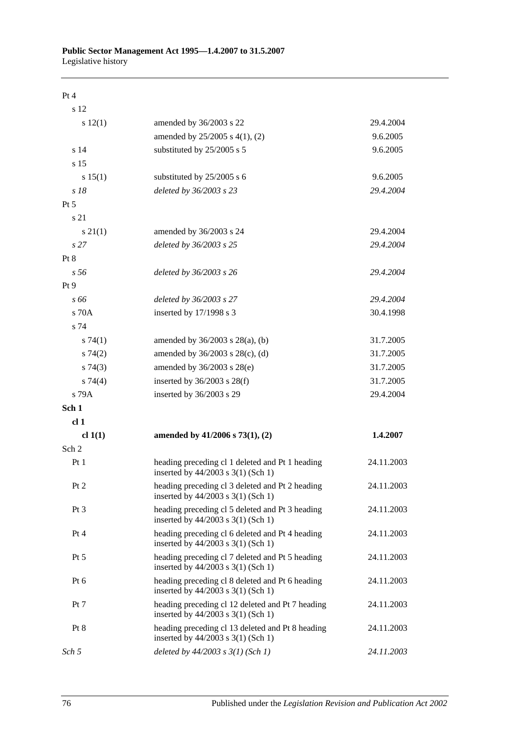#### Pt 4

| s 12             |                                                                                           |            |
|------------------|-------------------------------------------------------------------------------------------|------------|
| s 12(1)          | amended by 36/2003 s 22                                                                   | 29.4.2004  |
|                  | amended by 25/2005 s 4(1), (2)                                                            | 9.6.2005   |
| s 14             | substituted by 25/2005 s 5                                                                | 9.6.2005   |
| s 15             |                                                                                           |            |
| s 15(1)          | substituted by 25/2005 s 6                                                                | 9.6.2005   |
| s 18             | deleted by 36/2003 s 23                                                                   | 29.4.2004  |
| $Pt\,5$          |                                                                                           |            |
| s 21             |                                                                                           |            |
| $s \, 21(1)$     | amended by 36/2003 s 24                                                                   | 29.4.2004  |
| s <sub>27</sub>  | deleted by 36/2003 s 25                                                                   | 29.4.2004  |
| Pt 8             |                                                                                           |            |
| s 56             | deleted by 36/2003 s 26                                                                   | 29.4.2004  |
| Pt 9             |                                                                                           |            |
| s 66             | deleted by 36/2003 s 27                                                                   | 29.4.2004  |
| s 70A            | inserted by 17/1998 s 3                                                                   | 30.4.1998  |
| s 74             |                                                                                           |            |
| s74(1)           | amended by $36/2003$ s $28(a)$ , (b)                                                      | 31.7.2005  |
| s74(2)           | amended by 36/2003 s 28(c), (d)                                                           | 31.7.2005  |
| s74(3)           | amended by 36/2003 s 28(e)                                                                | 31.7.2005  |
| $s \, 74(4)$     | inserted by $36/2003$ s $28(f)$                                                           | 31.7.2005  |
| s 79A            | inserted by 36/2003 s 29                                                                  | 29.4.2004  |
| Sch 1            |                                                                                           |            |
| cl <sub>1</sub>  |                                                                                           |            |
| cl 1(1)          | amended by $41/2006$ s $73(1)$ , (2)                                                      | 1.4.2007   |
| Sch <sub>2</sub> |                                                                                           |            |
| Pt <sub>1</sub>  | heading preceding cl 1 deleted and Pt 1 heading<br>inserted by 44/2003 s 3(1) (Sch 1)     | 24.11.2003 |
| Pt 2             | heading preceding cl 3 deleted and Pt 2 heading<br>inserted by $44/2003$ s $3(1)$ (Sch 1) | 24.11.2003 |
| Pt <sub>3</sub>  | heading preceding cl 5 deleted and Pt 3 heading<br>inserted by 44/2003 s 3(1) (Sch 1)     | 24.11.2003 |
| Pt 4             | heading preceding cl 6 deleted and Pt 4 heading<br>inserted by 44/2003 s 3(1) (Sch 1)     | 24.11.2003 |
| $Pt\,5$          | heading preceding cl 7 deleted and Pt 5 heading<br>inserted by 44/2003 s 3(1) (Sch 1)     | 24.11.2003 |
| Pt $6$           | heading preceding cl 8 deleted and Pt 6 heading<br>inserted by $44/2003$ s 3(1) (Sch 1)   | 24.11.2003 |
| Pt 7             | heading preceding cl 12 deleted and Pt 7 heading<br>inserted by 44/2003 s 3(1) (Sch 1)    | 24.11.2003 |
| Pt 8             | heading preceding cl 13 deleted and Pt 8 heading<br>inserted by 44/2003 s 3(1) (Sch 1)    | 24.11.2003 |
| Sch 5            | deleted by $44/2003$ s $3(1)$ (Sch 1)                                                     | 24.11.2003 |